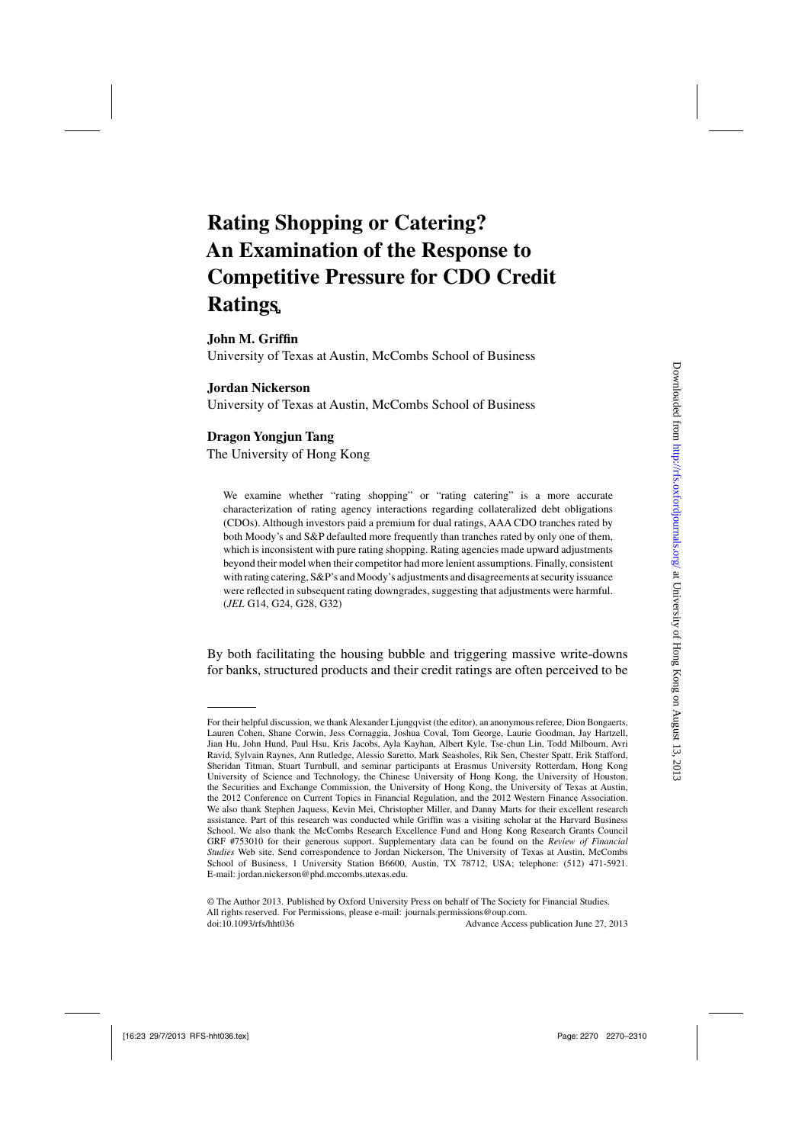# **Rating Shopping or Catering? An Examination of the Response to Competitive Pressure for CDO Credit Ratings**

## **John M. Griffin**

University of Texas at Austin, McCombs School of Business

## **Jordan Nickerson**

University of Texas at Austin, McCombs School of Business

## **Dragon Yongjun Tang**

The University of Hong Kong

We examine whether "rating shopping" or "rating catering" is a more accurate characterization of rating agency interactions regarding collateralized debt obligations (CDOs). Although investors paid a premium for dual ratings, AAA CDO tranches rated by both Moody's and S&P defaulted more frequently than tranches rated by only one of them, which is inconsistent with pure rating shopping. Rating agencies made upward adjustments beyond their model when their competitor had more lenient assumptions. Finally, consistent with rating catering, S&P's and Moody's adjustments and disagreements at security issuance were reflected in subsequent rating downgrades, suggesting that adjustments were harmful. (*JEL* G14, G24, G28, G32)

By both facilitating the housing bubble and triggering massive write-downs for banks, structured products and their credit ratings are often perceived to be

For their helpful discussion, we thank Alexander Ljungqvist (the editor), an anonymous referee, Dion Bongaerts, Lauren Cohen, Shane Corwin, Jess Cornaggia, Joshua Coval, Tom George, Laurie Goodman, Jay Hartzell, Jian Hu, John Hund, Paul Hsu, Kris Jacobs, Ayla Kayhan, Albert Kyle, Tse-chun Lin, Todd Milbourn, Avri Ravid, Sylvain Raynes, Ann Rutledge, Alessio Saretto, Mark Seasholes, Rik Sen, Chester Spatt, Erik Stafford, Sheridan Titman, Stuart Turnbull, and seminar participants at Erasmus University Rotterdam, Hong Kong University of Science and Technology, the Chinese University of Hong Kong, the University of Houston, the Securities and Exchange Commission, the University of Hong Kong, the University of Texas at Austin, the 2012 Conference on Current Topics in Financial Regulation, and the 2012 Western Finance Association. We also thank Stephen Jaquess, Kevin Mei, Christopher Miller, and Danny Marts for their excellent research assistance. Part of this research was conducted while Griffin was a visiting scholar at the Harvard Business School. We also thank the McCombs Research Excellence Fund and Hong Kong Research Grants Council GRF #753010 for their generous support. Supplementary data can be found on the *Review of Financial Studies* Web site. Send correspondence to Jordan Nickerson, The University of Texas at Austin, McCombs School of Business, 1 University Station B6600, Austin, TX 78712, USA; telephone: (512) 471-5921. E-mail: jordan.nickerson@phd.mccombs.utexas.edu.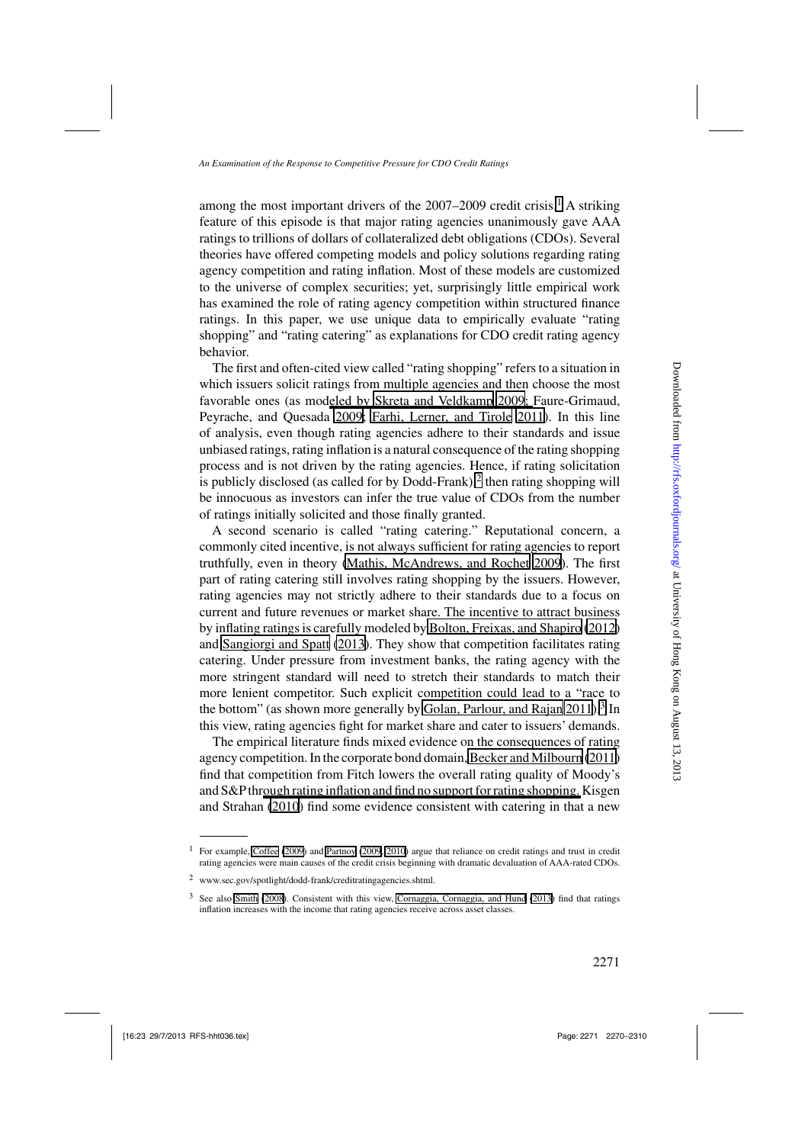among the most important drivers of the  $2007-2009$  credit crisis.<sup>1</sup> A striking feature of this episode is that major rating agencies unanimously gave AAA ratings to trillions of dollars of collateralized debt obligations (CDOs). Several theories have offered competing models and policy solutions regarding rating agency competition and rating inflation. Most of these models are customized to the universe of complex securities; yet, surprisingly little empirical work has examined the role of rating agency competition within structured finance ratings. In this paper, we use unique data to empirically evaluate "rating shopping" and "rating catering" as explanations for CDO credit rating agency behavior.

The first and often-cited view called "rating shopping" refers to a situation in which issuers solicit ratings from multiple agencies and then choose the most favorable ones (as mod[eled by](#page-38-0) [Skreta and Veldkamp 2009](#page-40-0)[;](#page-38-0) Faure-Grimaud, Peyrache, and Quesada [2009; Farhi, Lerner, and Tirole 2011](#page-38-0)). In this line of analysis, even though rating agencies adhere to their standards and issue unbiased ratings, rating inflation is a natural consequence of the rating shopping process and is not driven by the rating agencies. Hence, if rating solicitation is publicly disclosed (as called for by Dodd-Frank),<sup>2</sup> then rating shopping will be innocuous as investors can infer the true value of CDOs from the number of ratings initially solicited and those finally granted.

A second scenario is called "rating catering." Reputational concern, a commonly cited incentive, is not always sufficient for rating agencies to report truthfully, even in theory [\(Mathis, McAndrews, and Rochet 2009](#page-39-0)). The first part of rating catering still involves rating shopping by the issuers. However, rating agencies may not strictly adhere to their standards due to a focus on current and future revenues or market share. The incentive to attract business by inflating ratings is carefully modeled by [Bolton, Freixas, and Shapiro](#page-38-0) [\(2012](#page-38-0)) and [Sangiorgi and Spatt](#page-40-0) [\(2013\)](#page-40-0). They show that competition facilitates rating catering. Under pressure from investment banks, the rating agency with the more stringent standard will need to stretch their standards to match their more lenient competitor. Such explicit competition could lead to a "race to the bottom" (as shown more generally by [Golan, Parlour, and Rajan 2011](#page-39-0)).<sup>3</sup> In this view, rating agencies fight for market share and cater to issuers' demands.

The empirical literature finds mixed evidence on the consequences of rating agency competition. In the corporate bond domain, [Becker and Milbourn](#page-38-0) [\(2011](#page-38-0)) find that competition from Fitch lowers the overall rating quality of Moody's and S&Pthr[ough rating inflation and find no support for rating shopping.](#page-39-0) Kisgen and Strahan [\(2010](#page-39-0)) find some evidence consistent with catering in that a new

<sup>&</sup>lt;sup>1</sup> For example, [Coffee](#page-38-0) [\(2009](#page-39-0)) and [Partnoy](#page-39-0) (2009, [2010](#page-40-0)) argue that reliance on credit ratings and trust in credit rating agencies were main causes of the credit crisis beginning with dramatic devaluation of AAA-rated CDOs.

<sup>2</sup> www.sec.gov/spotlight/dodd-frank/creditratingagencies.shtml.

See also [Smith](#page-40-0) [\(2008\)](#page-40-0). Consistent with this view, [Cornaggia, Cornaggia, and Hund](#page-38-0) [\(2013](#page-38-0)) find that ratings inflation increases with the income that rating agencies receive across asset classes.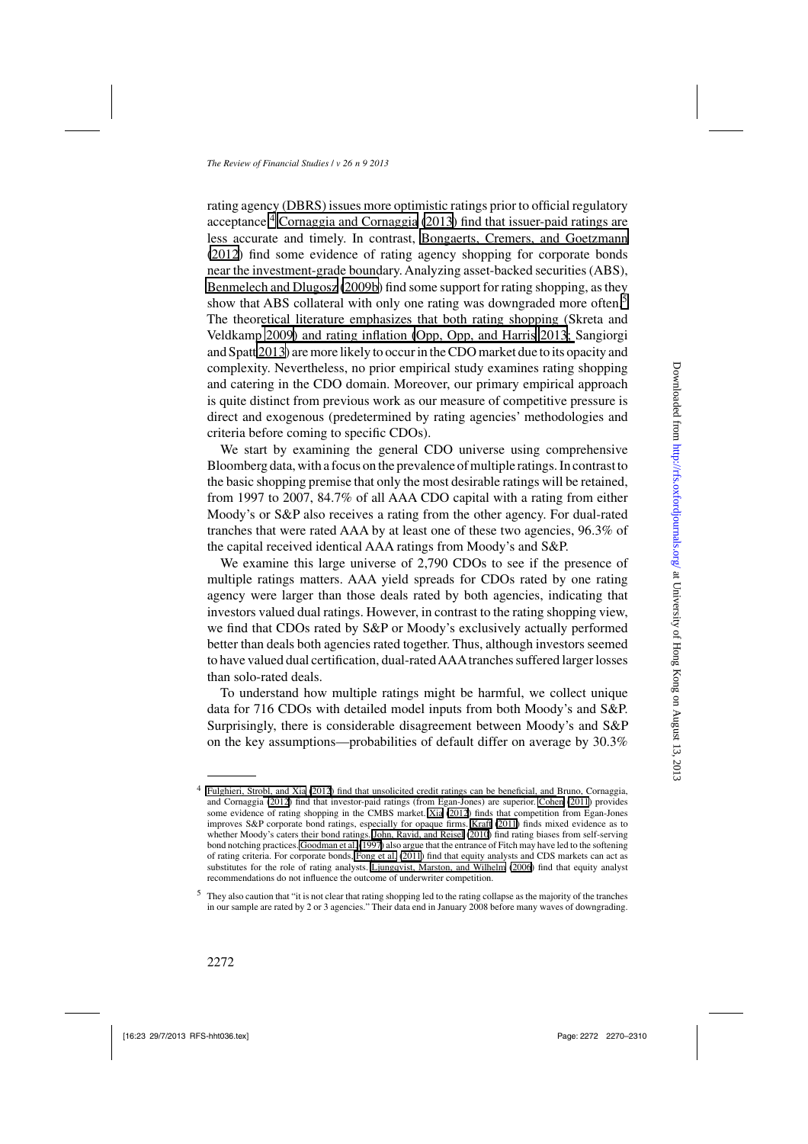rating agency (DBRS) issues more optimistic ratings prior to official regulatory acceptance.<sup>4</sup> [Cornaggia and Cornaggia](#page-38-0) [\(2013](#page-38-0)) find that issuer-paid ratings are less accurate and timely. In contrast, [Bongaerts, Cremers, and Goetzmann](#page-38-0) [\(2012\)](#page-38-0) find some evidence of rating agency shopping for corporate bonds near the investment-grade boundary. Analyzing asset-backed securities (ABS), [Benmelech and Dlugosz](#page-38-0) [\(2009b](#page-38-0)) find some support for rating shopping, as they show that ABS collateral with only one rating was downgraded more often.<sup>5</sup> The theor[etical literature emphasizes that both rating shopping \(](#page-40-0)Skreta and Veldkam[p 2009\) and rating inflation](#page-40-0) [\(Opp, Opp, and Harris 2013;](#page-39-0) Sangiorgi and Spatt [2013\)](#page-40-0) are more likely to occur in the CDO market due to its opacity and complexity. Nevertheless, no prior empirical study examines rating shopping and catering in the CDO domain. Moreover, our primary empirical approach is quite distinct from previous work as our measure of competitive pressure is direct and exogenous (predetermined by rating agencies' methodologies and criteria before coming to specific CDOs).

We start by examining the general CDO universe using comprehensive Bloomberg data, with a focus on the prevalence of multiple ratings. In contrast to the basic shopping premise that only the most desirable ratings will be retained, from 1997 to 2007, 84.7% of all AAA CDO capital with a rating from either Moody's or S&P also receives a rating from the other agency. For dual-rated tranches that were rated AAA by at least one of these two agencies, 96.3% of the capital received identical AAA ratings from Moody's and S&P.

We examine this large universe of 2,790 CDOs to see if the presence of multiple ratings matters. AAA yield spreads for CDOs rated by one rating agency were larger than those deals rated by both agencies, indicating that investors valued dual ratings. However, in contrast to the rating shopping view, we find that CDOs rated by S&P or Moody's exclusively actually performed better than deals both agencies rated together. Thus, although investors seemed to have valued dual certification, dual-ratedAAAtranches suffered larger losses than solo-rated deals.

To understand how multiple ratings might be harmful, we collect unique data for 716 CDOs with detailed model inputs from both Moody's and S&P. Surprisingly, there is considerable disagreement between Moody's and S&P on the key assumptions—probabilities of default differ on average by 30.3%

<sup>4</sup> [Fulghieri, Strobl, and Xia](#page-39-0) [\(2012\)](#page-39-0) [find](#page-38-0) [that](#page-38-0) [unsolicited](#page-38-0) [credit](#page-38-0) [ratings](#page-38-0) [can](#page-38-0) [be](#page-38-0) [beneficial,](#page-38-0) [and](#page-38-0) Bruno, Cornaggia, and Cornaggia [\(2012\)](#page-38-0) find that investor-paid ratings (from Egan-Jones) are superior. [Cohen](#page-38-0) [\(2011](#page-38-0)) provides some evidence of rating shopping in the CMBS market. [Xia](#page-40-0) [\(2012\)](#page-40-0) finds that competition from Egan-Jones improves S&P corporate bond ratings, especially for opaque firms. [Kraft](#page-39-0) [\(2011](#page-39-0)) finds mixed evidence as to whether Moody's caters their bond ratings. [John, Ravid, and Reisel](#page-39-0) [\(2010\)](#page-39-0) find rating biases from self-serving bond notching practices. [Goodman et al.](#page-39-0) [\(1997](#page-39-0)) also argue that the entrance of Fitch may have led to the softening of rating criteria. For corporate bonds, [Fong et al.](#page-39-0) [\(2011\)](#page-39-0) find that equity analysts and CDS markets can act as substitutes for the role of rating analysts. [Ljungqvist, Marston, and Wilhelm](#page-39-0) [\(2006](#page-39-0)) find that equity analyst recommendations do not influence the outcome of underwriter competition.

<sup>5</sup> They also caution that "it is not clear that rating shopping led to the rating collapse as the majority of the tranches in our sample are rated by 2 or 3 agencies." Their data end in January 2008 before many waves of downgrading.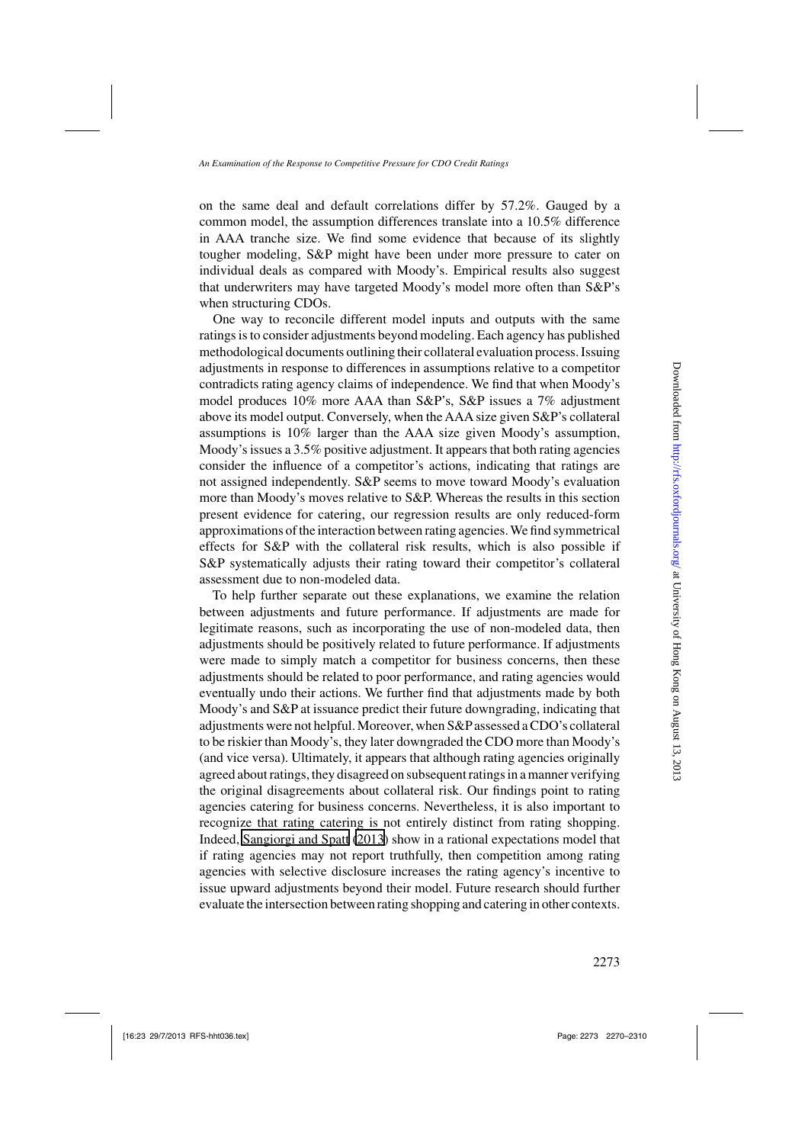on the same deal and default correlations differ by 57.2%. Gauged by a common model, the assumption differences translate into a 10.5% difference in AAA tranche size. We find some evidence that because of its slightly tougher modeling, S&P might have been under more pressure to cater on individual deals as compared with Moody's. Empirical results also suggest that underwriters may have targeted Moody's model more often than S&P's when structuring CDOs.

One way to reconcile different model inputs and outputs with the same ratings is to consider adjustments beyond modeling. Each agency has published methodological documents outlining their collateral evaluation process. Issuing adjustments in response to differences in assumptions relative to a competitor contradicts rating agency claims of independence. We find that when Moody's model produces 10% more AAA than S&P's, S&P issues a 7% adjustment above its model output. Conversely, when the AAA size given S&P's collateral assumptions is 10% larger than the AAA size given Moody's assumption, Moody's issues a 3.5% positive adjustment. It appears that both rating agencies consider the influence of a competitor's actions, indicating that ratings are not assigned independently. S&P seems to move toward Moody's evaluation more than Moody's moves relative to S&P. Whereas the results in this section present evidence for catering, our regression results are only reduced-form approximations of the interaction between rating agencies. We find symmetrical effects for S&P with the collateral risk results, which is also possible if S&P systematically adjusts their rating toward their competitor's collateral assessment due to non-modeled data.

To help further separate out these explanations, we examine the relation between adjustments and future performance. If adjustments are made for legitimate reasons, such as incorporating the use of non-modeled data, then adjustments should be positively related to future performance. If adjustments were made to simply match a competitor for business concerns, then these adjustments should be related to poor performance, and rating agencies would eventually undo their actions. We further find that adjustments made by both Moody's and S&P at issuance predict their future downgrading, indicating that adjustments were not helpful. Moreover, when S&Passessed a CDO's collateral to be riskier than Moody's, they later downgraded the CDO more than Moody's (and vice versa). Ultimately, it appears that although rating agencies originally agreed about ratings, they disagreed on subsequent ratings in a manner verifying the original disagreements about collateral risk. Our findings point to rating agencies catering for business concerns. Nevertheless, it is also important to recognize that rating catering is not entirely distinct from rating shopping. Indeed, [Sangiorgi and Spatt](#page-40-0) [\(2013\)](#page-40-0) show in a rational expectations model that if rating agencies may not report truthfully, then competition among rating agencies with selective disclosure increases the rating agency's incentive to issue upward adjustments beyond their model. Future research should further evaluate the intersection between rating shopping and catering in other contexts.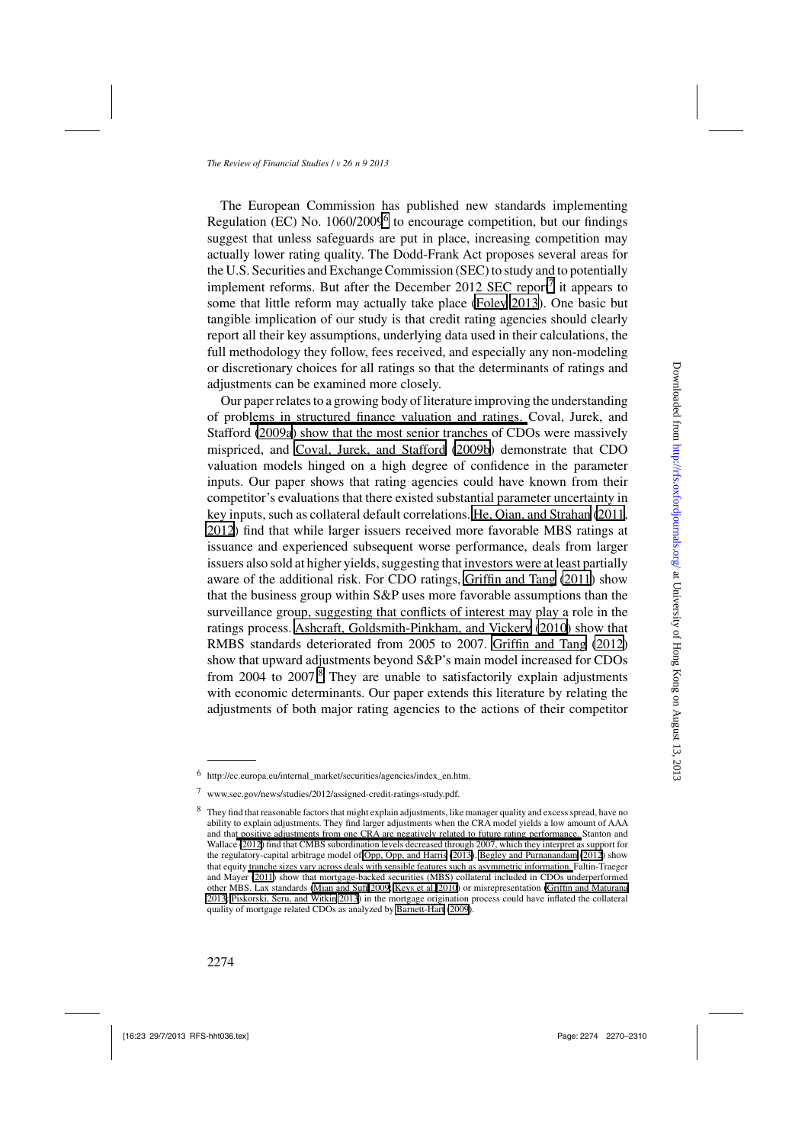The European Commission has published new standards implementing Regulation (EC) No.  $1060/2009^6$  to encourage competition, but our findings suggest that unless safeguards are put in place, increasing competition may actually lower rating quality. The Dodd-Frank Act proposes several areas for the U.S. Securities and Exchange Commission (SEC) to study and to potentially implement reforms. But after the December 2012 SEC report<sup>7</sup> it appears to some that little reform may actually take place [\(Foley 2013](#page-39-0)). One basic but tangible implication of our study is that credit rating agencies should clearly report all their key assumptions, underlying data used in their calculations, the full methodology they follow, fees received, and especially any non-modeling or discretionary choices for all ratings so that the determinants of ratings and adjustments can be examined more closely.

Our paper relates to a growing body of literature improving the understanding of prob[lems in structured finance valuation and ratings.](#page-38-0) Coval, Jurek, and Stafford [\(2009a\)](#page-38-0) show that the most senior tranches of CDOs were massively mispriced, and [Coval, Jurek, and Stafford](#page-38-0) [\(2009b\)](#page-38-0) demonstrate that CDO valuation models hinged on a high degree of confidence in the parameter inputs. Our paper shows that rating agencies could have known from their competitor's evaluations that there existed substantial parameter uncertainty in key inputs, such as collateral default correlations. [He, Qian, and Strahan](#page-39-0) [\(2011,](#page-39-0) [2012](#page-39-0)) find that while larger issuers received more favorable MBS ratings at issuance and experienced subsequent worse performance, deals from larger issuers also sold at higher yields, suggesting that investors were at least partially aware of the additional risk. For CDO ratings, [Griffin and Tang](#page-39-0) [\(2011\)](#page-39-0) show that the business group within S&P uses more favorable assumptions than the surveillance group, suggesting that conflicts of interest may play a role in the ratings process. [Ashcraft, Goldsmith-Pinkham, and Vickery](#page-38-0) [\(2010](#page-38-0)) show that RMBS standards deteriorated from 2005 to 2007. [Griffin and Tang](#page-39-0) [\(2012\)](#page-39-0) show that upward adjustments beyond S&P's main model increased for CDOs from 2004 to  $2007<sup>8</sup>$ . They are unable to satisfactorily explain adjustments with economic determinants. Our paper extends this literature by relating the adjustments of both major rating agencies to the actions of their competitor

<sup>6</sup> http://ec.europa.eu/internal\_market/securities/agencies/index\_en.htm.

<sup>7</sup> www.sec.gov/news/studies/2012/assigned-credit-ratings-study.pdf.

<sup>8</sup> They find that reasonable factors that might explain adjustments, like manager quality and excess spread, have no ability to explain adjustments. They find larger adjustments when the CRA model yields a low amount of AAA and tha[t positive adjustments from one CRA are negatively related to future rating performance.](#page-40-0) Stanton and Wallace [\(2012](#page-40-0)) find that CMBS subordination levels decreased through 2007, which they interpret as support for the regulatory-capital arbitrage model of [Opp, Opp, and Harris](#page-39-0) [\(2013](#page-39-0)). [Begley and Purnanandam](#page-38-0) [\(2012](#page-38-0)) show that equity [tranche sizes vary across deals with sensible features such as asymmetric information.](#page-38-0) Faltin-Traeger and Mayer [\(2011](#page-38-0)) show that mortgage-backed securities (MBS) collateral included in CDOs underperformed other MBS. Lax standards [\(Mian and Sufi 2009; Keys et al. 2010\)](#page-39-0) or misrepresentation [\(Griffin and Maturana](#page-39-0) [2013](#page-39-0); [Piskorski, Seru, and Witkin 2013\)](#page-40-0) in the mortgage origination process could have inflated the collateral quality of mortgage related CDOs as analyzed by [Barnett-Hart](#page-38-0) [\(2009](#page-38-0)).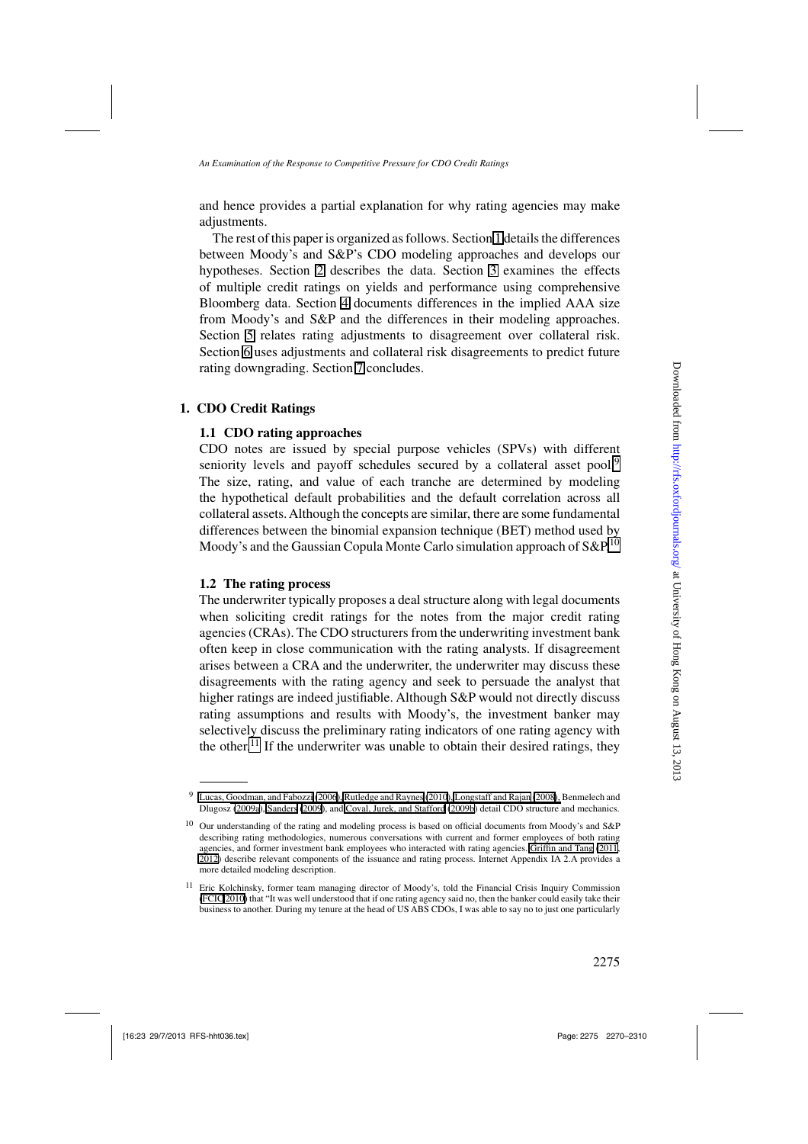and hence provides a partial explanation for why rating agencies may make adjustments.

The rest of this paper is organized as follows. Section 1 details the differences between Moody's and S&P's CDO modeling approaches and develops our hypotheses. Section [2](#page-8-0) describes the data. Section [3](#page-10-0) examines the effects of multiple credit ratings on yields and performance using comprehensive Bloomberg data. Section [4](#page-18-0) documents differences in the implied AAA size from Moody's and S&P and the differences in their modeling approaches. Section [5](#page-22-0) relates rating adjustments to disagreement over collateral risk. Section [6](#page-31-0) uses adjustments and collateral risk disagreements to predict future rating downgrading. Section [7](#page-37-0) concludes.

# **1. CDO Credit Ratings**

# **1.1 CDO rating approaches**

CDO notes are issued by special purpose vehicles (SPVs) with different seniority levels and payoff schedules secured by a collateral asset pool.<sup>9</sup> The size, rating, and value of each tranche are determined by modeling the hypothetical default probabilities and the default correlation across all collateral assets. Although the concepts are similar, there are some fundamental differences between the binomial expansion technique (BET) method used by Moody's and the Gaussian Copula Monte Carlo simulation approach of S&P.<sup>10</sup>

# **1.2 The rating process**

The underwriter typically proposes a deal structure along with legal documents when soliciting credit ratings for the notes from the major credit rating agencies (CRAs). The CDO structurers from the underwriting investment bank often keep in close communication with the rating analysts. If disagreement arises between a CRA and the underwriter, the underwriter may discuss these disagreements with the rating agency and seek to persuade the analyst that higher ratings are indeed justifiable. Although S&P would not directly discuss rating assumptions and results with Moody's, the investment banker may selectively discuss the preliminary rating indicators of one rating agency with the other.<sup>11</sup> If the underwriter was unable to obtain their desired ratings, they

<sup>9</sup> [Lucas, Goodman, and Fabozzi](#page-39-0)[\(2006](#page-39-0)[\),](#page-38-0) [Rutledge and Raynes](#page-40-0)[\(2010](#page-40-0)[\),](#page-38-0) [Longstaff and Rajan](#page-39-0)[\(2008](#page-39-0)[\),](#page-38-0) Benmelech and Dlugosz [\(2009a\)](#page-38-0), [Sanders](#page-40-0) [\(2009\)](#page-40-0), and [Coval, Jurek, and Stafford](#page-38-0) [\(2009b](#page-38-0)) detail CDO structure and mechanics.

<sup>&</sup>lt;sup>10</sup> Our understanding of the rating and modeling process is based on official documents from Moody's and S&P describing rating methodologies, numerous conversations with current and former employees of both rating agencies, and former investment bank employees who interacted with rating agencies. [Griffin and Tang](#page-39-0) [\(2011,](#page-39-0) [2012\)](#page-39-0) describe relevant components of the issuance and rating process. Internet Appendix IA 2.A provides a more detailed modeling description.

<sup>&</sup>lt;sup>11</sup> Eric Kolchinsky, former team managing director of Moody's, told the Financial Crisis Inquiry Commission [\(FCIC 2010\)](#page-38-0) that "It was well understood that if one rating agency said no, then the banker could easily take their business to another. During my tenure at the head of US ABS CDOs, I was able to say no to just one particularly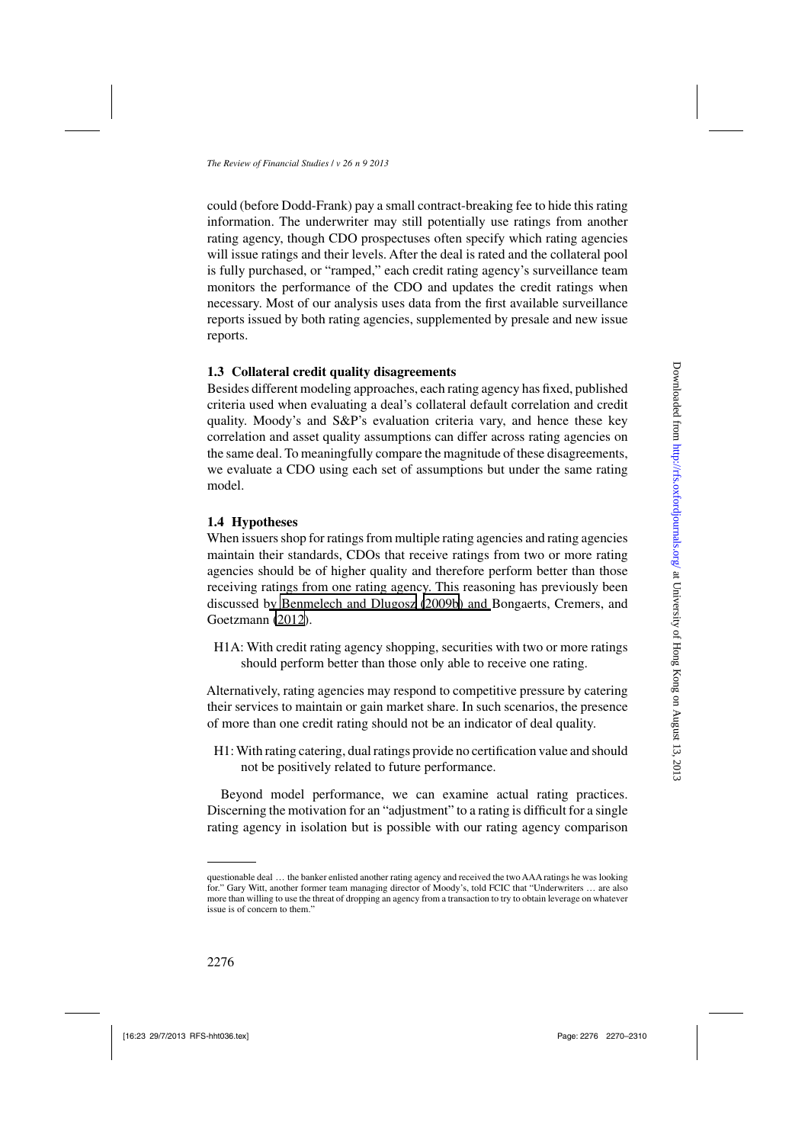could (before Dodd-Frank) pay a small contract-breaking fee to hide this rating information. The underwriter may still potentially use ratings from another rating agency, though CDO prospectuses often specify which rating agencies will issue ratings and their levels. After the deal is rated and the collateral pool is fully purchased, or "ramped," each credit rating agency's surveillance team monitors the performance of the CDO and updates the credit ratings when necessary. Most of our analysis uses data from the first available surveillance reports issued by both rating agencies, supplemented by presale and new issue reports.

# **1.3 Collateral credit quality disagreements**

Besides different modeling approaches, each rating agency has fixed, published criteria used when evaluating a deal's collateral default correlation and credit quality. Moody's and S&P's evaluation criteria vary, and hence these key correlation and asset quality assumptions can differ across rating agencies on the same deal. To meaningfully compare the magnitude of these disagreements, we evaluate a CDO using each set of assumptions but under the same rating model.

# **1.4 Hypotheses**

When issuers shop for ratings from multiple rating agencies and rating agencies maintain their standards, CDOs that receive ratings from two or more rating agencies should be of higher quality and therefore perform better than those receiving ratings from one rating agency. This reasoning has previously been discussed [by Benmelech and Dlugosz \(2009b\) and](#page-38-0) Bongaerts, Cremers, and Goetzmann [\(2012](#page-38-0)).

H1A: With credit rating agency shopping, securities with two or more ratings should perform better than those only able to receive one rating.

Alternatively, rating agencies may respond to competitive pressure by catering their services to maintain or gain market share. In such scenarios, the presence of more than one credit rating should not be an indicator of deal quality.

H1: With rating catering, dual ratings provide no certification value and should not be positively related to future performance.

Beyond model performance, we can examine actual rating practices. Discerning the motivation for an "adjustment" to a rating is difficult for a single rating agency in isolation but is possible with our rating agency comparison

questionable deal … the banker enlisted another rating agency and received the two AAA ratings he was looking for." Gary Witt, another former team managing director of Moody's, told FCIC that "Underwriters … are also more than willing to use the threat of dropping an agency from a transaction to try to obtain leverage on whatever issue is of concern to them."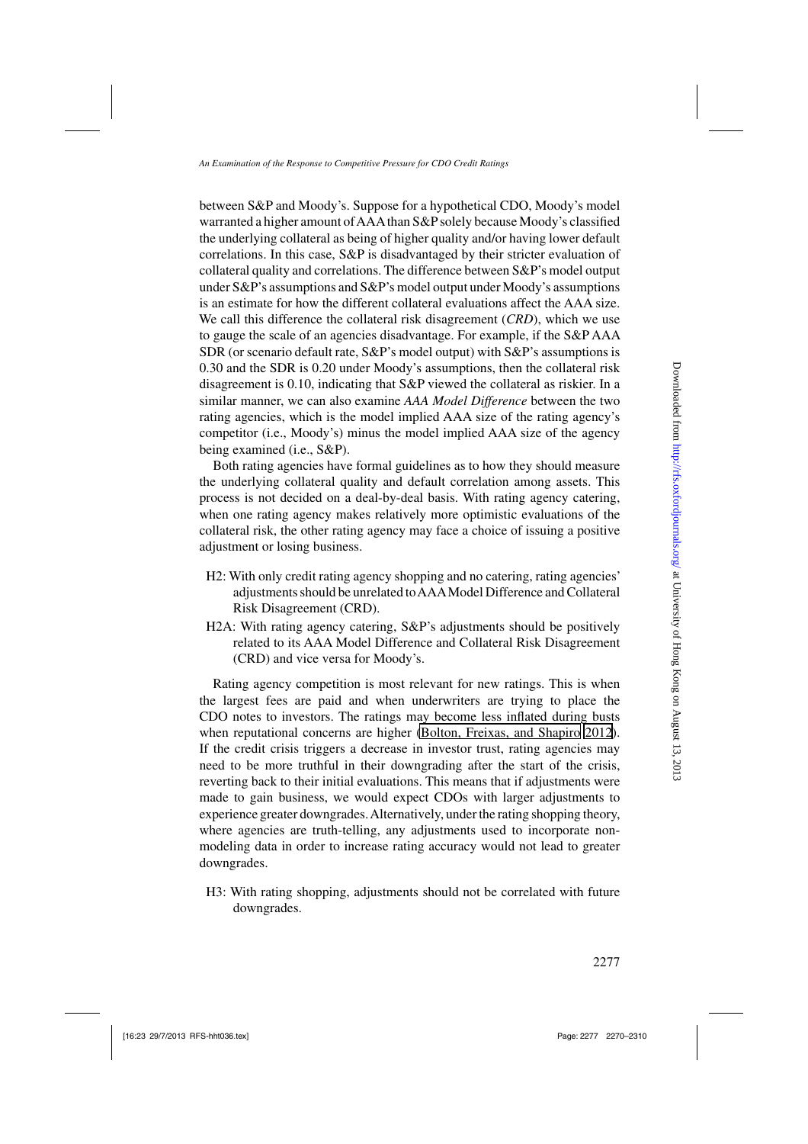between S&P and Moody's. Suppose for a hypothetical CDO, Moody's model warranted a higher amount of AAA than S&P solely because Moody's classified the underlying collateral as being of higher quality and/or having lower default correlations. In this case, S&P is disadvantaged by their stricter evaluation of collateral quality and correlations. The difference between S&P's model output under S&P's assumptions and S&P's model output under Moody's assumptions is an estimate for how the different collateral evaluations affect the AAA size. We call this difference the collateral risk disagreement (*CRD*), which we use to gauge the scale of an agencies disadvantage. For example, if the S&P AAA SDR (or scenario default rate, S&P's model output) with S&P's assumptions is 0.30 and the SDR is 0.20 under Moody's assumptions, then the collateral risk disagreement is 0.10, indicating that S&P viewed the collateral as riskier. In a similar manner, we can also examine *AAA Model Difference* between the two rating agencies, which is the model implied AAA size of the rating agency's competitor (i.e., Moody's) minus the model implied AAA size of the agency being examined (i.e., S&P).

Both rating agencies have formal guidelines as to how they should measure the underlying collateral quality and default correlation among assets. This process is not decided on a deal-by-deal basis. With rating agency catering, when one rating agency makes relatively more optimistic evaluations of the collateral risk, the other rating agency may face a choice of issuing a positive adjustment or losing business.

- H2: With only credit rating agency shopping and no catering, rating agencies' adjustments should be unrelated toAAAModel Difference and Collateral Risk Disagreement (CRD).
- H2A: With rating agency catering, S&P's adjustments should be positively related to its AAA Model Difference and Collateral Risk Disagreement (CRD) and vice versa for Moody's.

Rating agency competition is most relevant for new ratings. This is when the largest fees are paid and when underwriters are trying to place the CDO notes to investors. The ratings may become less inflated during busts when reputational concerns are higher [\(Bolton, Freixas, and Shapiro 2012\)](#page-38-0). If the credit crisis triggers a decrease in investor trust, rating agencies may need to be more truthful in their downgrading after the start of the crisis, reverting back to their initial evaluations. This means that if adjustments were made to gain business, we would expect CDOs with larger adjustments to experience greater downgrades.Alternatively, under the rating shopping theory, where agencies are truth-telling, any adjustments used to incorporate nonmodeling data in order to increase rating accuracy would not lead to greater downgrades.

H3: With rating shopping, adjustments should not be correlated with future downgrades.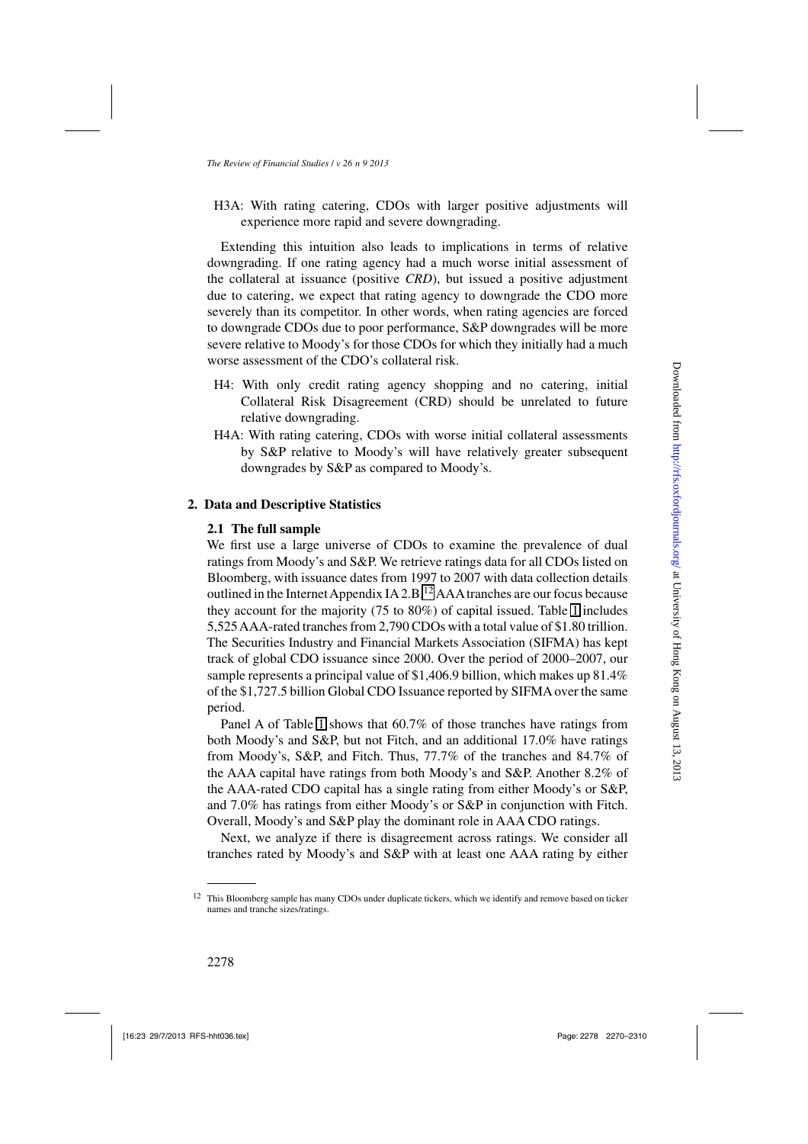<span id="page-8-0"></span>H3A: With rating catering, CDOs with larger positive adjustments will experience more rapid and severe downgrading.

Extending this intuition also leads to implications in terms of relative downgrading. If one rating agency had a much worse initial assessment of the collateral at issuance (positive *CRD*), but issued a positive adjustment due to catering, we expect that rating agency to downgrade the CDO more severely than its competitor. In other words, when rating agencies are forced to downgrade CDOs due to poor performance, S&P downgrades will be more severe relative to Moody's for those CDOs for which they initially had a much worse assessment of the CDO's collateral risk.

- H4: With only credit rating agency shopping and no catering, initial Collateral Risk Disagreement (CRD) should be unrelated to future relative downgrading.
- H4A: With rating catering, CDOs with worse initial collateral assessments by S&P relative to Moody's will have relatively greater subsequent downgrades by S&P as compared to Moody's.

## **2. Data and Descriptive Statistics**

#### **2.1 The full sample**

We first use a large universe of CDOs to examine the prevalence of dual ratings from Moody's and S&P. We retrieve ratings data for all CDOs listed on Bloomberg, with issuance dates from 1997 to 2007 with data collection details outlined in the Internet Appendix IA  $2.B.<sup>12</sup> AAA$  tranches are our focus because they account for the majority (75 to 80%) of capital issued. Table [1](#page-9-0) includes 5,525AAA-rated tranches from 2,790 CDOs with a total value of \$1.80 trillion. The Securities Industry and Financial Markets Association (SIFMA) has kept track of global CDO issuance since 2000. Over the period of 2000–2007, our sample represents a principal value of \$1,406.9 billion, which makes up 81.4% of the \$1,727.5 billion Global CDO Issuance reported by SIFMA over the same period.

Panel A of Table [1](#page-9-0) shows that 60.7% of those tranches have ratings from both Moody's and S&P, but not Fitch, and an additional 17.0% have ratings from Moody's, S&P, and Fitch. Thus, 77.7% of the tranches and 84.7% of the AAA capital have ratings from both Moody's and S&P. Another 8.2% of the AAA-rated CDO capital has a single rating from either Moody's or S&P, and 7.0% has ratings from either Moody's or S&P in conjunction with Fitch. Overall, Moody's and S&P play the dominant role in AAA CDO ratings.

Next, we analyze if there is disagreement across ratings. We consider all tranches rated by Moody's and S&P with at least one AAA rating by either

<sup>12</sup> This Bloomberg sample has many CDOs under duplicate tickers, which we identify and remove based on ticker names and tranche sizes/ratings.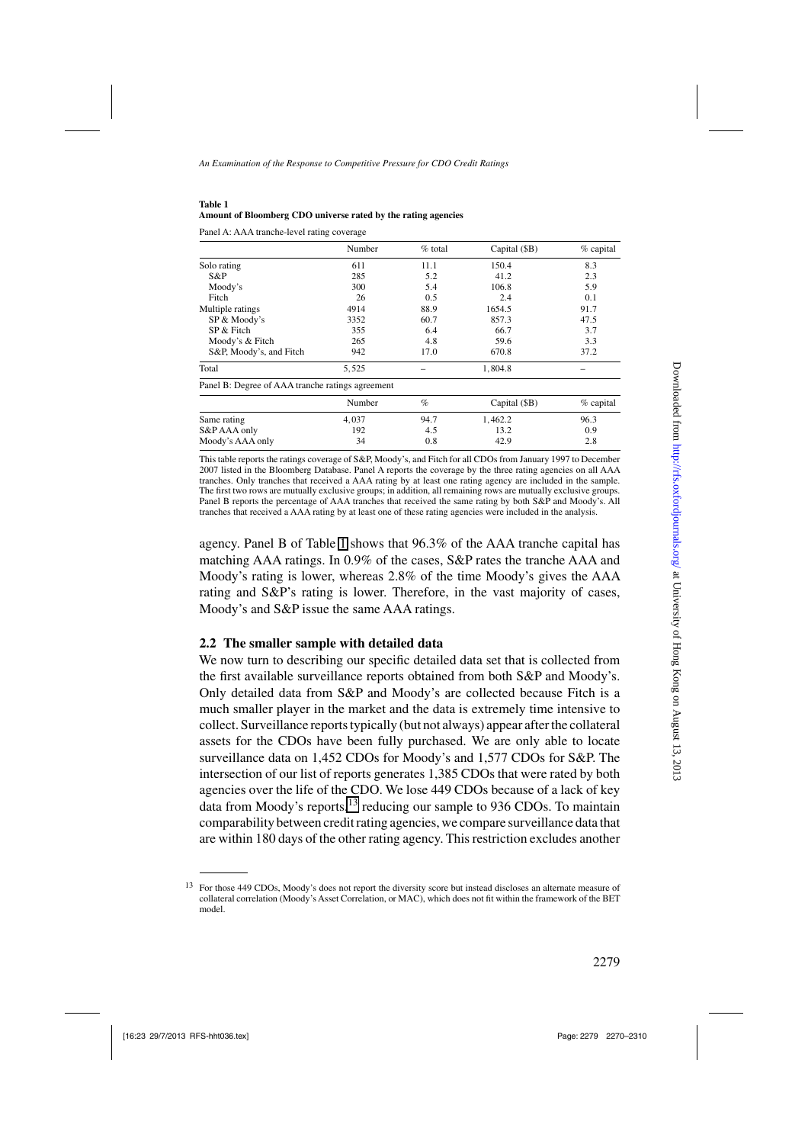<span id="page-9-0"></span>

| Table 1                                                       |  |
|---------------------------------------------------------------|--|
| Amount of Bloomberg CDO universe rated by the rating agencies |  |

|                                                  | Number | $%$ total | Capital (\$B) | % capital   |
|--------------------------------------------------|--------|-----------|---------------|-------------|
| Solo rating                                      | 611    | 11.1      | 150.4         | 8.3         |
| S&P                                              | 285    | 5.2       | 41.2          | 2.3         |
| Moody's                                          | 300    | 5.4       | 106.8         | 5.9         |
| Fitch                                            | 26     | 0.5       | 2.4           | 0.1         |
| Multiple ratings                                 | 4914   | 88.9      | 1654.5        | 91.7        |
| SP & Moody's                                     | 3352   | 60.7      | 857.3         | 47.5        |
| SP & Fitch                                       | 355    | 6.4       | 66.7          | 3.7         |
| Moody's & Fitch                                  | 265    | 4.8       | 59.6          | 3.3         |
| S&P, Moody's, and Fitch                          | 942    | 17.0      | 670.8         | 37.2        |
| Total                                            | 5,525  |           | 1,804.8       |             |
| Panel B: Degree of AAA tranche ratings agreement |        |           |               |             |
|                                                  | Number | $\%$      | Capital (\$B) | $%$ capital |
| Same rating                                      | 4,037  | 94.7      | 1,462.2       | 96.3        |
| S&P AAA only                                     | 192    | 4.5       | 13.2          | 0.9         |
| Moody's AAA only                                 | 34     | 0.8       | 42.9          | 2.8         |

This table reports the ratings coverage of S&P, Moody's, and Fitch for all CDOs from January 1997 to December 2007 listed in the Bloomberg Database. Panel A reports the coverage by the three rating agencies on all AAA tranches. Only tranches that received a AAA rating by at least one rating agency are included in the sample. The first two rows are mutually exclusive groups; in addition, all remaining rows are mutually exclusive groups. Panel B reports the percentage of AAA tranches that received the same rating by both S&P and Moody's. All tranches that received a AAA rating by at least one of these rating agencies were included in the analysis.

agency. Panel B of Table 1 shows that 96.3% of the AAA tranche capital has matching AAA ratings. In 0.9% of the cases, S&P rates the tranche AAA and Moody's rating is lower, whereas 2.8% of the time Moody's gives the AAA rating and S&P's rating is lower. Therefore, in the vast majority of cases, Moody's and S&P issue the same AAA ratings.

## **2.2 The smaller sample with detailed data**

We now turn to describing our specific detailed data set that is collected from the first available surveillance reports obtained from both S&P and Moody's. Only detailed data from S&P and Moody's are collected because Fitch is a much smaller player in the market and the data is extremely time intensive to collect. Surveillance reports typically (but not always) appear after the collateral assets for the CDOs have been fully purchased. We are only able to locate surveillance data on 1,452 CDOs for Moody's and 1,577 CDOs for S&P. The intersection of our list of reports generates 1,385 CDOs that were rated by both agencies over the life of the CDO. We lose 449 CDOs because of a lack of key data from Moody's reports,<sup>13</sup> reducing our sample to 936 CDOs. To maintain comparability between credit rating agencies, we compare surveillance data that are within 180 days of the other rating agency. This restriction excludes another

<sup>13</sup> For those 449 CDOs, Moody's does not report the diversity score but instead discloses an alternate measure of collateral correlation (Moody's Asset Correlation, or MAC), which does not fit within the framework of the BET model.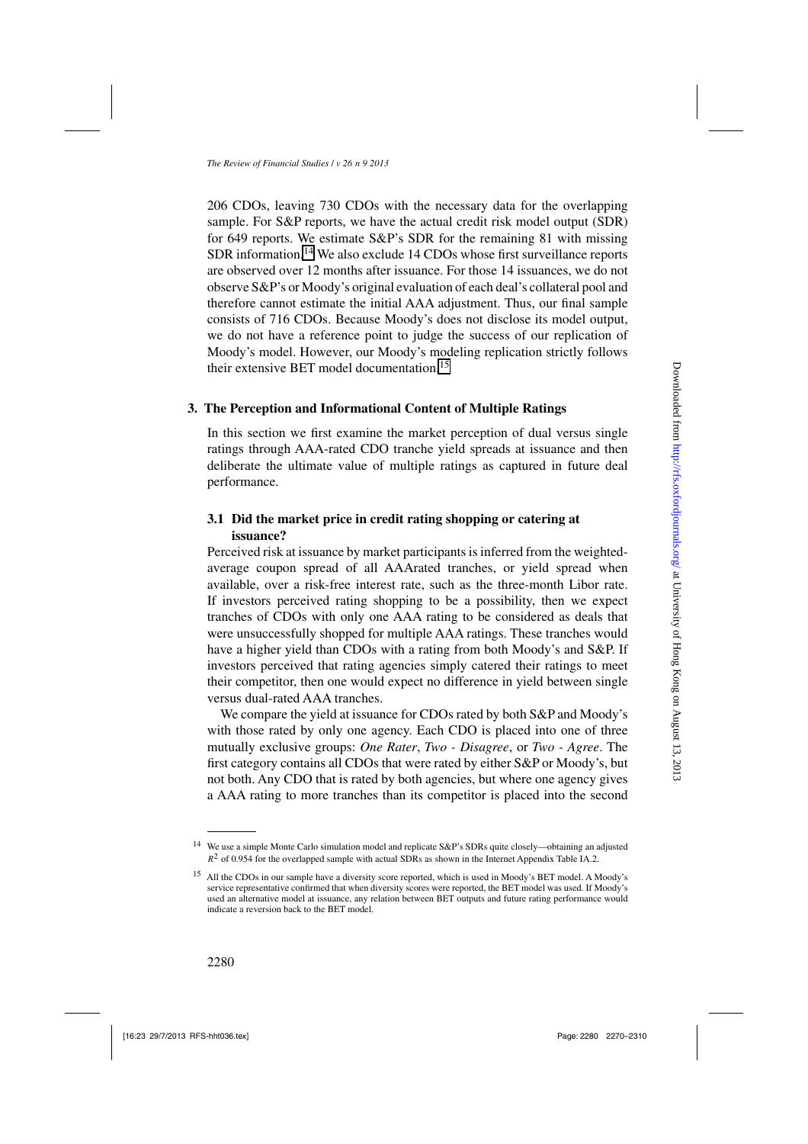<span id="page-10-0"></span>206 CDOs, leaving 730 CDOs with the necessary data for the overlapping sample. For S&P reports, we have the actual credit risk model output (SDR) for 649 reports. We estimate S&P's SDR for the remaining 81 with missing SDR information.<sup>14</sup> We also exclude 14 CDOs whose first surveillance reports are observed over 12 months after issuance. For those 14 issuances, we do not observe S&P's or Moody's original evaluation of each deal's collateral pool and therefore cannot estimate the initial AAA adjustment. Thus, our final sample consists of 716 CDOs. Because Moody's does not disclose its model output, we do not have a reference point to judge the success of our replication of Moody's model. However, our Moody's modeling replication strictly follows their extensive BET model documentation.<sup>15</sup>

# **3. The Perception and Informational Content of Multiple Ratings**

In this section we first examine the market perception of dual versus single ratings through AAA-rated CDO tranche yield spreads at issuance and then deliberate the ultimate value of multiple ratings as captured in future deal performance.

# **3.1 Did the market price in credit rating shopping or catering at issuance?**

Perceived risk at issuance by market participants is inferred from the weightedaverage coupon spread of all AAArated tranches, or yield spread when available, over a risk-free interest rate, such as the three-month Libor rate. If investors perceived rating shopping to be a possibility, then we expect tranches of CDOs with only one AAA rating to be considered as deals that were unsuccessfully shopped for multiple AAA ratings. These tranches would have a higher yield than CDOs with a rating from both Moody's and S&P. If investors perceived that rating agencies simply catered their ratings to meet their competitor, then one would expect no difference in yield between single versus dual-rated AAA tranches.

We compare the yield at issuance for CDOs rated by both S&P and Moody's with those rated by only one agency. Each CDO is placed into one of three mutually exclusive groups: *One Rater*, *Two - Disagree*, or *Two - Agree*. The first category contains all CDOs that were rated by either S&P or Moody's, but not both. Any CDO that is rated by both agencies, but where one agency gives a AAA rating to more tranches than its competitor is placed into the second

<sup>14</sup> We use a simple Monte Carlo simulation model and replicate S&P's SDRs quite closely—obtaining an adjusted  $R<sup>2</sup>$  of 0.954 for the overlapped sample with actual SDRs as shown in the Internet Appendix Table IA.2.

<sup>&</sup>lt;sup>15</sup> All the CDOs in our sample have a diversity score reported, which is used in Moody's BET model. A Moody's service representative confirmed that when diversity scores were reported, the BET model was used. If Moody's used an alternative model at issuance, any relation between BET outputs and future rating performance would indicate a reversion back to the BET model.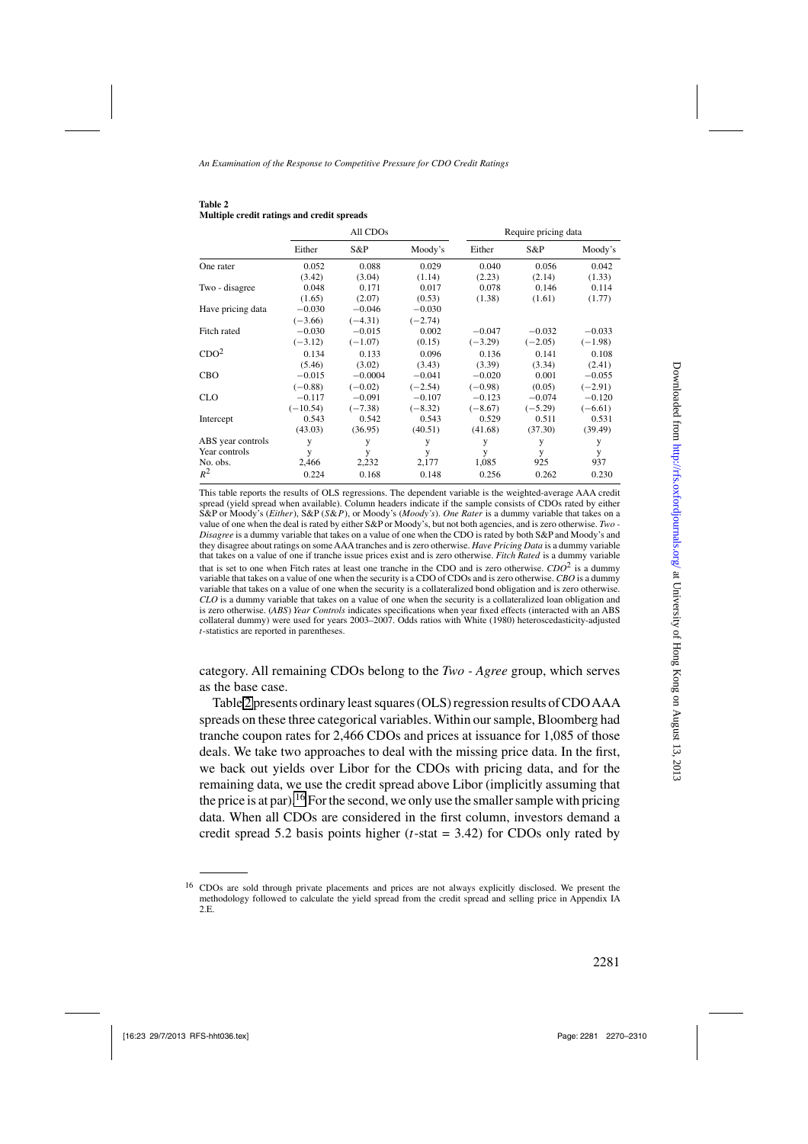|                   |            | All CDO <sub>s</sub> |           |           | Require pricing data |           |  |
|-------------------|------------|----------------------|-----------|-----------|----------------------|-----------|--|
|                   | Either     | S&P                  | Moody's   | Either    | S&P                  | Moody's   |  |
| One rater         | 0.052      | 0.088                | 0.029     | 0.040     | 0.056                | 0.042     |  |
|                   | (3.42)     | (3.04)               | (1.14)    | (2.23)    | (2.14)               | (1.33)    |  |
| Two - disagree    | 0.048      | 0.171                | 0.017     | 0.078     | 0.146                | 0.114     |  |
|                   | (1.65)     | (2.07)               | (0.53)    | (1.38)    | (1.61)               | (1.77)    |  |
| Have pricing data | $-0.030$   | $-0.046$             | $-0.030$  |           |                      |           |  |
|                   | $(-3.66)$  | $(-4.31)$            | $(-2.74)$ |           |                      |           |  |
| Fitch rated       | $-0.030$   | $-0.015$             | 0.002     | $-0.047$  | $-0.032$             | $-0.033$  |  |
|                   | $(-3.12)$  | $(-1.07)$            | (0.15)    | $(-3.29)$ | $(-2.05)$            | $(-1.98)$ |  |
| CDO <sup>2</sup>  | 0.134      | 0.133                | 0.096     | 0.136     | 0.141                | 0.108     |  |
|                   | (5.46)     | (3.02)               | (3.43)    | (3.39)    | (3.34)               | (2.41)    |  |
| <b>CBO</b>        | $-0.015$   | $-0.0004$            | $-0.041$  | $-0.020$  | 0.001                | $-0.055$  |  |
|                   | $(-0.88)$  | $(-0.02)$            | $(-2.54)$ | $(-0.98)$ | (0.05)               | $(-2.91)$ |  |
| <b>CLO</b>        | $-0.117$   | $-0.091$             | $-0.107$  | $-0.123$  | $-0.074$             | $-0.120$  |  |
|                   | $(-10.54)$ | $(-7.38)$            | $(-8.32)$ | $(-8.67)$ | $(-5.29)$            | $(-6.61)$ |  |
| Intercept         | 0.543      | 0.542                | 0.543     | 0.529     | 0.511                | 0.531     |  |
|                   | (43.03)    | (36.95)              | (40.51)   | (41.68)   | (37.30)              | (39.49)   |  |
| ABS year controls | y          | y                    | y         | y         | у                    | y         |  |
| Year controls     | y          | y                    | y         | y         | y                    | y         |  |
| No. obs.          | 2,466      | 2,232                | 2,177     | 1,085     | 925                  | 937       |  |
| $R^2$             | 0.224      | 0.168                | 0.148     | 0.256     | 0.262                | 0.230     |  |

#### <span id="page-11-0"></span>**Table 2 Multiple credit ratings and credit spreads**

This table reports the results of OLS regressions. The dependent variable is the weighted-average AAA credit spread (yield spread when available). Column headers indicate if the sample consists of CDOs rated by either S&P or Moody's (*Either*), S&P (S&P), or Moody's (*Moody's*). *One Rater* is a dummy variable that takes on a value of one when the deal is rated by either S&P or Moody's, but not both agencies, and is zero otherwise. *Two - Disagree* is a dummy variable that takes on a value of one when the CDO is rated by both S&P and Moody's and they disagree about ratings on some AAA tranches and is zero otherwise. *Have Pricing Data* is a dummy variable that takes on a value of one if tranche issue prices exist and is zero otherwise. *Fitch Rated* is a dummy variable that is set to one when Fitch rates at least one tranche in the CDO and is zero otherwise.  $CDO<sup>2</sup>$  is a dummy variable that takes on a value of one when the security is a CDO of CDOs and is zero otherwise. *CBO* is a dummy variable that takes on a value of one when the security is a collateralized bond obligation and is zero otherwise. *CLO* is a dummy variable that takes on a value of one when the security is a collateralized loan obligation and is zero otherwise. (*ABS*) *Year Controls* indicates specifications when year fixed effects (interacted with an ABS collateral dummy) were used for years 2003–2007. Odds ratios with White (1980) heteroscedasticity-adjusted t-statistics are reported in parentheses.

category. All remaining CDOs belong to the *Two - Agree* group, which serves as the base case.

Table 2 presents ordinary least squares (OLS) regression results of CDOAAA spreads on these three categorical variables. Within our sample, Bloomberg had tranche coupon rates for 2,466 CDOs and prices at issuance for 1,085 of those deals. We take two approaches to deal with the missing price data. In the first, we back out yields over Libor for the CDOs with pricing data, and for the remaining data, we use the credit spread above Libor (implicitly assuming that the price is at par).<sup>16</sup> For the second, we only use the smaller sample with pricing data. When all CDOs are considered in the first column, investors demand a credit spread 5.2 basis points higher ( $t$ -stat = 3.42) for CDOs only rated by

<sup>16</sup> CDOs are sold through private placements and prices are not always explicitly disclosed. We present the methodology followed to calculate the yield spread from the credit spread and selling price in Appendix IA 2.E.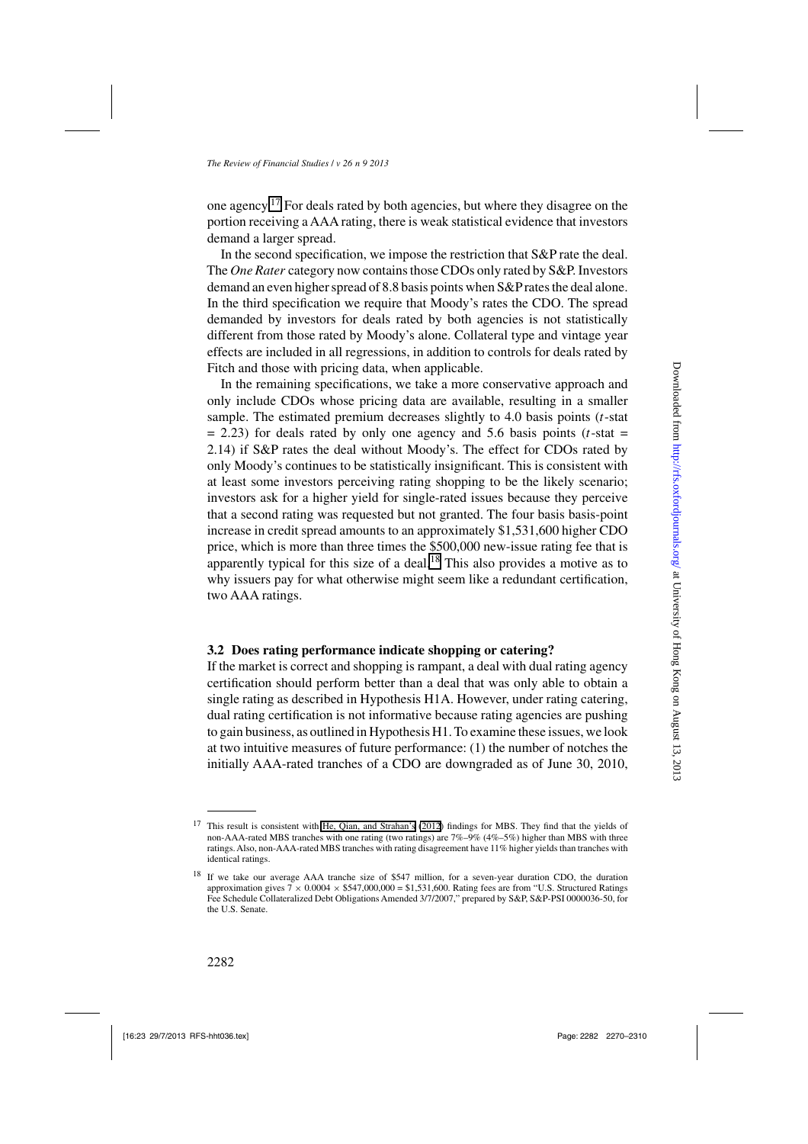one agency.<sup>17</sup> For deals rated by both agencies, but where they disagree on the portion receiving a AAA rating, there is weak statistical evidence that investors demand a larger spread.

In the second specification, we impose the restriction that S&P rate the deal. The *One Rater* category now contains those CDOs only rated by S&P. Investors demand an even higher spread of 8.8 basis points when S&Prates the deal alone. In the third specification we require that Moody's rates the CDO. The spread demanded by investors for deals rated by both agencies is not statistically different from those rated by Moody's alone. Collateral type and vintage year effects are included in all regressions, in addition to controls for deals rated by Fitch and those with pricing data, when applicable.

In the remaining specifications, we take a more conservative approach and only include CDOs whose pricing data are available, resulting in a smaller sample. The estimated premium decreases slightly to 4.0 basis points  $(t)$ -stat  $= 2.23$ ) for deals rated by only one agency and 5.6 basis points (t-stat = 2.14) if S&P rates the deal without Moody's. The effect for CDOs rated by only Moody's continues to be statistically insignificant. This is consistent with at least some investors perceiving rating shopping to be the likely scenario; investors ask for a higher yield for single-rated issues because they perceive that a second rating was requested but not granted. The four basis basis-point increase in credit spread amounts to an approximately \$1,531,600 higher CDO price, which is more than three times the \$500,000 new-issue rating fee that is apparently typical for this size of a deal.<sup>18</sup> This also provides a motive as to why issuers pay for what otherwise might seem like a redundant certification, two AAA ratings.

# **3.2 Does rating performance indicate shopping or catering?**

If the market is correct and shopping is rampant, a deal with dual rating agency certification should perform better than a deal that was only able to obtain a single rating as described in Hypothesis H1A. However, under rating catering, dual rating certification is not informative because rating agencies are pushing to gain business, as outlined in Hypothesis H1. To examine these issues, we look at two intuitive measures of future performance: (1) the number of notches the initially AAA-rated tranches of a CDO are downgraded as of June 30, 2010,

<sup>&</sup>lt;sup>17</sup> This result is consistent with [He, Qian, and Strahan's \(2012](#page-39-0)) findings for MBS. They find that the yields of non-AAA-rated MBS tranches with one rating (two ratings) are 7%–9% (4%–5%) higher than MBS with three ratings. Also, non-AAA-rated MBS tranches with rating disagreement have 11% higher yields than tranches with identical ratings.

<sup>18</sup> If we take our average AAA tranche size of \$547 million, for a seven-year duration CDO, the duration approximation gives  $7 \times 0.0004 \times $547,000,000 = $1,531,600$ . Rating fees are from "U.S. Structured Ratings Fee Schedule Collateralized Debt Obligations Amended 3/7/2007," prepared by S&P, S&P-PSI 0000036-50, for the U.S. Senate.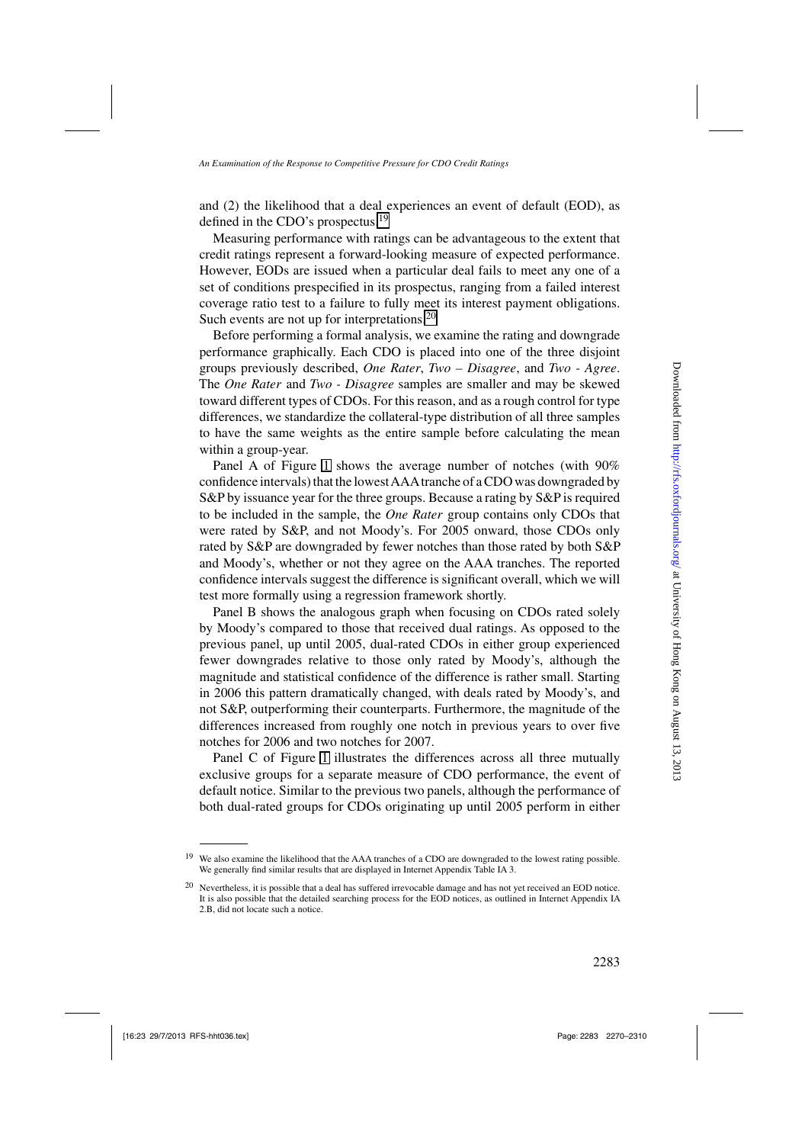and (2) the likelihood that a deal experiences an event of default (EOD), as defined in the CDO's prospectus.<sup>19</sup>

Measuring performance with ratings can be advantageous to the extent that credit ratings represent a forward-looking measure of expected performance. However, EODs are issued when a particular deal fails to meet any one of a set of conditions prespecified in its prospectus, ranging from a failed interest coverage ratio test to a failure to fully meet its interest payment obligations. Such events are not up for interpretations.<sup>20</sup>

Before performing a formal analysis, we examine the rating and downgrade performance graphically. Each CDO is placed into one of the three disjoint groups previously described, *One Rater*, *Two – Disagree*, and *Two - Agree*. The *One Rater* and *Two - Disagree* samples are smaller and may be skewed toward different types of CDOs. For this reason, and as a rough control for type differences, we standardize the collateral-type distribution of all three samples to have the same weights as the entire sample before calculating the mean within a group-year.

Panel A of Figure [1](#page-14-0) shows the average number of notches (with 90% confidence intervals) that the lowestAAAtranche of a CDO was downgraded by S&P by issuance year for the three groups. Because a rating by S&P is required to be included in the sample, the *One Rater* group contains only CDOs that were rated by S&P, and not Moody's. For 2005 onward, those CDOs only rated by S&P are downgraded by fewer notches than those rated by both S&P and Moody's, whether or not they agree on the AAA tranches. The reported confidence intervals suggest the difference is significant overall, which we will test more formally using a regression framework shortly.

Panel B shows the analogous graph when focusing on CDOs rated solely by Moody's compared to those that received dual ratings. As opposed to the previous panel, up until 2005, dual-rated CDOs in either group experienced fewer downgrades relative to those only rated by Moody's, although the magnitude and statistical confidence of the difference is rather small. Starting in 2006 this pattern dramatically changed, with deals rated by Moody's, and not S&P, outperforming their counterparts. Furthermore, the magnitude of the differences increased from roughly one notch in previous years to over five notches for 2006 and two notches for 2007.

Panel C of Figure [1](#page-14-0) illustrates the differences across all three mutually exclusive groups for a separate measure of CDO performance, the event of default notice. Similar to the previous two panels, although the performance of both dual-rated groups for CDOs originating up until 2005 perform in either

We also examine the likelihood that the AAA tranches of a CDO are downgraded to the lowest rating possible. We generally find similar results that are displayed in Internet Appendix Table IA 3.

<sup>20</sup> Nevertheless, it is possible that a deal has suffered irrevocable damage and has not yet received an EOD notice. It is also possible that the detailed searching process for the EOD notices, as outlined in Internet Appendix IA 2.B, did not locate such a notice.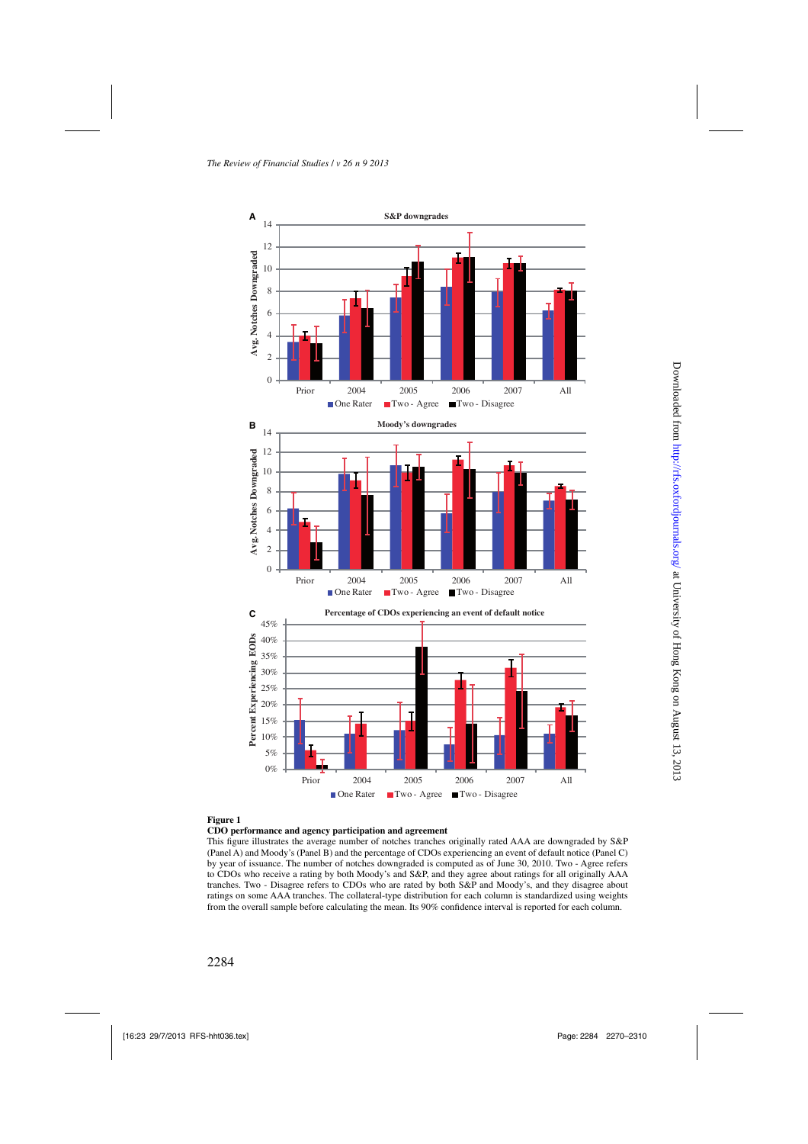<span id="page-14-0"></span>

#### **Figure 1**

#### **CDO performance and agency participation and agreement**

This figure illustrates the average number of notches tranches originally rated AAA are downgraded by S&P (Panel A) and Moody's (Panel B) and the percentage of CDOs experiencing an event of default notice (Panel C) by year of issuance. The number of notches downgraded is computed as of June 30, 2010. Two - Agree refers to CDOs who receive a rating by both Moody's and S&P, and they agree about ratings for all originally AAA tranches. Two - Disagree refers to CDOs who are rated by both S&P and Moody's, and they disagree about ratings on some AAA tranches. The collateral-type distribution for each column is standardized using weights from the overall sample before calculating the mean. Its 90% confidence interval is reported for each column.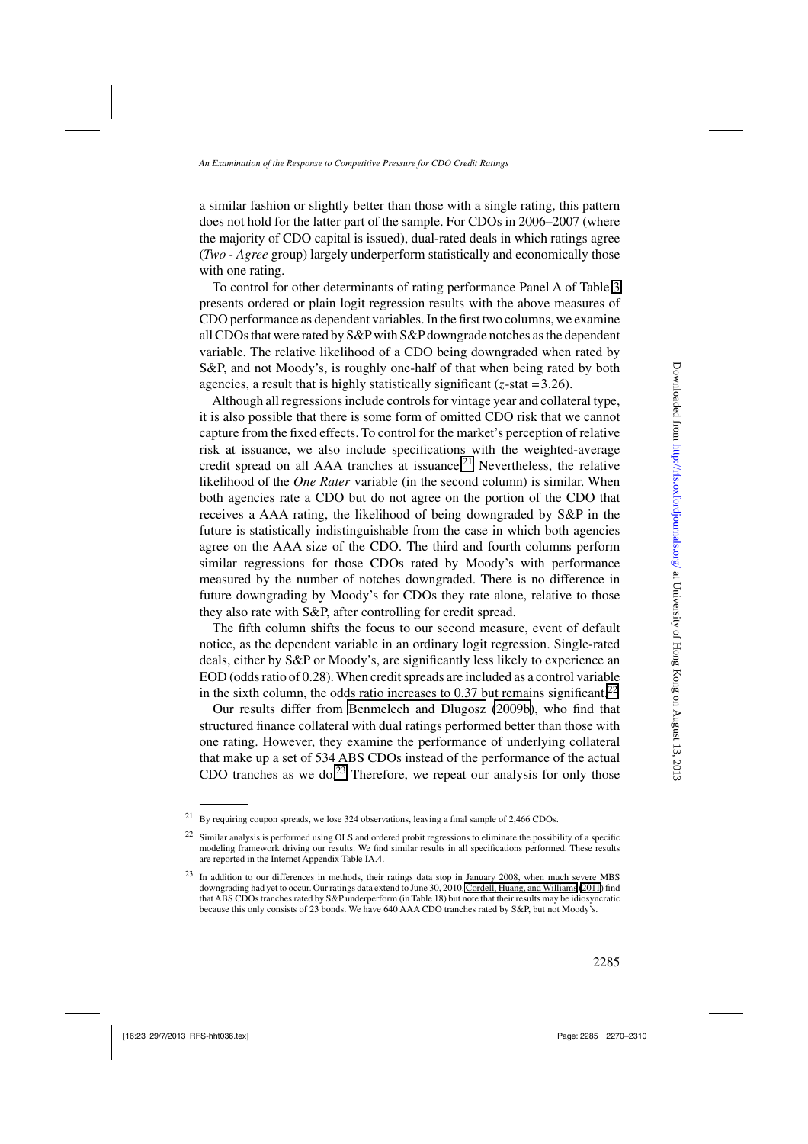a similar fashion or slightly better than those with a single rating, this pattern does not hold for the latter part of the sample. For CDOs in 2006–2007 (where the majority of CDO capital is issued), dual-rated deals in which ratings agree (*Two - Agree* group) largely underperform statistically and economically those with one rating.

To control for other determinants of rating performance Panel A of Table [3](#page-16-0) presents ordered or plain logit regression results with the above measures of CDO performance as dependent variables. In the first two columns, we examine all CDOs that were rated by S&Pwith S&Pdowngrade notches as the dependent variable. The relative likelihood of a CDO being downgraded when rated by S&P, and not Moody's, is roughly one-half of that when being rated by both agencies, a result that is highly statistically significant ( $z$ -stat = 3.26).

Although all regressions include controls for vintage year and collateral type, it is also possible that there is some form of omitted CDO risk that we cannot capture from the fixed effects. To control for the market's perception of relative risk at issuance, we also include specifications with the weighted-average credit spread on all AAA tranches at issuance.<sup>21</sup> Nevertheless, the relative likelihood of the *One Rater* variable (in the second column) is similar. When both agencies rate a CDO but do not agree on the portion of the CDO that receives a AAA rating, the likelihood of being downgraded by S&P in the future is statistically indistinguishable from the case in which both agencies agree on the AAA size of the CDO. The third and fourth columns perform similar regressions for those CDOs rated by Moody's with performance measured by the number of notches downgraded. There is no difference in future downgrading by Moody's for CDOs they rate alone, relative to those they also rate with S&P, after controlling for credit spread.

The fifth column shifts the focus to our second measure, event of default notice, as the dependent variable in an ordinary logit regression. Single-rated deals, either by S&P or Moody's, are significantly less likely to experience an EOD (odds ratio of 0.28). When credit spreads are included as a control variable in the sixth column, the odds ratio increases to 0.37 but remains significant.<sup>22</sup>

Our results differ from [Benmelech and Dlugosz](#page-38-0) [\(2009b](#page-38-0)), who find that structured finance collateral with dual ratings performed better than those with one rating. However, they examine the performance of underlying collateral that make up a set of 534 ABS CDOs instead of the performance of the actual CDO tranches as we do.<sup>23</sup> Therefore, we repeat our analysis for only those

<sup>21</sup> By requiring coupon spreads, we lose 324 observations, leaving a final sample of 2,466 CDOs.

<sup>&</sup>lt;sup>22</sup> Similar analysis is performed using OLS and ordered probit regressions to eliminate the possibility of a specific modeling framework driving our results. We find similar results in all specifications performed. These results are reported in the Internet Appendix Table IA.4.

<sup>&</sup>lt;sup>23</sup> In addition to our differences in methods, their ratings data stop in January 2008, when much severe MBS downgrading had yet to occur. Our ratings data extend to June 30, 2010. [Cordell, Huang, and Williams \(2011](#page-38-0)) find that ABS CDOs tranches rated by S&P underperform (in Table 18) but note that their results may be idiosyncratic because this only consists of 23 bonds. We have 640 AAA CDO tranches rated by S&P, but not Moody's.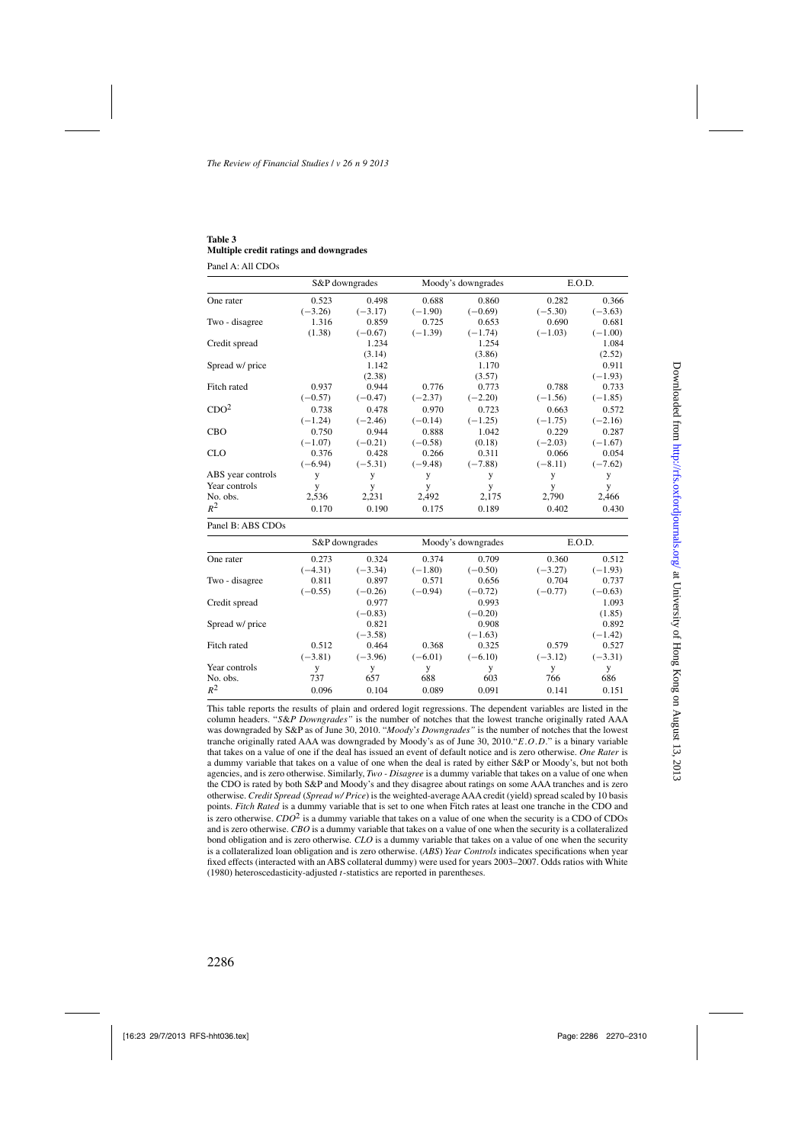### <span id="page-16-0"></span>**Table 3 Multiple credit ratings and downgrades**

Panel A: All CDOs

|                   |           | S&P downgrades | Moody's downgrades |                    |           | E.O.D.    |
|-------------------|-----------|----------------|--------------------|--------------------|-----------|-----------|
| One rater         | 0.523     | 0.498          | 0.688              | 0.860              | 0.282     | 0.366     |
|                   | $(-3.26)$ | $(-3.17)$      | $(-1.90)$          | $(-0.69)$          | $(-5.30)$ | $(-3.63)$ |
| Two - disagree    | 1.316     | 0.859          | 0.725              | 0.653              | 0.690     | 0.681     |
|                   | (1.38)    | $(-0.67)$      | $(-1.39)$          | $(-1.74)$          | $(-1.03)$ | $(-1.00)$ |
| Credit spread     |           | 1.234          |                    | 1.254              |           | 1.084     |
|                   |           | (3.14)         |                    | (3.86)             |           | (2.52)    |
| Spread w/ price   |           | 1.142          |                    | 1.170              |           | 0.911     |
|                   |           | (2.38)         |                    | (3.57)             |           | $(-1.93)$ |
| Fitch rated       | 0.937     | 0.944          | 0.776              | 0.773              | 0.788     | 0.733     |
|                   | $(-0.57)$ | $(-0.47)$      | $(-2.37)$          | $(-2.20)$          | $(-1.56)$ | $(-1.85)$ |
| CDO <sup>2</sup>  | 0.738     | 0.478          | 0.970              | 0.723              | 0.663     | 0.572     |
|                   | $(-1.24)$ | $(-2.46)$      | $(-0.14)$          | $(-1.25)$          | $(-1.75)$ | $(-2.16)$ |
| <b>CBO</b>        | 0.750     | 0.944          | 0.888              | 1.042              | 0.229     | 0.287     |
|                   | $(-1.07)$ | $(-0.21)$      | $(-0.58)$          | (0.18)             | $(-2.03)$ | $(-1.67)$ |
| <b>CLO</b>        | 0.376     | 0.428          | 0.266              | 0.311              | 0.066     | 0.054     |
|                   | $(-6.94)$ | $(-5.31)$      | $(-9.48)$          | $(-7.88)$          | $(-8.11)$ | $(-7.62)$ |
| ABS year controls | у         | y              | y                  | y                  | y         | y         |
| Year controls     | y         | y              | y                  | y                  | y         | y         |
| No. obs.          | 2,536     | 2,231          | 2,492              | 2,175              | 2,790     | 2,466     |
| $R^2$             | 0.170     | 0.190          | 0.175              | 0.189              | 0.402     | 0.430     |
| Panel B: ABS CDOs |           |                |                    |                    |           |           |
|                   |           | S&P downgrades |                    | Moody's downgrades |           | E.O.D.    |
| One rater         | 0.273     | 0.324          | 0.374              | 0.709              | 0.360     | 0.512     |
|                   | $(-4.31)$ | $(-3.34)$      | $(-1.80)$          | $(-0.50)$          | $(-3.27)$ | $(-1.93)$ |
| Two - disagree    | 0.811     | 0.897          | 0.571              | 0.656              | 0.704     | 0.737     |
|                   | $(-0.55)$ | $(-0.26)$      | $(-0.94)$          | $(-0.72)$          | $(-0.77)$ | $(-0.63)$ |
| Cradit enroad     |           | 0.077          |                    | 0.003              |           | 1.003     |

| Two - disagree  | 0.811     | 0.897     | 0.571     | 0.656     | 0.704     | 0.737     |
|-----------------|-----------|-----------|-----------|-----------|-----------|-----------|
|                 | $(-0.55)$ | $(-0.26)$ | $(-0.94)$ | $(-0.72)$ | $(-0.77)$ | $(-0.63)$ |
| Credit spread   |           | 0.977     |           | 0.993     |           | 1.093     |
|                 |           | $(-0.83)$ |           | $(-0.20)$ |           | (1.85)    |
| Spread w/ price |           | 0.821     |           | 0.908     |           | 0.892     |
|                 |           | $(-3.58)$ |           | $(-1.63)$ |           | $(-1.42)$ |
| Fitch rated     | 0.512     | 0.464     | 0.368     | 0.325     | 0.579     | 0.527     |
|                 | $(-3.81)$ | $(-3.96)$ | $(-6.01)$ | $(-6.10)$ | $(-3.12)$ | $(-3.31)$ |
| Year controls   | v         | v         | v         |           | y         | v         |
| No. obs.        | 737       | 657       | 688       | 603       | 766       | 686       |
| $R^2$           | 0.096     | 0.104     | 0.089     | 0.091     | 0.141     | 0.151     |
|                 |           |           |           |           |           |           |

This table reports the results of plain and ordered logit regressions. The dependent variables are listed in the column headers. "S&*P Downgrades"* is the number of notches that the lowest tranche originally rated AAA was downgraded by S&P as of June 30, 2010. "*Moody*'*s Downgrades"* is the number of notches that the lowest tranche originally rated AAA was downgraded by Moody's as of June 30, 2010."E.O.D." is a binary variable that takes on a value of one if the deal has issued an event of default notice and is zero otherwise. *One Rater* is a dummy variable that takes on a value of one when the deal is rated by either S&P or Moody's, but not both agencies, and is zero otherwise. Similarly, *Two - Disagree* is a dummy variable that takes on a value of one when the CDO is rated by both S&P and Moody's and they disagree about ratings on some AAA tranches and is zero otherwise. *Credit Spread* (*Spread w/ Price*) is the weighted-average AAA credit (yield) spread scaled by 10 basis points. *Fitch Rated* is a dummy variable that is set to one when Fitch rates at least one tranche in the CDO and is zero otherwise. *CDO*<sup>2</sup> is a dummy variable that takes on a value of one when the security is a CDO of CDOs and is zero otherwise. *CBO* is a dummy variable that takes on a value of one when the security is a collateralized bond obligation and is zero otherwise*. CLO* is a dummy variable that takes on a value of one when the security is a collateralized loan obligation and is zero otherwise. (*ABS*) *Year Controls* indicates specifications when year fixed effects (interacted with an ABS collateral dummy) were used for years 2003–2007. Odds ratios with White  $(1980)$  heteroscedasticity-adjusted *t*-statistics are reported in parentheses.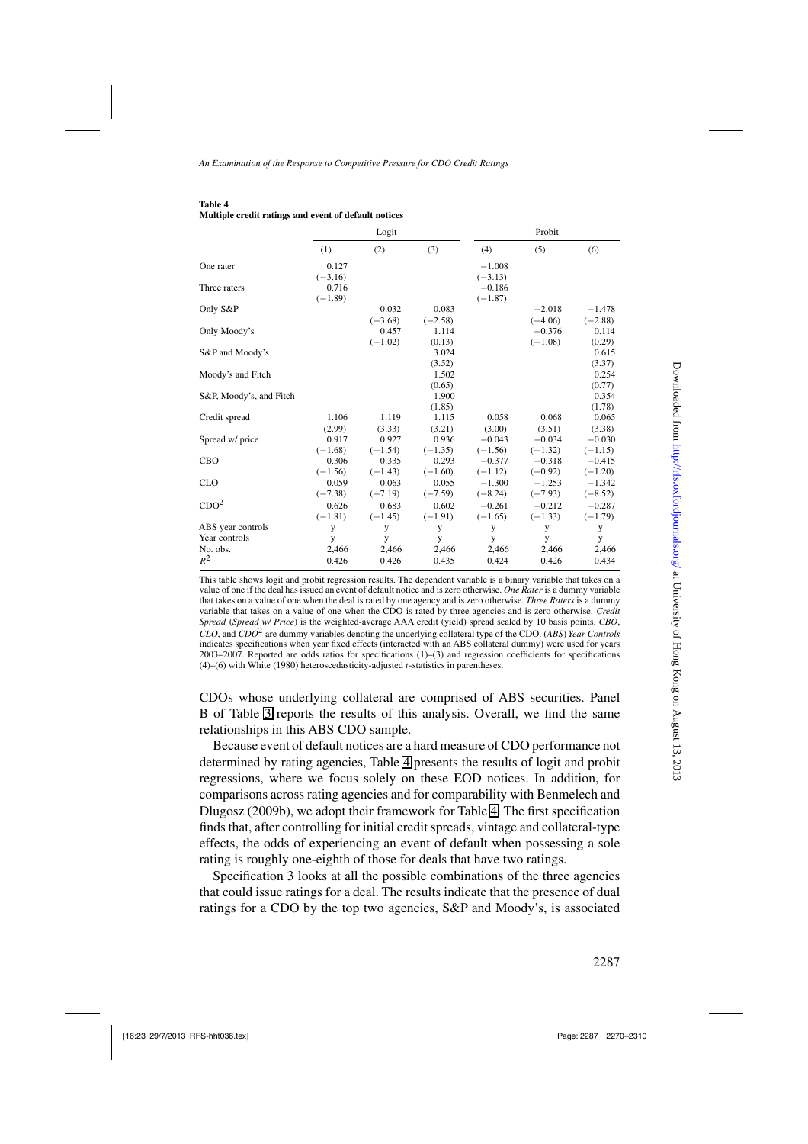|                         |           | Logit     |           |           | Probit    |           |  |
|-------------------------|-----------|-----------|-----------|-----------|-----------|-----------|--|
|                         | (1)       | (2)       | (3)       | (4)       | (5)       | (6)       |  |
| One rater               | 0.127     |           |           | $-1.008$  |           |           |  |
|                         | $(-3.16)$ |           |           | $(-3.13)$ |           |           |  |
| Three raters            | 0.716     |           |           | $-0.186$  |           |           |  |
|                         | $(-1.89)$ |           |           | $(-1.87)$ |           |           |  |
| Only S&P                |           | 0.032     | 0.083     |           | $-2.018$  | $-1.478$  |  |
|                         |           | $(-3.68)$ | $(-2.58)$ |           | $(-4.06)$ | $(-2.88)$ |  |
| Only Moody's            |           | 0.457     | 1.114     |           | $-0.376$  | 0.114     |  |
|                         |           | $(-1.02)$ | (0.13)    |           | $(-1.08)$ | (0.29)    |  |
| S&P and Moody's         |           |           | 3.024     |           |           | 0.615     |  |
|                         |           |           | (3.52)    |           |           | (3.37)    |  |
| Moody's and Fitch       |           |           | 1.502     |           |           | 0.254     |  |
|                         |           |           | (0.65)    |           |           | (0.77)    |  |
| S&P, Moody's, and Fitch |           |           | 1.900     |           |           | 0.354     |  |
|                         |           |           | (1.85)    |           |           | (1.78)    |  |
| Credit spread           | 1.106     | 1.119     | 1.115     | 0.058     | 0.068     | 0.065     |  |
|                         | (2.99)    | (3.33)    | (3.21)    | (3.00)    | (3.51)    | (3.38)    |  |
| Spread w/ price         | 0.917     | 0.927     | 0.936     | $-0.043$  | $-0.034$  | $-0.030$  |  |
|                         | $(-1.68)$ | $(-1.54)$ | $(-1.35)$ | $(-1.56)$ | $(-1.32)$ | $(-1.15)$ |  |
| CBO                     | 0.306     | 0.335     | 0.293     | $-0.377$  | $-0.318$  | $-0.415$  |  |
|                         | $(-1.56)$ | $(-1.43)$ | $(-1.60)$ | $(-1.12)$ | $(-0.92)$ | $(-1.20)$ |  |
| <b>CLO</b>              | 0.059     | 0.063     | 0.055     | $-1.300$  | $-1.253$  | $-1.342$  |  |
|                         | $(-7.38)$ | $(-7.19)$ | $(-7.59)$ | $(-8.24)$ | $(-7.93)$ | $(-8.52)$ |  |
| CDO <sup>2</sup>        | 0.626     | 0.683     | 0.602     | $-0.261$  | $-0.212$  | $-0.287$  |  |
|                         | $(-1.81)$ | $(-1.45)$ | $(-1.91)$ | $(-1.65)$ | $(-1.33)$ | $(-1.79)$ |  |
| ABS year controls       | y         | y         | y         | y         | y         | y         |  |
| Year controls           | y         | y         | y         | V         | y         | y         |  |
| No. obs.                | 2,466     | 2,466     | 2,466     | 2,466     | 2,466     | 2,466     |  |
| $R^2$                   | 0.426     | 0.426     | 0.435     | 0.424     | 0.426     | 0.434     |  |

<span id="page-17-0"></span>

| Table 4                                              |  |  |
|------------------------------------------------------|--|--|
| Multiple credit ratings and event of default notices |  |  |

This table shows logit and probit regression results. The dependent variable is a binary variable that takes on a value of one if the deal has issued an event of default notice and is zero otherwise. *One Rater* is a dummy variable that takes on a value of one when the deal is rated by one agency and is zero otherwise. *Three Raters* is a dummy variable that takes on a value of one when the CDO is rated by three agencies and is zero otherwise. *Credit Spread* (*Spread w/ Price*) is the weighted-average AAA credit (yield) spread scaled by 10 basis points. *CBO*, *CLO*, and *CDO*<sup>2</sup> are dummy variables denoting the underlying collateral type of the CDO. (*ABS*) *Year Controls* indicates specifications when year fixed effects (interacted with an ABS collateral dummy) were used for years 2003–2007. Reported are odds ratios for specifications (1)–(3) and regression coefficients for specifications  $(4)$ – $(6)$  with White (1980) heteroscedasticity-adjusted t-statistics in parentheses.

CDOs whose underlying collateral are comprised of ABS securities. Panel B of Table [3](#page-16-0) reports the results of this analysis. Overall, we find the same relationships in this ABS CDO sample.

Because event of default notices are a hard measure of CDO performance not determined by rating agencies, Table 4 presents the results of logit and probit regressions, where we focus solely on these EOD notices. In addition, for comparisons across rating agencies and for comparability with Benmelech and Dlugosz (2009b), we adopt their framework for Table 4. The first specification finds that, after controlling for initial credit spreads, vintage and collateral-type effects, the odds of experiencing an event of default when possessing a sole rating is roughly one-eighth of those for deals that have two ratings.

Specification 3 looks at all the possible combinations of the three agencies that could issue ratings for a deal. The results indicate that the presence of dual ratings for a CDO by the top two agencies, S&P and Moody's, is associated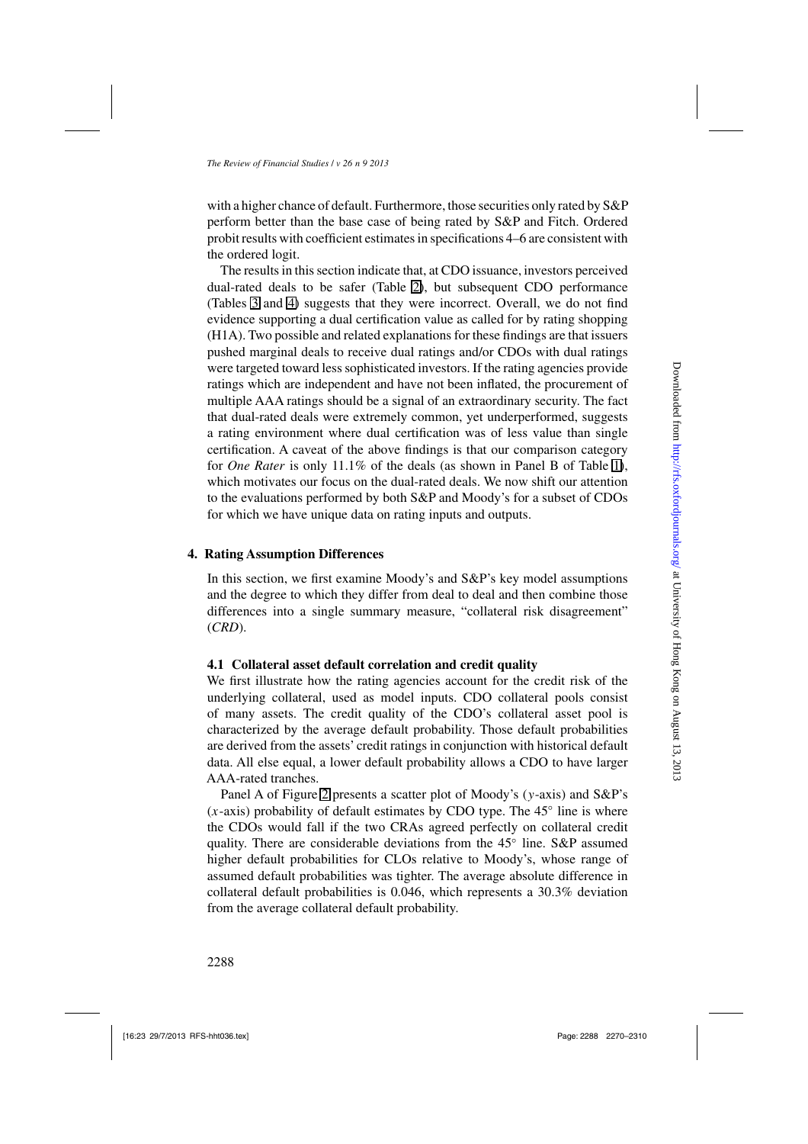<span id="page-18-0"></span>with a higher chance of default. Furthermore, those securities only rated by  $S\&P$ perform better than the base case of being rated by S&P and Fitch. Ordered probit results with coefficient estimates in specifications 4–6 are consistent with the ordered logit.

The results in this section indicate that, at CDO issuance, investors perceived dual-rated deals to be safer (Table [2\)](#page-11-0), but subsequent CDO performance (Tables [3](#page-16-0) and [4\)](#page-17-0) suggests that they were incorrect. Overall, we do not find evidence supporting a dual certification value as called for by rating shopping (H1A). Two possible and related explanations for these findings are that issuers pushed marginal deals to receive dual ratings and/or CDOs with dual ratings were targeted toward less sophisticated investors. If the rating agencies provide ratings which are independent and have not been inflated, the procurement of multiple AAA ratings should be a signal of an extraordinary security. The fact that dual-rated deals were extremely common, yet underperformed, suggests a rating environment where dual certification was of less value than single certification. A caveat of the above findings is that our comparison category for *One Rater* is only 11.1% of the deals (as shown in Panel B of Table [1\)](#page-9-0), which motivates our focus on the dual-rated deals. We now shift our attention to the evaluations performed by both S&P and Moody's for a subset of CDOs for which we have unique data on rating inputs and outputs.

## **4. Rating Assumption Differences**

In this section, we first examine Moody's and S&P's key model assumptions and the degree to which they differ from deal to deal and then combine those differences into a single summary measure, "collateral risk disagreement" (*CRD*).

## **4.1 Collateral asset default correlation and credit quality**

We first illustrate how the rating agencies account for the credit risk of the underlying collateral, used as model inputs. CDO collateral pools consist of many assets. The credit quality of the CDO's collateral asset pool is characterized by the average default probability. Those default probabilities are derived from the assets' credit ratings in conjunction with historical default data. All else equal, a lower default probability allows a CDO to have larger AAA-rated tranches.

Panel A of Figure [2](#page-19-0) presents a scatter plot of Moody's (y-axis) and S&P's  $(x-axis)$  probability of default estimates by CDO type. The 45 $\degree$  line is where the CDOs would fall if the two CRAs agreed perfectly on collateral credit quality. There are considerable deviations from the 45◦ line. S&P assumed higher default probabilities for CLOs relative to Moody's, whose range of assumed default probabilities was tighter. The average absolute difference in collateral default probabilities is 0.046, which represents a 30.3% deviation from the average collateral default probability.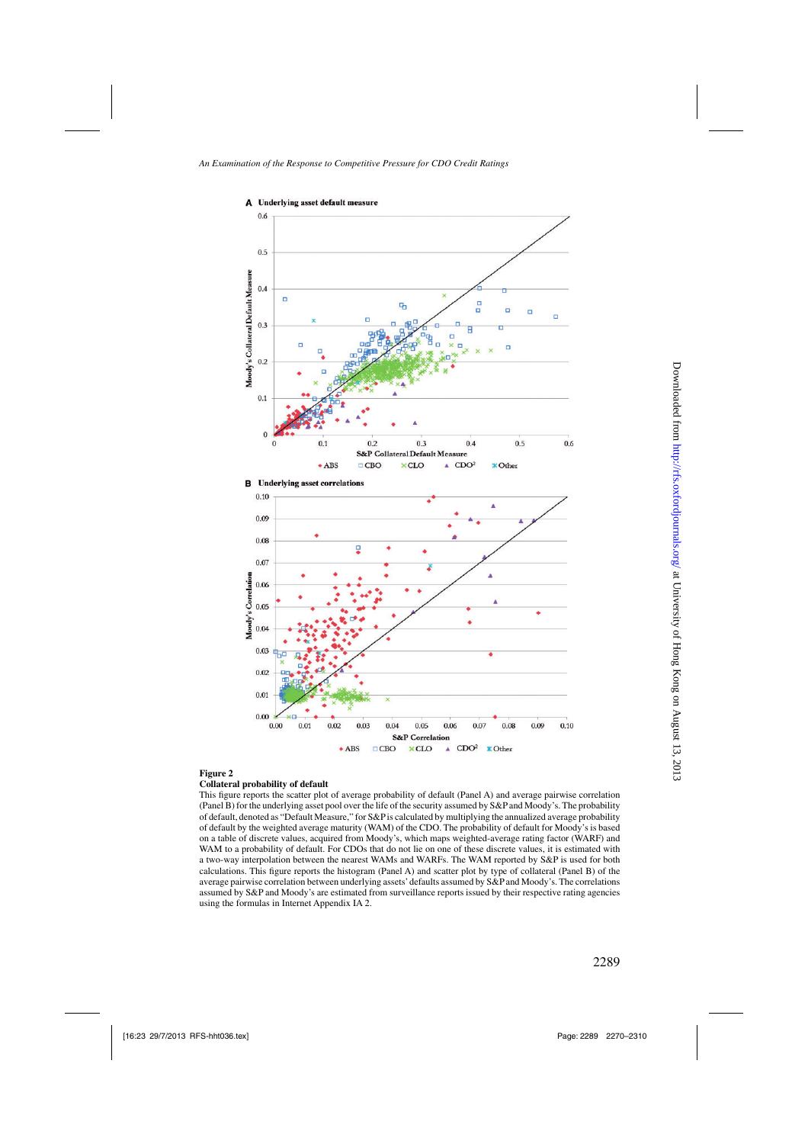<span id="page-19-0"></span>

#### **Figure 2**

#### **Collateral probability of default**

This figure reports the scatter plot of average probability of default (Panel A) and average pairwise correlation (Panel B) for the underlying asset pool over the life of the security assumed by S&P and Moody's. The probability of default, denoted as "Default Measure," for S&P is calculated by multiplying the annualized average probability of default by the weighted average maturity (WAM) of the CDO. The probability of default for Moody's is based on a table of discrete values, acquired from Moody's, which maps weighted-average rating factor (WARF) and WAM to a probability of default. For CDOs that do not lie on one of these discrete values, it is estimated with a two-way interpolation between the nearest WAMs and WARFs. The WAM reported by S&P is used for both calculations. This figure reports the histogram (Panel A) and scatter plot by type of collateral (Panel B) of the average pairwise correlation between underlying assets'defaults assumed by S&P and Moody's. The correlations assumed by S&P and Moody's are estimated from surveillance reports issued by their respective rating agencies using the formulas in Internet Appendix IA 2.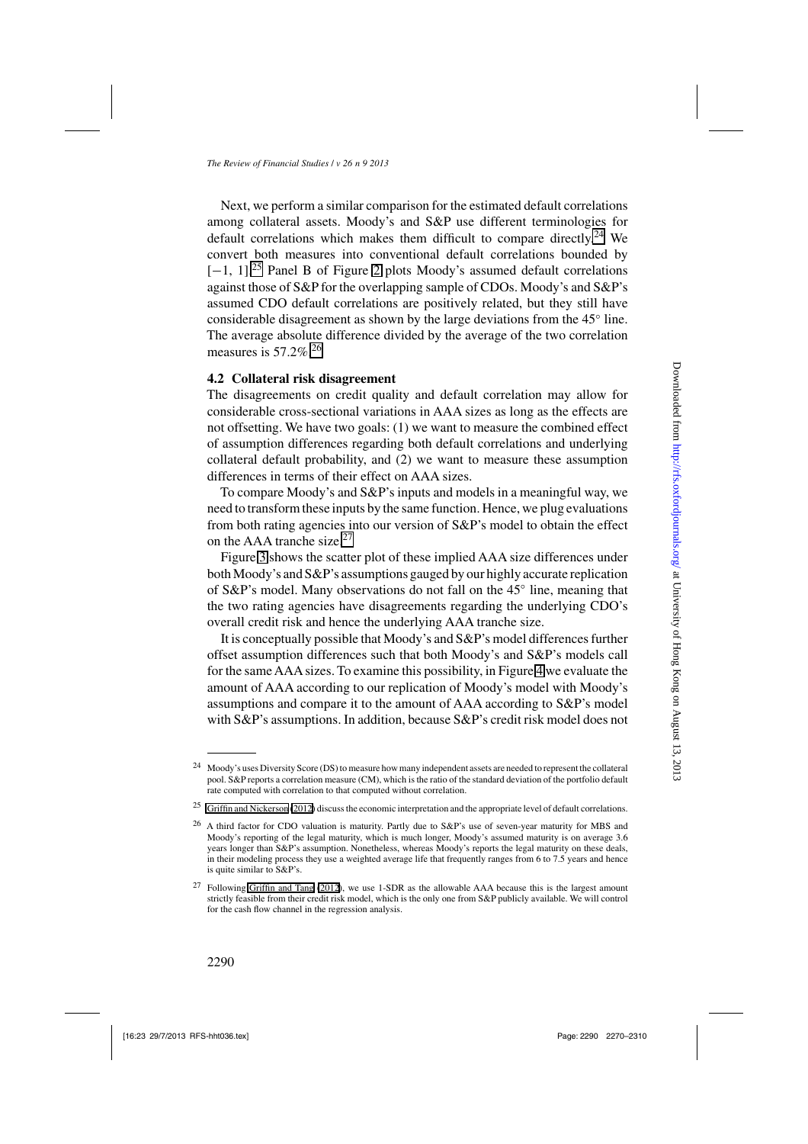Next, we perform a similar comparison for the estimated default correlations among collateral assets. Moody's and S&P use different terminologies for default correlations which makes them difficult to compare directly.<sup>24</sup> We convert both measures into conventional default correlations bounded by  $[-1, 1]$ .<sup>25</sup> Panel B of Figure [2](#page-19-0) plots Moody's assumed default correlations against those of S&P for the overlapping sample of CDOs. Moody's and S&P's assumed CDO default correlations are positively related, but they still have considerable disagreement as shown by the large deviations from the 45◦ line. The average absolute difference divided by the average of the two correlation measures is  $57.2\%$ <sup>26</sup>

## **4.2 Collateral risk disagreement**

The disagreements on credit quality and default correlation may allow for considerable cross-sectional variations in AAA sizes as long as the effects are not offsetting. We have two goals: (1) we want to measure the combined effect of assumption differences regarding both default correlations and underlying collateral default probability, and (2) we want to measure these assumption differences in terms of their effect on AAA sizes.

To compare Moody's and S&P's inputs and models in a meaningful way, we need to transform these inputs by the same function. Hence, we plug evaluations from both rating agencies into our version of S&P's model to obtain the effect on the AAA tranche size.<sup>27</sup>

Figure [3](#page-21-0) shows the scatter plot of these implied AAA size differences under both Moody's and S&P's assumptions gauged by our highly accurate replication of S&P's model. Many observations do not fall on the 45◦ line, meaning that the two rating agencies have disagreements regarding the underlying CDO's overall credit risk and hence the underlying AAA tranche size.

It is conceptually possible that Moody's and S&P's model differences further offset assumption differences such that both Moody's and S&P's models call for the same AAA sizes. To examine this possibility, in Figure [4](#page-22-0) we evaluate the amount of AAA according to our replication of Moody's model with Moody's assumptions and compare it to the amount of AAA according to S&P's model with S&P's assumptions. In addition, because S&P's credit risk model does not

<sup>&</sup>lt;sup>24</sup> Moody's uses Diversity Score (DS) to measure how many independent assets are needed to represent the collateral pool. S&P reports a correlation measure (CM), which is the ratio of the standard deviation of the portfolio default rate computed with correlation to that computed without correlation.

<sup>&</sup>lt;sup>25</sup> [Griffin and Nickerson](#page-39-0) [\(2012\)](#page-39-0) discuss the economic interpretation and the appropriate level of default correlations.

<sup>&</sup>lt;sup>26</sup> A third factor for CDO valuation is maturity. Partly due to S&P's use of seven-year maturity for MBS and Moody's reporting of the legal maturity, which is much longer, Moody's assumed maturity is on average 3.6 years longer than S&P's assumption. Nonetheless, whereas Moody's reports the legal maturity on these deals, in their modeling process they use a weighted average life that frequently ranges from 6 to 7.5 years and hence is quite similar to S&P's.

<sup>&</sup>lt;sup>27</sup> Following [Griffin and Tang](#page-39-0) [\(2012\)](#page-39-0), we use 1-SDR as the allowable AAA because this is the largest amount strictly feasible from their credit risk model, which is the only one from S&P publicly available. We will control for the cash flow channel in the regression analysis.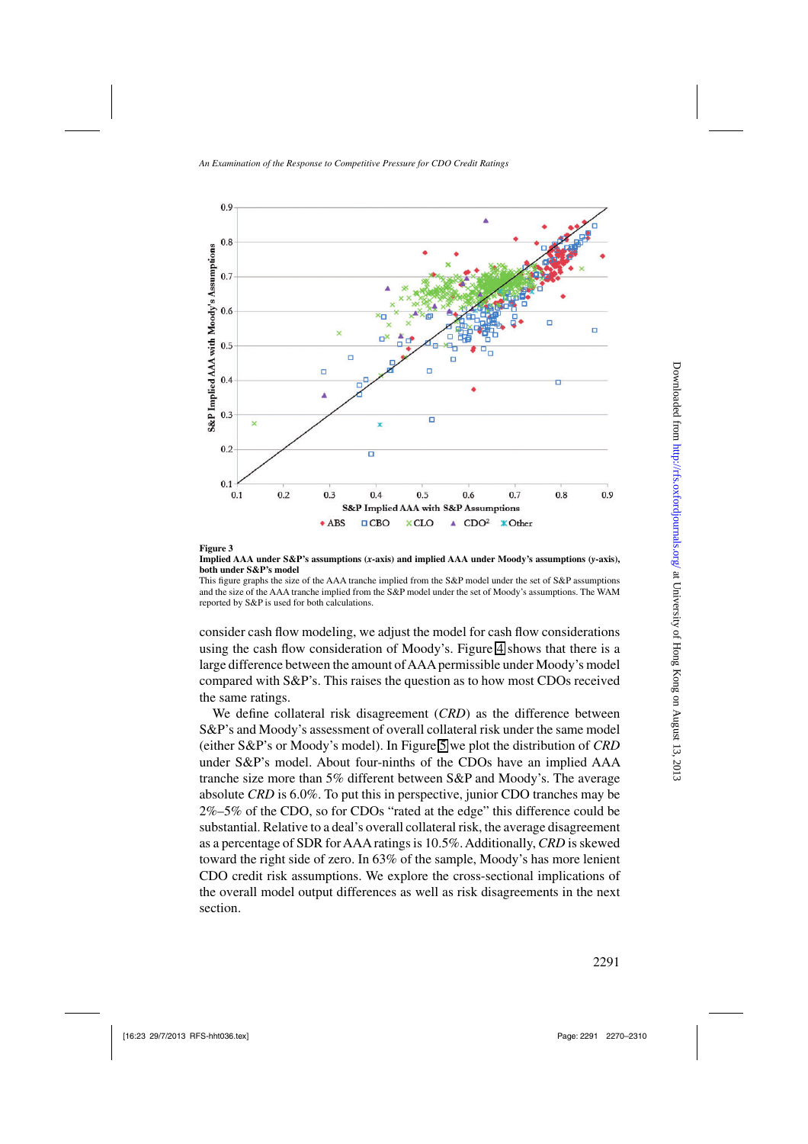<span id="page-21-0"></span>

**Figure 3 Implied AAA under S&P's assumptions (***x***-axis) and implied AAA under Moody's assumptions (***y***-axis), both under S&P's model**

This figure graphs the size of the AAA tranche implied from the S&P model under the set of S&P assumptions and the size of the AAA tranche implied from the S&P model under the set of Moody's assumptions. The WAM reported by S&P is used for both calculations.

consider cash flow modeling, we adjust the model for cash flow considerations using the cash flow consideration of Moody's. Figure [4](#page-22-0) shows that there is a large difference between the amount of AAA permissible under Moody's model compared with S&P's. This raises the question as to how most CDOs received the same ratings.

We define collateral risk disagreement (*CRD*) as the difference between S&P's and Moody's assessment of overall collateral risk under the same model (either S&P's or Moody's model). In Figure [5](#page-23-0) we plot the distribution of *CRD* under S&P's model. About four-ninths of the CDOs have an implied AAA tranche size more than 5% different between S&P and Moody's. The average absolute *CRD* is 6.0%. To put this in perspective, junior CDO tranches may be 2%–5% of the CDO, so for CDOs "rated at the edge" this difference could be substantial. Relative to a deal's overall collateral risk, the average disagreement as a percentage of SDR for AAA ratings is 10.5%. Additionally, *CRD* is skewed toward the right side of zero. In 63% of the sample, Moody's has more lenient CDO credit risk assumptions. We explore the cross-sectional implications of the overall model output differences as well as risk disagreements in the next section.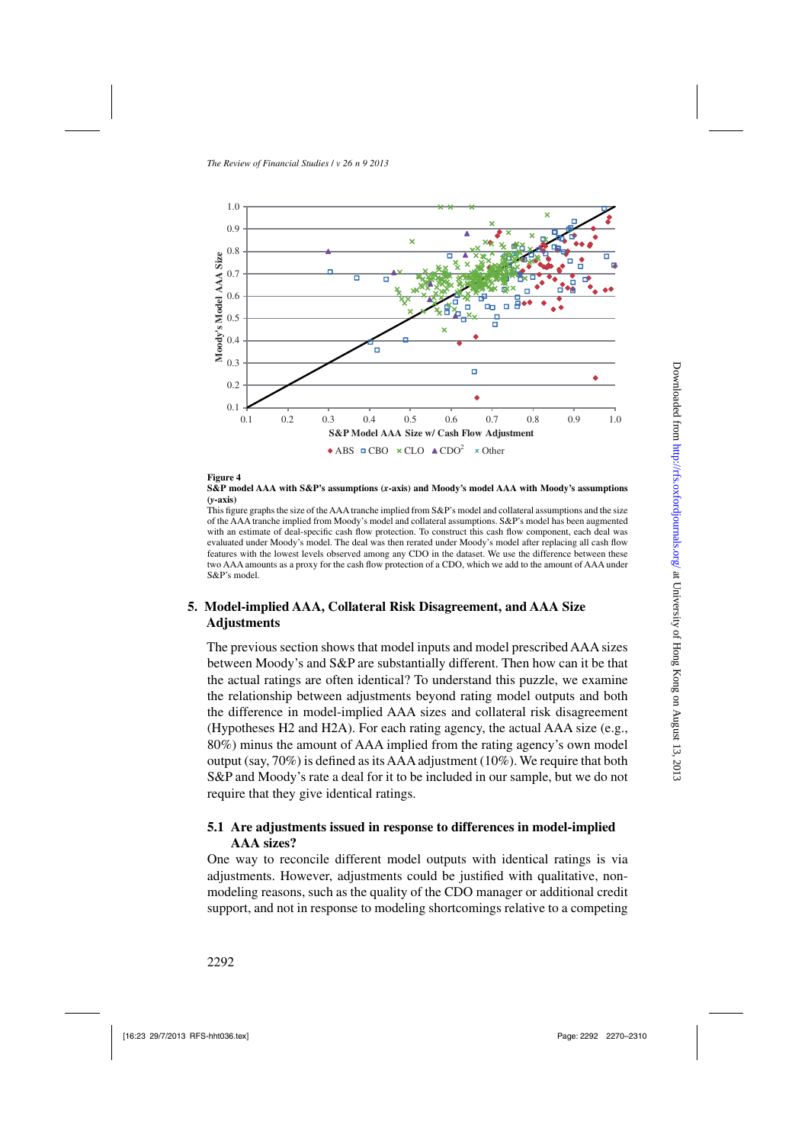<span id="page-22-0"></span>

#### **Figure 4**

#### **S&P model AAA with S&P's assumptions (***x***-axis) and Moody's model AAA with Moody's assumptions (***y***-axis)**

This figure graphs the size of the AAA tranche implied from S&P's model and collateral assumptions and the size of the AAA tranche implied from Moody's model and collateral assumptions. S&P's model has been augmented with an estimate of deal-specific cash flow protection. To construct this cash flow component, each deal was evaluated under Moody's model. The deal was then rerated under Moody's model after replacing all cash flow features with the lowest levels observed among any CDO in the dataset. We use the difference between these two AAA amounts as a proxy for the cash flow protection of a CDO, which we add to the amount of AAA under S&P's model.

# **5. Model-implied AAA, Collateral Risk Disagreement, and AAA Size Adjustments**

The previous section shows that model inputs and model prescribed AAA sizes between Moody's and S&P are substantially different. Then how can it be that the actual ratings are often identical? To understand this puzzle, we examine the relationship between adjustments beyond rating model outputs and both the difference in model-implied AAA sizes and collateral risk disagreement (Hypotheses H2 and H2A). For each rating agency, the actual AAA size (e.g., 80%) minus the amount of AAA implied from the rating agency's own model output (say, 70%) is defined as its AAA adjustment (10%). We require that both S&P and Moody's rate a deal for it to be included in our sample, but we do not require that they give identical ratings.

# **5.1 Are adjustments issued in response to differences in model-implied AAA sizes?**

One way to reconcile different model outputs with identical ratings is via adjustments. However, adjustments could be justified with qualitative, nonmodeling reasons, such as the quality of the CDO manager or additional credit support, and not in response to modeling shortcomings relative to a competing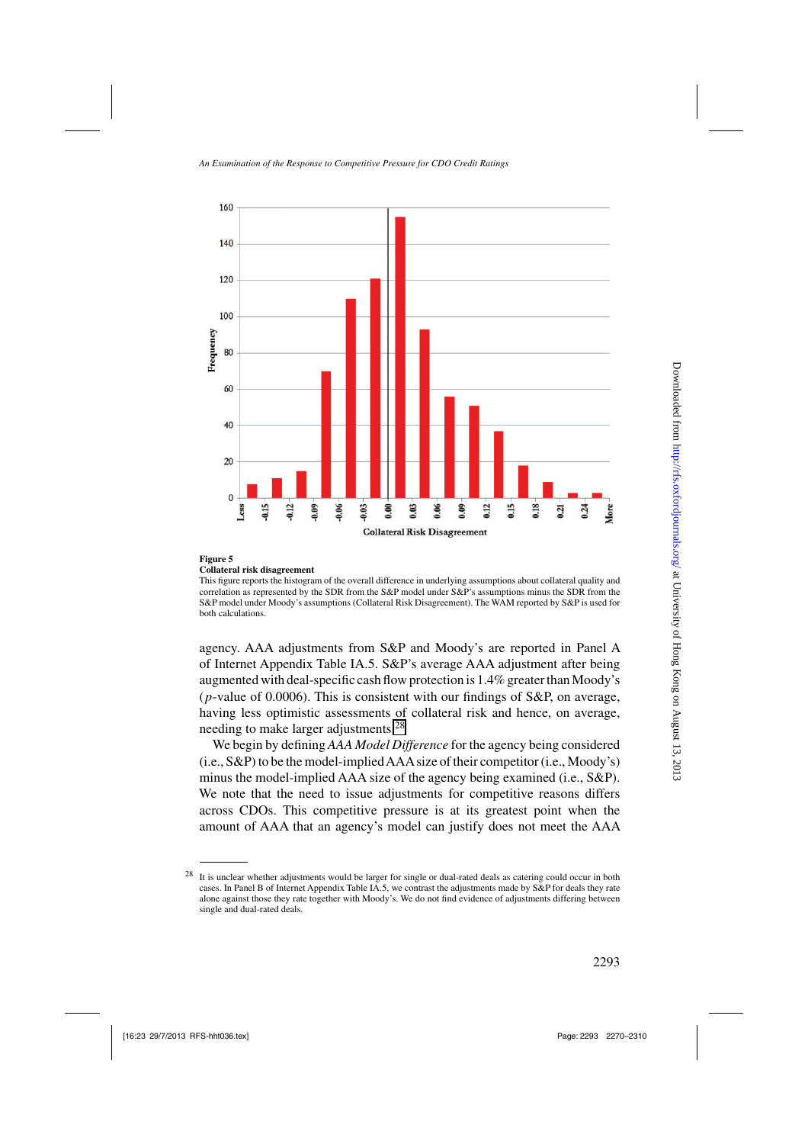<span id="page-23-0"></span>

#### **Figure 5 Collateral risk disagreement**

This figure reports the histogram of the overall difference in underlying assumptions about collateral quality and correlation as represented by the SDR from the S&P model under S&P's assumptions minus the SDR from the S&P model under Moody's assumptions (Collateral Risk Disagreement). The WAM reported by S&P is used for both calculations.

agency. AAA adjustments from S&P and Moody's are reported in Panel A of Internet Appendix Table IA.5. S&P's average AAA adjustment after being augmented with deal-specific cash flow protection is 1.4% greater than Moody's (*p*-value of 0.0006). This is consistent with our findings of S&P, on average, having less optimistic assessments of collateral risk and hence, on average, needing to make larger adjustments.<sup>28</sup>

We begin by defining *AAA Model Difference* for the agency being considered (i.e., S&P) to be the model-impliedAAAsize of their competitor (i.e., Moody's) minus the model-implied AAA size of the agency being examined (i.e., S&P). We note that the need to issue adjustments for competitive reasons differs across CDOs. This competitive pressure is at its greatest point when the amount of AAA that an agency's model can justify does not meet the AAA

<sup>&</sup>lt;sup>28</sup> It is unclear whether adjustments would be larger for single or dual-rated deals as catering could occur in both cases. In Panel B of Internet Appendix Table IA.5, we contrast the adjustments made by S&P for deals they rate alone against those they rate together with Moody's. We do not find evidence of adjustments differing between single and dual-rated deals.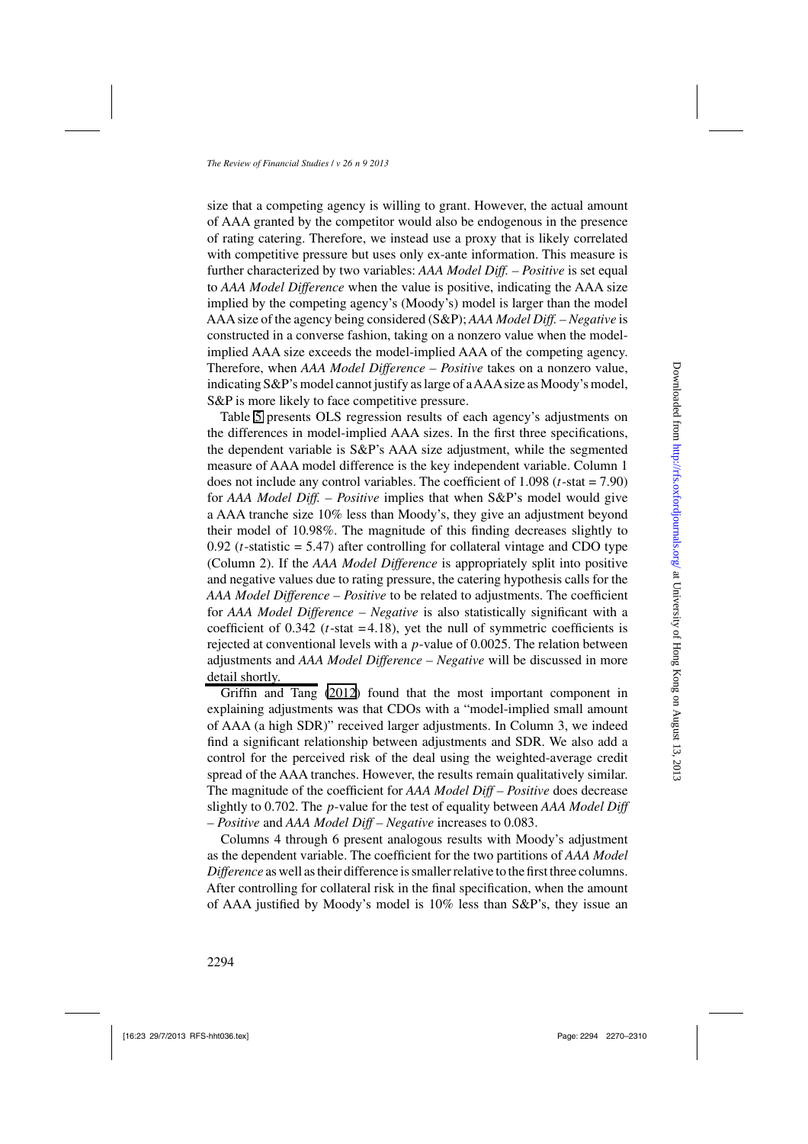size that a competing agency is willing to grant. However, the actual amount of AAA granted by the competitor would also be endogenous in the presence of rating catering. Therefore, we instead use a proxy that is likely correlated with competitive pressure but uses only ex-ante information. This measure is further characterized by two variables: *AAA Model Diff. – Positive* is set equal to *AAA Model Difference* when the value is positive, indicating the AAA size implied by the competing agency's (Moody's) model is larger than the model AAA size of the agency being considered (S&P); *AAA Model Diff. – Negative* is constructed in a converse fashion, taking on a nonzero value when the modelimplied AAA size exceeds the model-implied AAA of the competing agency. Therefore, when *AAA Model Difference – Positive* takes on a nonzero value, indicating S&P's model cannot justify as large of aAAAsize as Moody's model, S&P is more likely to face competitive pressure.

Table [5](#page-25-0) presents OLS regression results of each agency's adjustments on the differences in model-implied AAA sizes. In the first three specifications, the dependent variable is S&P's AAA size adjustment, while the segmented measure of AAA model difference is the key independent variable. Column 1 does not include any control variables. The coefficient of  $1.098$  ( $t$ -stat = 7.90) for *AAA Model Diff. – Positive* implies that when S&P's model would give a AAA tranche size 10% less than Moody's, they give an adjustment beyond their model of 10.98%. The magnitude of this finding decreases slightly to 0.92 (*t*-statistic  $= 5.47$ ) after controlling for collateral vintage and CDO type (Column 2). If the *AAA Model Difference* is appropriately split into positive and negative values due to rating pressure, the catering hypothesis calls for the *AAA Model Difference – Positive* to be related to adjustments. The coefficient for *AAA Model Difference – Negative* is also statistically significant with a coefficient of 0.342 ( $t$ -stat =4.18), yet the null of symmetric coefficients is rejected at conventional levels with a p-value of 0.0025. The relation between adjustments and *AAA Model Difference – Negative* will be discussed in more [detail](#page-39-0) [shortly.](#page-39-0)

Griffin and Tang [\(2012](#page-39-0)) found that the most important component in explaining adjustments was that CDOs with a "model-implied small amount of AAA (a high SDR)" received larger adjustments. In Column 3, we indeed find a significant relationship between adjustments and SDR. We also add a control for the perceived risk of the deal using the weighted-average credit spread of the AAA tranches. However, the results remain qualitatively similar. The magnitude of the coefficient for *AAA Model Diff – Positive* does decrease slightly to 0.702. The p-value for the test of equality between *AAA Model Diff – Positive* and *AAA Model Diff – Negative* increases to 0.083.

Columns 4 through 6 present analogous results with Moody's adjustment as the dependent variable. The coefficient for the two partitions of *AAA Model Difference* as well as their difference is smaller relative to the first three columns. After controlling for collateral risk in the final specification, when the amount of AAA justified by Moody's model is 10% less than S&P's, they issue an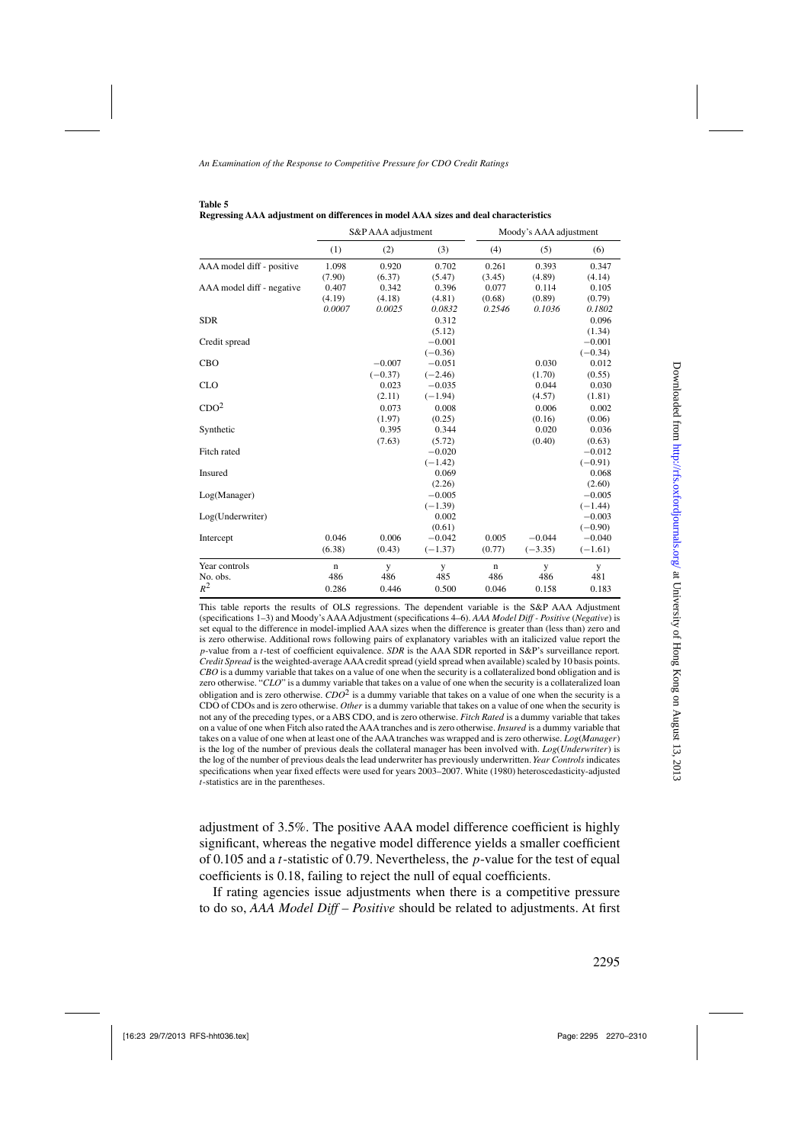|                           | S&P AAA adjustment |           |           | Moody's AAA adjustment |           |           |
|---------------------------|--------------------|-----------|-----------|------------------------|-----------|-----------|
|                           | (1)                | (2)       | (3)       | (4)                    | (5)       | (6)       |
| AAA model diff - positive | 1.098              | 0.920     | 0.702     | 0.261                  | 0.393     | 0.347     |
|                           | (7.90)             | (6.37)    | (5.47)    | (3.45)                 | (4.89)    | (4.14)    |
| AAA model diff - negative | 0.407              | 0.342     | 0.396     | 0.077                  | 0.114     | 0.105     |
|                           | (4.19)             | (4.18)    | (4.81)    | (0.68)                 | (0.89)    | (0.79)    |
|                           | 0.0007             | 0.0025    | 0.0832    | 0.2546                 | 0.1036    | 0.1802    |
| <b>SDR</b>                |                    |           | 0.312     |                        |           | 0.096     |
|                           |                    |           | (5.12)    |                        |           | (1.34)    |
| Credit spread             |                    |           | $-0.001$  |                        |           | $-0.001$  |
|                           |                    |           | $(-0.36)$ |                        |           | $(-0.34)$ |
| CBO                       |                    | $-0.007$  | $-0.051$  |                        | 0.030     | 0.012     |
|                           |                    | $(-0.37)$ | $(-2.46)$ |                        | (1.70)    | (0.55)    |
| <b>CLO</b>                |                    | 0.023     | $-0.035$  |                        | 0.044     | 0.030     |
|                           |                    | (2.11)    | $(-1.94)$ |                        | (4.57)    | (1.81)    |
| CDO <sup>2</sup>          |                    | 0.073     | 0.008     |                        | 0.006     | 0.002     |
|                           |                    | (1.97)    | (0.25)    |                        | (0.16)    | (0.06)    |
| Synthetic                 |                    | 0.395     | 0.344     |                        | 0.020     | 0.036     |
|                           |                    | (7.63)    | (5.72)    |                        | (0.40)    | (0.63)    |
| Fitch rated               |                    |           | $-0.020$  |                        |           | $-0.012$  |
|                           |                    |           | $(-1.42)$ |                        |           | $(-0.91)$ |
| Insured                   |                    |           | 0.069     |                        |           | 0.068     |
|                           |                    |           | (2.26)    |                        |           | (2.60)    |
| Log(Manager)              |                    |           | $-0.005$  |                        |           | $-0.005$  |
|                           |                    |           | $(-1.39)$ |                        |           | $(-1.44)$ |
| Log(Underwriter)          |                    |           | 0.002     |                        |           | $-0.003$  |
|                           |                    |           | (0.61)    |                        |           | $(-0.90)$ |
| Intercept                 | 0.046              | 0.006     | $-0.042$  | 0.005                  | $-0.044$  | $-0.040$  |
|                           | (6.38)             | (0.43)    | $(-1.37)$ | (0.77)                 | $(-3.35)$ | $(-1.61)$ |
| Year controls             | $\mathbf n$        | y         | y         | $\bf n$                | y         | у         |
| No. obs.                  | 486                | 486       | 485       | 486                    | 486       | 481       |
| $R^2$                     | 0.286              | 0.446     | 0.500     | 0.046                  | 0.158     | 0.183     |

<span id="page-25-0"></span>**Table 5 Regressing AAA adjustment on differences in model AAA sizes and deal characteristics**

This table reports the results of OLS regressions. The dependent variable is the S&P AAA Adjustment (specifications 1–3) and Moody's AAAAdjustment (specifications 4–6). *AAA Model Diff - Positive* (*Negative*) is set equal to the difference in model-implied AAA sizes when the difference is greater than (less than) zero and is zero otherwise. Additional rows following pairs of explanatory variables with an italicized value report the p-value from a t-test of coefficient equivalence. *SDR* is the AAA SDR reported in S&P's surveillance report*. Credit Spread* is the weighted-averageAAAcredit spread (yield spread when available) scaled by 10 basis points. *CBO* is a dummy variable that takes on a value of one when the security is a collateralized bond obligation and is zero otherwise. "*CLO*" is a dummy variable that takes on a value of one when the security is a collateralized loan obligation and is zero otherwise. *CDO*<sup>2</sup> is a dummy variable that takes on a value of one when the security is a CDO of CDOs and is zero otherwise. *Other* is a dummy variable that takes on a value of one when the security is not any of the preceding types, or a ABS CDO, and is zero otherwise. *Fitch Rated* is a dummy variable that takes on a value of one when Fitch also rated the AAA tranches and is zero otherwise. *Insured* is a dummy variable that takes on a value of one when at least one of the AAA tranches was wrapped and is zero otherwise. *Log*(*Manager*) is the log of the number of previous deals the collateral manager has been involved with. *Log*(*Underwriter*) is the log of the number of previous deals the lead underwriter has previously underwritten.*Year Controls* indicates specifications when year fixed effects were used for years 2003–2007. White (1980) heteroscedasticity-adjusted t-statistics are in the parentheses.

adjustment of 3.5%. The positive AAA model difference coefficient is highly significant, whereas the negative model difference yields a smaller coefficient of 0.105 and a t-statistic of 0.79. Nevertheless, the  $p$ -value for the test of equal coefficients is 0.18, failing to reject the null of equal coefficients.

If rating agencies issue adjustments when there is a competitive pressure to do so, *AAA Model Diff – Positive* should be related to adjustments. At first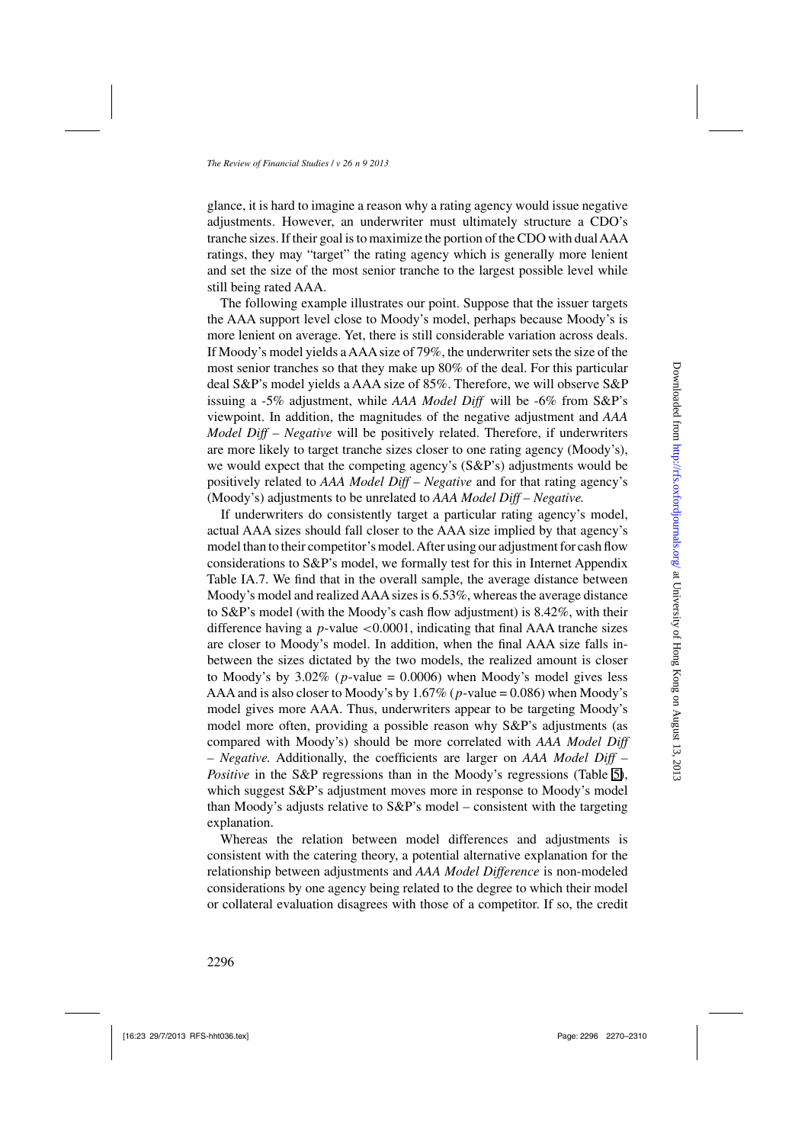glance, it is hard to imagine a reason why a rating agency would issue negative adjustments. However, an underwriter must ultimately structure a CDO's tranche sizes. If their goal is to maximize the portion of the CDO with dualAAA ratings, they may "target" the rating agency which is generally more lenient and set the size of the most senior tranche to the largest possible level while still being rated AAA.

The following example illustrates our point. Suppose that the issuer targets the AAA support level close to Moody's model, perhaps because Moody's is more lenient on average. Yet, there is still considerable variation across deals. If Moody's model yields a AAA size of 79%, the underwriter sets the size of the most senior tranches so that they make up 80% of the deal. For this particular deal S&P's model yields a AAA size of 85%. Therefore, we will observe S&P issuing a -5% adjustment, while *AAA Model Diff* will be -6% from S&P's viewpoint. In addition, the magnitudes of the negative adjustment and *AAA Model Diff – Negative* will be positively related. Therefore, if underwriters are more likely to target tranche sizes closer to one rating agency (Moody's), we would expect that the competing agency's (S&P's) adjustments would be positively related to *AAA Model Diff – Negative* and for that rating agency's (Moody's) adjustments to be unrelated to *AAA Model Diff – Negative.*

If underwriters do consistently target a particular rating agency's model, actual AAA sizes should fall closer to the AAA size implied by that agency's model than to their competitor's model.After using our adjustment for cash flow considerations to S&P's model, we formally test for this in Internet Appendix Table IA.7. We find that in the overall sample, the average distance between Moody's model and realized AAA sizes is 6.53%, whereas the average distance to S&P's model (with the Moody's cash flow adjustment) is 8.42%, with their difference having a  $p$ -value <0.0001, indicating that final AAA tranche sizes are closer to Moody's model. In addition, when the final AAA size falls inbetween the sizes dictated by the two models, the realized amount is closer to Moody's by  $3.02\%$  (*p*-value = 0.0006) when Moody's model gives less AAA and is also closer to Moody's by  $1.67\%$  (p-value = 0.086) when Moody's model gives more AAA. Thus, underwriters appear to be targeting Moody's model more often, providing a possible reason why S&P's adjustments (as compared with Moody's) should be more correlated with *AAA Model Diff – Negative.* Additionally, the coefficients are larger on *AAA Model Diff – Positive* in the S&P regressions than in the Moody's regressions (Table [5\)](#page-25-0), which suggest S&P's adjustment moves more in response to Moody's model than Moody's adjusts relative to S&P's model – consistent with the targeting explanation.

Whereas the relation between model differences and adjustments is consistent with the catering theory, a potential alternative explanation for the relationship between adjustments and *AAA Model Difference* is non-modeled considerations by one agency being related to the degree to which their model or collateral evaluation disagrees with those of a competitor. If so, the credit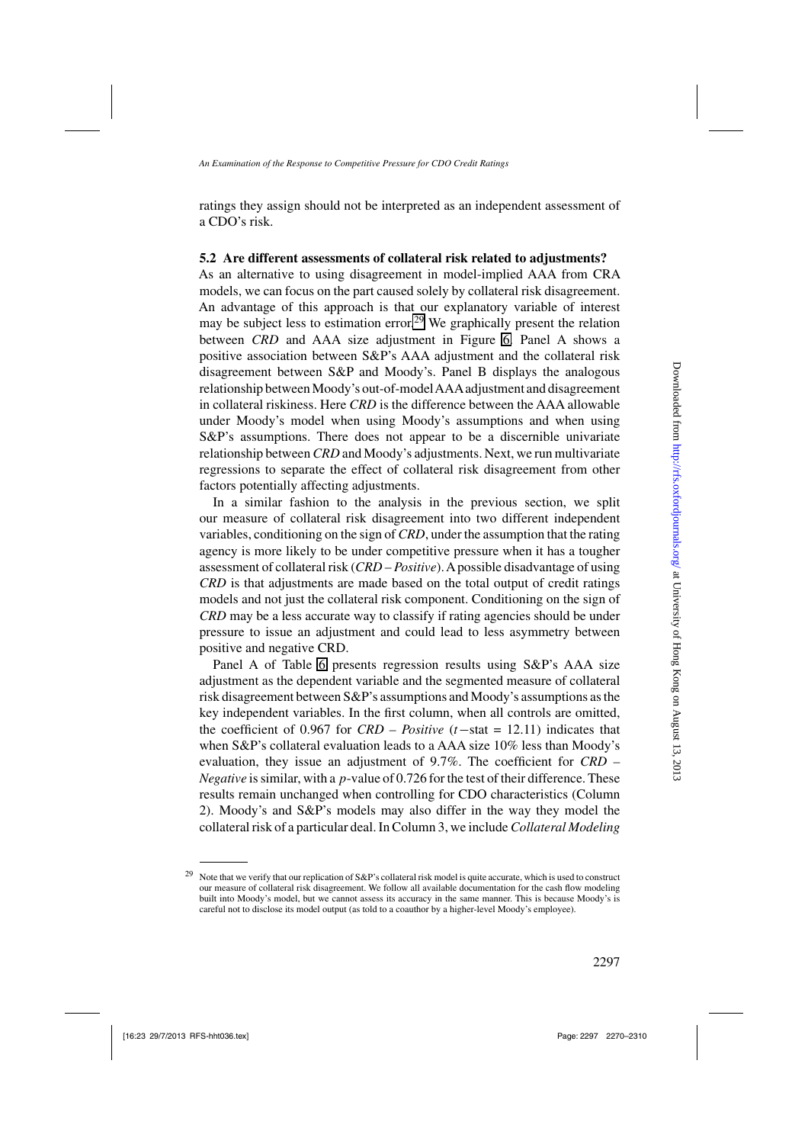ratings they assign should not be interpreted as an independent assessment of a CDO's risk.

## **5.2 Are different assessments of collateral risk related to adjustments?**

As an alternative to using disagreement in model-implied AAA from CRA models, we can focus on the part caused solely by collateral risk disagreement. An advantage of this approach is that our explanatory variable of interest may be subject less to estimation error.<sup>29</sup> We graphically present the relation between *CRD* and AAA size adjustment in Figure [6.](#page-28-0) Panel A shows a positive association between S&P's AAA adjustment and the collateral risk disagreement between S&P and Moody's. Panel B displays the analogous relationship between Moody's out-of-modelAAAadjustment and disagreement in collateral riskiness. Here *CRD* is the difference between the AAA allowable under Moody's model when using Moody's assumptions and when using S&P's assumptions. There does not appear to be a discernible univariate relationship between*CRD* and Moody's adjustments. Next, we run multivariate regressions to separate the effect of collateral risk disagreement from other factors potentially affecting adjustments.

In a similar fashion to the analysis in the previous section, we split our measure of collateral risk disagreement into two different independent variables, conditioning on the sign of *CRD*, under the assumption that the rating agency is more likely to be under competitive pressure when it has a tougher assessment of collateral risk (*CRD* – *Positive*).Apossible disadvantage of using *CRD* is that adjustments are made based on the total output of credit ratings models and not just the collateral risk component. Conditioning on the sign of *CRD* may be a less accurate way to classify if rating agencies should be under pressure to issue an adjustment and could lead to less asymmetry between positive and negative CRD.

Panel A of Table [6](#page-29-0) presents regression results using S&P's AAA size adjustment as the dependent variable and the segmented measure of collateral risk disagreement between S&P's assumptions and Moody's assumptions as the key independent variables. In the first column, when all controls are omitted, the coefficient of 0.967 for *CRD – Positive* (t−stat = 12.11) indicates that when S&P's collateral evaluation leads to a AAA size 10% less than Moody's evaluation, they issue an adjustment of 9.7%. The coefficient for *CRD – Negative* is similar, with a *p*-value of 0.726 for the test of their difference. These results remain unchanged when controlling for CDO characteristics (Column 2). Moody's and S&P's models may also differ in the way they model the collateral risk of a particular deal. In Column 3, we include *Collateral Modeling*

<sup>&</sup>lt;sup>29</sup> Note that we verify that our replication of S&P's collateral risk model is quite accurate, which is used to construct our measure of collateral risk disagreement. We follow all available documentation for the cash flow modeling built into Moody's model, but we cannot assess its accuracy in the same manner. This is because Moody's is careful not to disclose its model output (as told to a coauthor by a higher-level Moody's employee).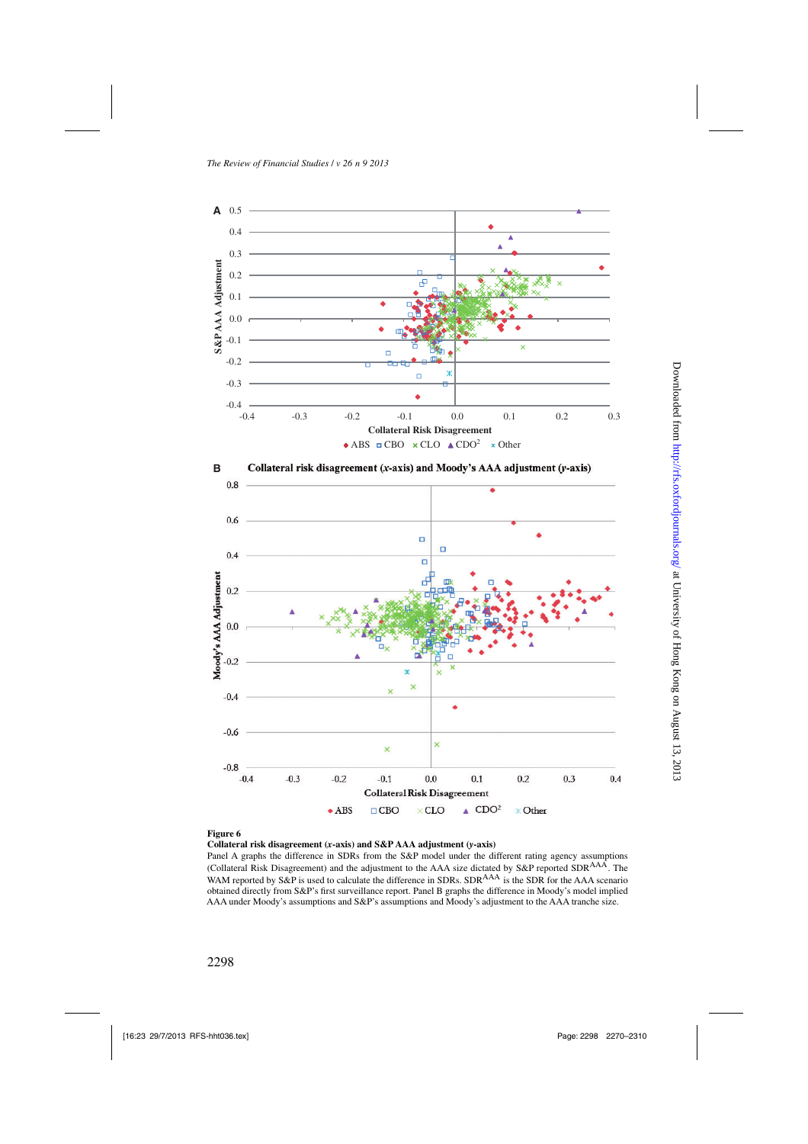<span id="page-28-0"></span>

#### **Figure 6**

**Collateral risk disagreement (***x***-axis) and S&P AAA adjustment (***y***-axis)**

Panel A graphs the difference in SDRs from the S&P model under the different rating agency assumptions (Collateral Risk Disagreement) and the adjustment to the AAA size dictated by S&P reported SDRAAA. The WAM reported by S&P is used to calculate the difference in SDRs. SDRAAA is the SDR for the AAA scenario obtained directly from S&P's first surveillance report. Panel B graphs the difference in Moody's model implied AAA under Moody's assumptions and S&P's assumptions and Moody's adjustment to the AAA tranche size.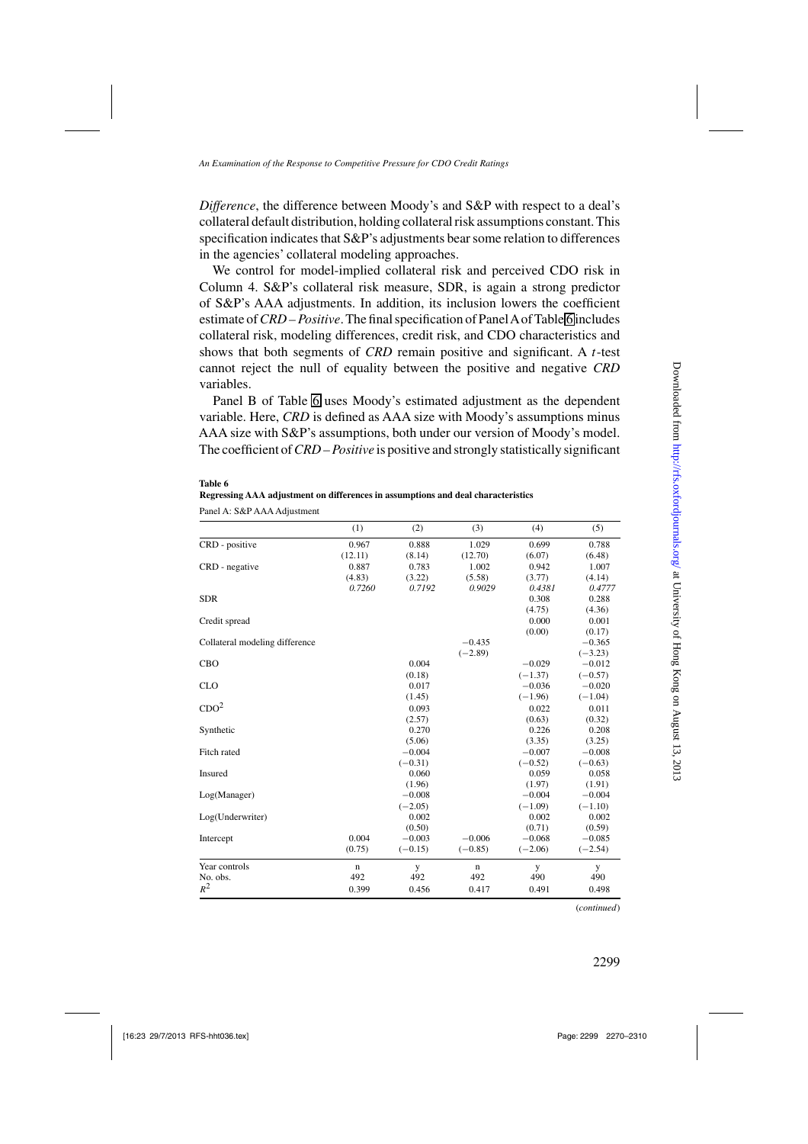<span id="page-29-0"></span>*Difference*, the difference between Moody's and S&P with respect to a deal's collateral default distribution, holding collateral risk assumptions constant. This specification indicates that S&P's adjustments bear some relation to differences in the agencies' collateral modeling approaches.

We control for model-implied collateral risk and perceived CDO risk in Column 4. S&P's collateral risk measure, SDR, is again a strong predictor of S&P's AAA adjustments. In addition, its inclusion lowers the coefficient estimate of*CRD – Positive*. The final specification of PanelAof Table 6 includes collateral risk, modeling differences, credit risk, and CDO characteristics and shows that both segments of *CRD* remain positive and significant. A t-test cannot reject the null of equality between the positive and negative *CRD* variables.

Panel B of Table 6 uses Moody's estimated adjustment as the dependent variable. Here, *CRD* is defined as AAA size with Moody's assumptions minus AAA size with S&P's assumptions, both under our version of Moody's model. The coefficient of*CRD – Positive* is positive and strongly statistically significant

| Table 6                                                                          |  |  |  |
|----------------------------------------------------------------------------------|--|--|--|
| Regressing AAA adjustment on differences in assumptions and deal characteristics |  |  |  |

Panel A: S&P AAA Adjustment

|                                | (1)         | (2)       | (3)         | (4)       | (5)       |
|--------------------------------|-------------|-----------|-------------|-----------|-----------|
| CRD - positive                 | 0.967       | 0.888     | 1.029       | 0.699     | 0.788     |
|                                | (12.11)     | (8.14)    | (12.70)     | (6.07)    | (6.48)    |
| CRD - negative                 | 0.887       | 0.783     | 1.002       | 0.942     | 1.007     |
|                                | (4.83)      | (3.22)    | (5.58)      | (3.77)    | (4.14)    |
|                                | 0.7260      | 0.7192    | 0.9029      | 0.4381    | 0.4777    |
| <b>SDR</b>                     |             |           |             | 0.308     | 0.288     |
|                                |             |           |             | (4.75)    | (4.36)    |
| Credit spread                  |             |           |             | 0.000     | 0.001     |
|                                |             |           |             | (0.00)    | (0.17)    |
| Collateral modeling difference |             |           | $-0.435$    |           | $-0.365$  |
|                                |             |           | $(-2.89)$   |           | $(-3.23)$ |
| CBO                            |             | 0.004     |             | $-0.029$  | $-0.012$  |
|                                |             | (0.18)    |             | $(-1.37)$ | $(-0.57)$ |
| <b>CLO</b>                     |             | 0.017     |             | $-0.036$  | $-0.020$  |
|                                |             | (1.45)    |             | $(-1.96)$ | $(-1.04)$ |
| CDO <sup>2</sup>               |             | 0.093     |             | 0.022     | 0.011     |
|                                |             | (2.57)    |             | (0.63)    | (0.32)    |
| Synthetic                      |             | 0.270     |             | 0.226     | 0.208     |
|                                |             | (5.06)    |             | (3.35)    | (3.25)    |
| Fitch rated                    |             | $-0.004$  |             | $-0.007$  | $-0.008$  |
|                                |             | $(-0.31)$ |             | $(-0.52)$ | $(-0.63)$ |
| Insured                        |             | 0.060     |             | 0.059     | 0.058     |
|                                |             | (1.96)    |             | (1.97)    | (1.91)    |
| Log(Manager)                   |             | $-0.008$  |             | $-0.004$  | $-0.004$  |
|                                |             | $(-2.05)$ |             | $(-1.09)$ | $(-1.10)$ |
| Log(Underwriter)               |             | 0.002     |             | 0.002     | 0.002     |
|                                |             | (0.50)    |             | (0.71)    | (0.59)    |
| Intercept                      | 0.004       | $-0.003$  | $-0.006$    | $-0.068$  | $-0.085$  |
|                                | (0.75)      | $(-0.15)$ | $(-0.85)$   | $(-2.06)$ | $(-2.54)$ |
| Year controls                  | $\mathbf n$ | у         | $\mathbf n$ | y         | у         |
| No. obs.                       | 492         | 492       | 492         | 490       | 490       |
| $R^2$                          | 0.399       | 0.456     | 0.417       | 0.491     | 0.498     |

(*continued*)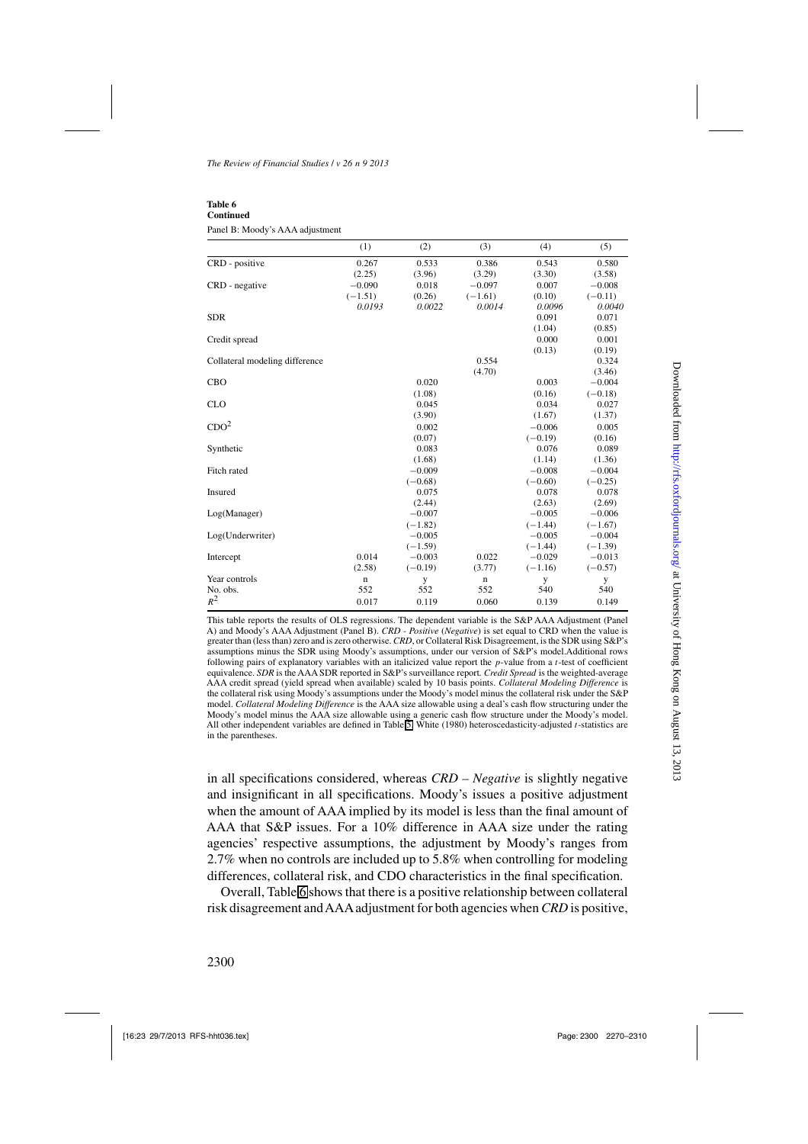| Table 6          |
|------------------|
| <b>Continued</b> |

| Panel B: Moody's AAA adjustment |
|---------------------------------|
|---------------------------------|

|                                | (1)         | (2)       | (3)         | (4)       | (5)       |
|--------------------------------|-------------|-----------|-------------|-----------|-----------|
| CRD - positive                 | 0.267       | 0.533     | 0.386       | 0.543     | 0.580     |
|                                | (2.25)      | (3.96)    | (3.29)      | (3.30)    | (3.58)    |
| CRD - negative                 | $-0.090$    | 0.018     | $-0.097$    | 0.007     | $-0.008$  |
|                                | $(-1.51)$   | (0.26)    | $(-1.61)$   | (0.10)    | $(-0.11)$ |
|                                | 0.0193      | 0.0022    | 0.0014      | 0.0096    | 0.0040    |
| <b>SDR</b>                     |             |           |             | 0.091     | 0.071     |
|                                |             |           |             | (1.04)    | (0.85)    |
| Credit spread                  |             |           |             | 0.000     | 0.001     |
|                                |             |           |             | (0.13)    | (0.19)    |
| Collateral modeling difference |             |           | 0.554       |           | 0.324     |
|                                |             |           | (4.70)      |           | (3.46)    |
| CBO                            |             | 0.020     |             | 0.003     | $-0.004$  |
|                                |             | (1.08)    |             | (0.16)    | $(-0.18)$ |
| <b>CLO</b>                     |             | 0.045     |             | 0.034     | 0.027     |
|                                |             | (3.90)    |             | (1.67)    | (1.37)    |
| CDO <sup>2</sup>               |             | 0.002     |             | $-0.006$  | 0.005     |
|                                |             | (0.07)    |             | $(-0.19)$ | (0.16)    |
| Synthetic                      |             | 0.083     |             | 0.076     | 0.089     |
|                                |             | (1.68)    |             | (1.14)    | (1.36)    |
| Fitch rated                    |             | $-0.009$  |             | $-0.008$  | $-0.004$  |
|                                |             | $(-0.68)$ |             | $(-0.60)$ | $(-0.25)$ |
| Insured                        |             | 0.075     |             | 0.078     | 0.078     |
|                                |             | (2.44)    |             | (2.63)    | (2.69)    |
| Log(Manager)                   |             | $-0.007$  |             | $-0.005$  | $-0.006$  |
|                                |             | $(-1.82)$ |             | $(-1.44)$ | $(-1.67)$ |
| Log(Underwriter)               |             | $-0.005$  |             | $-0.005$  | $-0.004$  |
|                                |             | $(-1.59)$ |             | $(-1.44)$ | $(-1.39)$ |
| Intercept                      | 0.014       | $-0.003$  | 0.022       | $-0.029$  | $-0.013$  |
|                                | (2.58)      | $(-0.19)$ | (3.77)      | $(-1.16)$ | $(-0.57)$ |
| Year controls                  | $\mathbf n$ | у         | $\mathbf n$ | y         | y         |
| No. obs.                       | 552         | 552       | 552         | 540       | 540       |
| $R^2$                          | 0.017       | 0.119     | 0.060       | 0.139     | 0.149     |

This table reports the results of OLS regressions. The dependent variable is the S&P AAA Adjustment (Panel A) and Moody's AAA Adjustment (Panel B). *CRD - Positive* (*Negative*) is set equal to CRD when the value is greater than (less than) zero and is zero otherwise. *CRD*, or Collateral Risk Disagreement, is the SDR using S&P's assumptions minus the SDR using Moody's assumptions, under our version of S&P's model.Additional rows following pairs of explanatory variables with an italicized value report the  $p$ -value from a t-test of coefficient equivalence. *SDR* is the AAA SDR reported in S&P's surveillance report*. Credit Spread* is the weighted-average AAA credit spread (yield spread when available) scaled by 10 basis points. *Collateral Modeling Difference* is the collateral risk using Moody's assumptions under the Moody's model minus the collateral risk under the S&P model. *Collateral Modeling Difference* is the AAA size allowable using a deal's cash flow structuring under the Moody's model minus the AAA size allowable using a generic cash flow structure under the Moody's model. All other independent variables are defined in Table [5.](#page-25-0) White (1980) heteroscedasticity-adjusted t-statistics are in the parentheses.

in all specifications considered, whereas *CRD – Negative* is slightly negative and insignificant in all specifications. Moody's issues a positive adjustment when the amount of AAA implied by its model is less than the final amount of AAA that S&P issues. For a 10% difference in AAA size under the rating agencies' respective assumptions, the adjustment by Moody's ranges from 2.7% when no controls are included up to 5.8% when controlling for modeling differences, collateral risk, and CDO characteristics in the final specification.

Overall, Table [6](#page-29-0) shows that there is a positive relationship between collateral risk disagreement andAAAadjustment for both agencies when*CRD* is positive,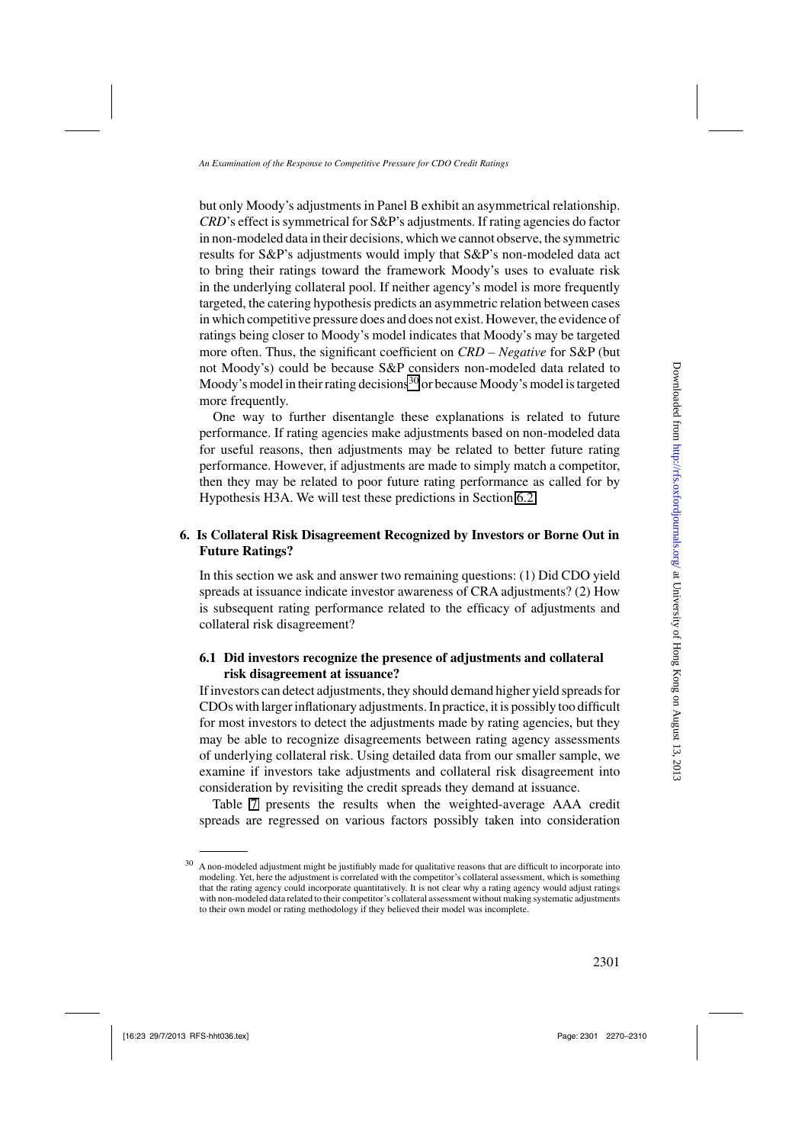<span id="page-31-0"></span>but only Moody's adjustments in Panel B exhibit an asymmetrical relationship. *CRD*'s effect is symmetrical for S&P's adjustments. If rating agencies do factor in non-modeled data in their decisions, which we cannot observe, the symmetric results for S&P's adjustments would imply that S&P's non-modeled data act to bring their ratings toward the framework Moody's uses to evaluate risk in the underlying collateral pool. If neither agency's model is more frequently targeted, the catering hypothesis predicts an asymmetric relation between cases in which competitive pressure does and does not exist. However, the evidence of ratings being closer to Moody's model indicates that Moody's may be targeted more often. Thus, the significant coefficient on *CRD – Negative* for S&P (but not Moody's) could be because S&P considers non-modeled data related to Moody's model in their rating decisions<sup>30</sup> or because Moody's model is targeted more frequently.

One way to further disentangle these explanations is related to future performance. If rating agencies make adjustments based on non-modeled data for useful reasons, then adjustments may be related to better future rating performance. However, if adjustments are made to simply match a competitor, then they may be related to poor future rating performance as called for by Hypothesis H3A. We will test these predictions in Section [6.2.](#page-33-0)

# **6. Is Collateral Risk Disagreement Recognized by Investors or Borne Out in Future Ratings?**

In this section we ask and answer two remaining questions: (1) Did CDO yield spreads at issuance indicate investor awareness of CRA adjustments? (2) How is subsequent rating performance related to the efficacy of adjustments and collateral risk disagreement?

# **6.1 Did investors recognize the presence of adjustments and collateral risk disagreement at issuance?**

If investors can detect adjustments, they should demand higher yield spreads for CDOs with larger inflationary adjustments. In practice, it is possibly too difficult for most investors to detect the adjustments made by rating agencies, but they may be able to recognize disagreements between rating agency assessments of underlying collateral risk. Using detailed data from our smaller sample, we examine if investors take adjustments and collateral risk disagreement into consideration by revisiting the credit spreads they demand at issuance.

Table [7](#page-32-0) presents the results when the weighted-average AAA credit spreads are regressed on various factors possibly taken into consideration

<sup>&</sup>lt;sup>30</sup> A non-modeled adjustment might be justifiably made for qualitative reasons that are difficult to incorporate into modeling. Yet, here the adjustment is correlated with the competitor's collateral assessment, which is something that the rating agency could incorporate quantitatively. It is not clear why a rating agency would adjust ratings with non-modeled data related to their competitor's collateral assessment without making systematic adjustments to their own model or rating methodology if they believed their model was incomplete.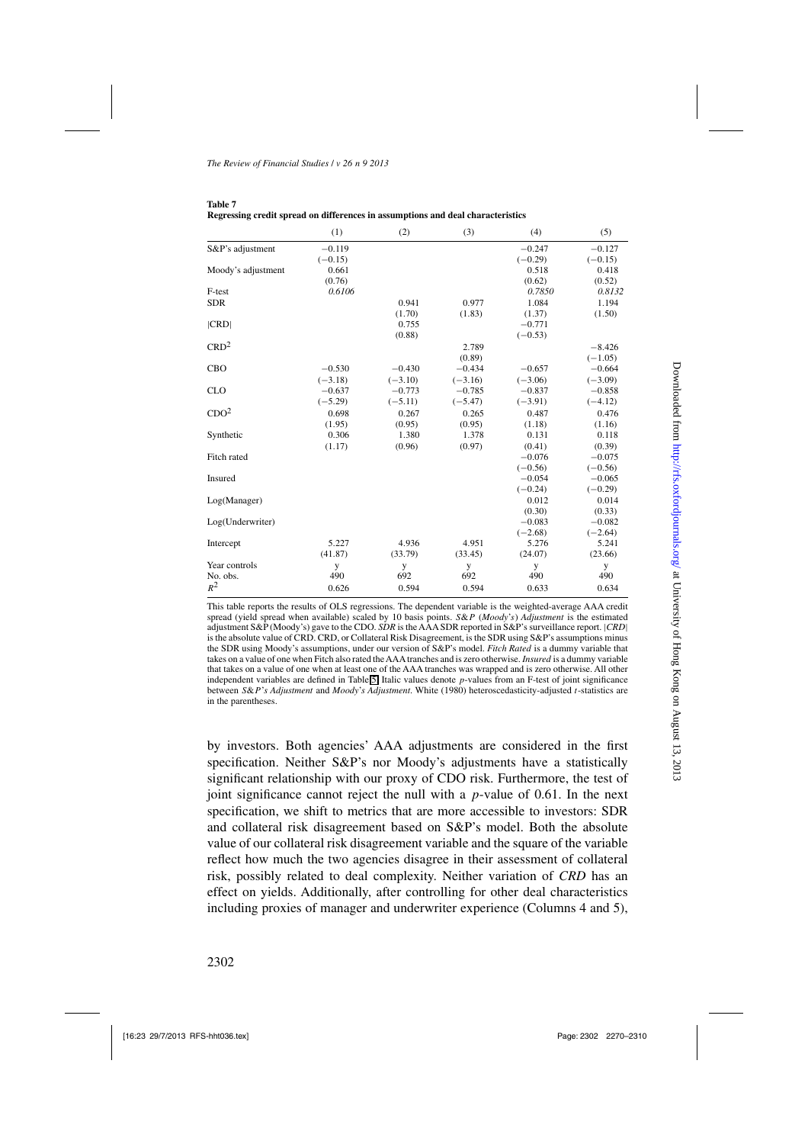<span id="page-32-0"></span>

| Table 7                                                                         |  |  |
|---------------------------------------------------------------------------------|--|--|
| Regressing credit spread on differences in assumptions and deal characteristics |  |  |
|                                                                                 |  |  |

|                    | (1)       | (2)       | (3)       | (4)       | (5)       |
|--------------------|-----------|-----------|-----------|-----------|-----------|
| S&P's adjustment   | $-0.119$  |           |           | $-0.247$  | $-0.127$  |
|                    | $(-0.15)$ |           |           | $(-0.29)$ | $(-0.15)$ |
| Moody's adjustment | 0.661     |           |           | 0.518     | 0.418     |
|                    | (0.76)    |           |           | (0.62)    | (0.52)    |
| F-test             | 0.6106    |           |           | 0.7850    | 0.8132    |
| <b>SDR</b>         |           | 0.941     | 0.977     | 1.084     | 1.194     |
|                    |           | (1.70)    | (1.83)    | (1.37)    | (1.50)    |
| CRD                |           | 0.755     |           | $-0.771$  |           |
|                    |           | (0.88)    |           | $(-0.53)$ |           |
| CRD <sup>2</sup>   |           |           | 2.789     |           | $-8.426$  |
|                    |           |           | (0.89)    |           | $(-1.05)$ |
| CBO                | $-0.530$  | $-0.430$  | $-0.434$  | $-0.657$  | $-0.664$  |
|                    | $(-3.18)$ | $(-3.10)$ | $(-3.16)$ | $(-3.06)$ | $(-3.09)$ |
| <b>CLO</b>         | $-0.637$  | $-0.773$  | $-0.785$  | $-0.837$  | $-0.858$  |
|                    | $(-5.29)$ | $(-5.11)$ | $(-5.47)$ | $(-3.91)$ | $(-4.12)$ |
| CDO <sup>2</sup>   | 0.698     | 0.267     | 0.265     | 0.487     | 0.476     |
|                    | (1.95)    | (0.95)    | (0.95)    | (1.18)    | (1.16)    |
| Synthetic          | 0.306     | 1.380     | 1.378     | 0.131     | 0.118     |
|                    | (1.17)    | (0.96)    | (0.97)    | (0.41)    | (0.39)    |
| Fitch rated        |           |           |           | $-0.076$  | $-0.075$  |
|                    |           |           |           | $(-0.56)$ | $(-0.56)$ |
| Insured            |           |           |           | $-0.054$  | $-0.065$  |
|                    |           |           |           | $(-0.24)$ | $(-0.29)$ |
| Log(Manager)       |           |           |           | 0.012     | 0.014     |
|                    |           |           |           | (0.30)    | (0.33)    |
| Log(Underwriter)   |           |           |           | $-0.083$  | $-0.082$  |
|                    |           |           |           | $(-2.68)$ | $(-2.64)$ |
| Intercept          | 5.227     | 4.936     | 4.951     | 5.276     | 5.241     |
|                    | (41.87)   | (33.79)   | (33.45)   | (24.07)   | (23.66)   |
| Year controls      | y         | y         | y         | y         | y         |
| No. obs.           | 490       | 692       | 692       | 490       | 490       |
| $R^2$              | 0.626     | 0.594     | 0.594     | 0.633     | 0.634     |

This table reports the results of OLS regressions. The dependent variable is the weighted-average AAA credit spread (yield spread when available) scaled by 10 basis points. S&P (*Moody*'s) *Adjustment* is the estimated adjustment S&P (Moody's) gave to the CDO. *SDR* is the AAA SDR reported in S&P's surveillance report. |*CRD*| is the absolute value of CRD. CRD, or Collateral Risk Disagreement, is the SDR using S&P's assumptions minus the SDR using Moody's assumptions, under our version of S&P's model. *Fitch Rated* is a dummy variable that takes on a value of one when Fitch also rated theAAAtranches and is zero otherwise. *Insured* is a dummy variable that takes on a value of one when at least one of the AAA tranches was wrapped and is zero otherwise. All other independent variables are defined in Table [5.](#page-25-0) Italic values denote p-values from an F-test of joint significance between S&P'*s Adjustment* and *Moody*'*s Adjustment*. White (1980) heteroscedasticity-adjusted t-statistics are in the parentheses.

by investors. Both agencies' AAA adjustments are considered in the first specification. Neither S&P's nor Moody's adjustments have a statistically significant relationship with our proxy of CDO risk. Furthermore, the test of joint significance cannot reject the null with a  $p$ -value of 0.61. In the next specification, we shift to metrics that are more accessible to investors: SDR and collateral risk disagreement based on S&P's model. Both the absolute value of our collateral risk disagreement variable and the square of the variable reflect how much the two agencies disagree in their assessment of collateral risk, possibly related to deal complexity. Neither variation of *CRD* has an effect on yields. Additionally, after controlling for other deal characteristics including proxies of manager and underwriter experience (Columns 4 and 5),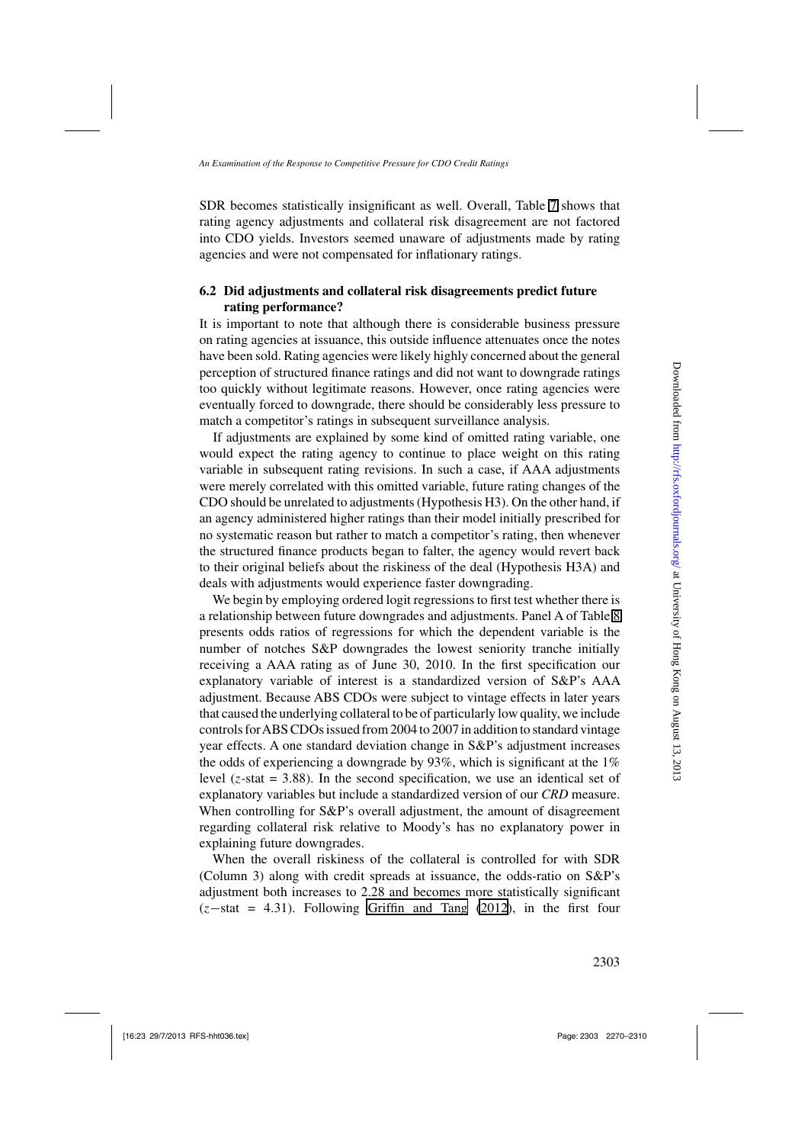<span id="page-33-0"></span>SDR becomes statistically insignificant as well. Overall, Table [7](#page-32-0) shows that rating agency adjustments and collateral risk disagreement are not factored into CDO yields. Investors seemed unaware of adjustments made by rating agencies and were not compensated for inflationary ratings.

# **6.2 Did adjustments and collateral risk disagreements predict future rating performance?**

It is important to note that although there is considerable business pressure on rating agencies at issuance, this outside influence attenuates once the notes have been sold. Rating agencies were likely highly concerned about the general perception of structured finance ratings and did not want to downgrade ratings too quickly without legitimate reasons. However, once rating agencies were eventually forced to downgrade, there should be considerably less pressure to match a competitor's ratings in subsequent surveillance analysis.

If adjustments are explained by some kind of omitted rating variable, one would expect the rating agency to continue to place weight on this rating variable in subsequent rating revisions. In such a case, if AAA adjustments were merely correlated with this omitted variable, future rating changes of the CDO should be unrelated to adjustments (Hypothesis H3). On the other hand, if an agency administered higher ratings than their model initially prescribed for no systematic reason but rather to match a competitor's rating, then whenever the structured finance products began to falter, the agency would revert back to their original beliefs about the riskiness of the deal (Hypothesis H3A) and deals with adjustments would experience faster downgrading.

We begin by employing ordered logit regressions to first test whether there is a relationship between future downgrades and adjustments. Panel A of Table [8](#page-34-0) presents odds ratios of regressions for which the dependent variable is the number of notches S&P downgrades the lowest seniority tranche initially receiving a AAA rating as of June 30, 2010. In the first specification our explanatory variable of interest is a standardized version of S&P's AAA adjustment. Because ABS CDOs were subject to vintage effects in later years that caused the underlying collateral to be of particularly low quality, we include controls forABS CDOs issued from 2004 to 2007 in addition to standard vintage year effects. A one standard deviation change in S&P's adjustment increases the odds of experiencing a downgrade by 93%, which is significant at the 1% level ( $z$ -stat = 3.88). In the second specification, we use an identical set of explanatory variables but include a standardized version of our *CRD* measure. When controlling for S&P's overall adjustment, the amount of disagreement regarding collateral risk relative to Moody's has no explanatory power in explaining future downgrades.

When the overall riskiness of the collateral is controlled for with SDR (Column 3) along with credit spreads at issuance, the odds-ratio on S&P's adjustment both increases to 2.28 and becomes more statistically significant  $(z - stat = 4.31)$ . Following [Griffin and Tang](#page-39-0) [\(2012\)](#page-39-0), in the first four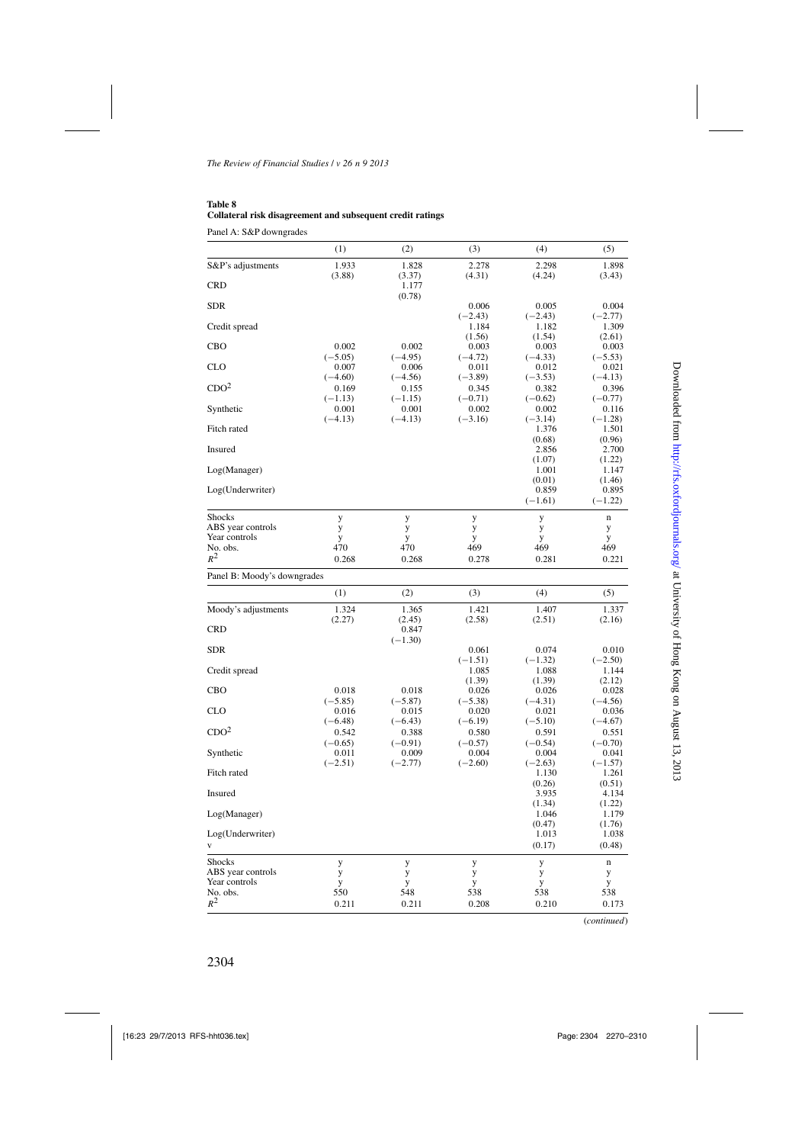#### <span id="page-34-0"></span>**Table 8 Collateral risk disagreement and subsequent credit ratings**

Panel A: S&P downgrades

|                                                                   | (1)                         | (2)                         | (3)                         | (4)                         | (5)                                   |
|-------------------------------------------------------------------|-----------------------------|-----------------------------|-----------------------------|-----------------------------|---------------------------------------|
| S&P's adjustments                                                 | 1.933                       | 1.828                       | 2.278                       | 2.298                       | 1.898                                 |
| CRD                                                               | (3.88)                      | (3.37)<br>1.177             | (4.31)                      | (4.24)                      | (3.43)                                |
| <b>SDR</b>                                                        |                             | (0.78)                      | 0.006<br>$(-2.43)$          | 0.005<br>$(-2.43)$          | 0.004<br>$(-2.77)$                    |
| Credit spread                                                     |                             |                             | 1.184<br>(1.56)             | 1.182<br>(1.54)             | 1.309<br>(2.61)                       |
| <b>CBO</b>                                                        | 0.002<br>$(-5.05)$          | 0.002<br>$(-4.95)$          | 0.003<br>$(-4.72)$          | 0.003<br>$(-4.33)$          | 0.003<br>$(-5.53)$                    |
| <b>CLO</b>                                                        | 0.007<br>$(-4.60)$          | 0.006<br>$(-4.56)$          | 0.011<br>$(-3.89)$          | 0.012<br>$(-3.53)$          | 0.021<br>$(-4.13)$                    |
| CDO <sup>2</sup>                                                  | 0.169<br>$(-1.13)$          | 0.155<br>$(-1.15)$          | 0.345<br>$(-0.71)$          | 0.382<br>$(-0.62)$          | 0.396<br>$(-0.77)$                    |
| Synthetic                                                         | 0.001<br>$(-4.13)$          | 0.001<br>$(-4.13)$          | 0.002<br>$(-3.16)$          | 0.002<br>$(-3.14)$          | 0.116<br>$(-1.28)$                    |
| Fitch rated                                                       |                             |                             |                             | 1.376<br>(0.68)             | 1.501<br>(0.96)                       |
| Insured                                                           |                             |                             |                             | 2.856<br>(1.07)             | 2.700<br>(1.22)                       |
| Log(Manager)                                                      |                             |                             |                             | 1.001<br>(0.01)             | 1.147<br>(1.46)                       |
| Log(Underwriter)                                                  |                             |                             |                             | 0.859<br>$(-1.61)$          | 0.895<br>$(-1.22)$                    |
| Shocks                                                            | y                           | y                           | y                           | y                           | $\mathbf n$                           |
| ABS year controls<br>Year controls                                | y                           | y                           | y                           | y                           | y                                     |
| No. obs.                                                          | $\frac{y}{470}$             | у<br>470                    | у<br>469                    | $\frac{y}{469}$             | $\frac{y}{469}$                       |
| $R^2$                                                             | 0.268                       | 0.268                       | 0.278                       | 0.281                       | 0.221                                 |
| Panel B: Moody's downgrades                                       |                             |                             |                             |                             |                                       |
|                                                                   | (1)                         | (2)                         | (3)                         | (4)                         | (5)                                   |
| Moody's adjustments                                               | 1.324<br>(2.27)             | 1.365<br>(2.45)             | 1.421<br>(2.58)             | 1.407<br>(2.51)             | 1.337<br>(2.16)                       |
| <b>CRD</b>                                                        |                             | 0.847<br>$(-1.30)$          |                             |                             |                                       |
| <b>SDR</b>                                                        |                             |                             | 0.061<br>$(-1.51)$          | 0.074<br>$(-1.32)$          | 0.010<br>$(-2.50)$                    |
| Credit spread                                                     |                             |                             | 1.085<br>(1.39)             | 1.088<br>(1.39)             | 1.144<br>(2.12)                       |
| <b>CBO</b>                                                        | 0.018<br>$(-5.85)$          | 0.018<br>$(-5.87)$          | 0.026<br>$(-5.38)$          | 0.026<br>$(-4.31)$          | 0.028<br>$(-4.56)$                    |
| <b>CLO</b>                                                        | 0.016<br>$(-6.48)$          | 0.015<br>$(-6.43)$          | 0.020<br>$(-6.19)$          | 0.021<br>$(-5.10)$          | 0.036<br>$(-4.67)$                    |
| CDO <sup>2</sup>                                                  | 0.542<br>$(-0.65)$          | 0.388<br>$(-0.91)$          | 0.580<br>$(-0.57)$          | 0.591<br>$(-0.54)$          | 0.551<br>$(-0.70)$                    |
| Synthetic                                                         | 0.011<br>$(-2.51)$          | 0.009<br>$(-2.77)$          | 0.004<br>$(-2.60)$          | 0.004<br>$(-2.63)$          | 0.041<br>$(-1.57)$                    |
| Fitch rated                                                       |                             |                             |                             | 1.130<br>(0.26)             | 1.261<br>(0.51)                       |
| Insured                                                           |                             |                             |                             | 3.935<br>(1.34)             | 4.134<br>(1.22)                       |
| Log(Manager)                                                      |                             |                             |                             | 1.046<br>(0.47)             | 1.179<br>(1.76)                       |
| Log(Underwriter)<br>v                                             |                             |                             |                             | 1.013<br>(0.17)             | 1.038<br>(0.48)                       |
| Shocks<br>ABS year controls<br>Year controls<br>No. obs.<br>$R^2$ | у<br>y<br>y<br>550<br>0.211 | у<br>y<br>y<br>548<br>0.211 | y<br>y<br>y<br>538<br>0.208 | y<br>y<br>y<br>538<br>0.210 | $\mathbf n$<br>y<br>y<br>538<br>0.173 |

(*continued*)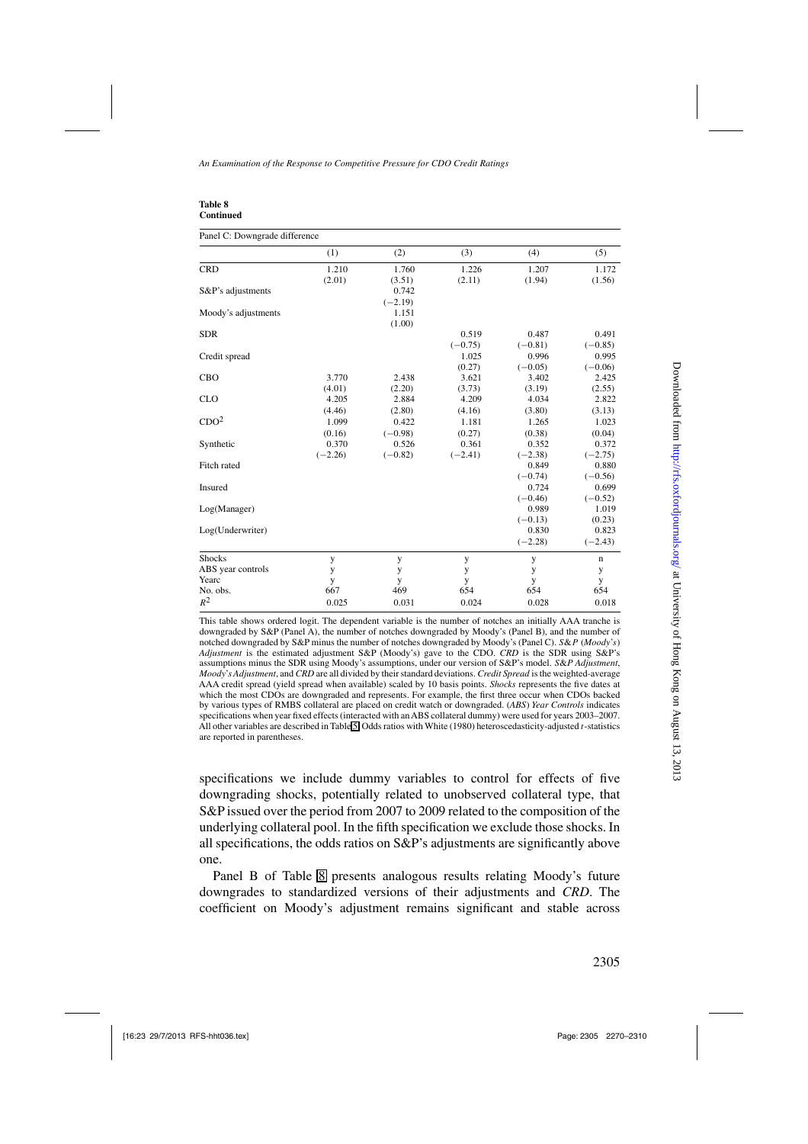| <b>Table 8</b>   |
|------------------|
| <b>Continued</b> |

#### Panel C: Downgrade difference

| $\cdots$            |           |           |           |           |           |
|---------------------|-----------|-----------|-----------|-----------|-----------|
|                     | (1)       | (2)       | (3)       | (4)       | (5)       |
| <b>CRD</b>          | 1.210     | 1.760     | 1.226     | 1.207     | 1.172     |
|                     | (2.01)    | (3.51)    | (2.11)    | (1.94)    | (1.56)    |
| S&P's adjustments   |           | 0.742     |           |           |           |
|                     |           | $(-2.19)$ |           |           |           |
| Moody's adjustments |           | 1.151     |           |           |           |
|                     |           | (1.00)    |           |           |           |
| <b>SDR</b>          |           |           | 0.519     | 0.487     | 0.491     |
|                     |           |           | $(-0.75)$ | $(-0.81)$ | $(-0.85)$ |
| Credit spread       |           |           | 1.025     | 0.996     | 0.995     |
|                     |           |           | (0.27)    | $(-0.05)$ | $(-0.06)$ |
| CBO                 | 3.770     | 2.438     | 3.621     | 3.402     | 2.425     |
|                     | (4.01)    | (2.20)    | (3.73)    | (3.19)    | (2.55)    |
| <b>CLO</b>          | 4.205     | 2.884     | 4.209     | 4.034     | 2.822     |
|                     | (4.46)    | (2.80)    | (4.16)    | (3.80)    | (3.13)    |
| CDO <sup>2</sup>    | 1.099     | 0.422     | 1.181     | 1.265     | 1.023     |
|                     | (0.16)    | $(-0.98)$ | (0.27)    | (0.38)    | (0.04)    |
| Synthetic           | 0.370     | 0.526     | 0.361     | 0.352     | 0.372     |
|                     | $(-2.26)$ | $(-0.82)$ | $(-2.41)$ | $(-2.38)$ | $(-2.75)$ |
| Fitch rated         |           |           |           | 0.849     | 0.880     |
|                     |           |           |           | $(-0.74)$ | $(-0.56)$ |
| Insured             |           |           |           | 0.724     | 0.699     |
|                     |           |           |           | $(-0.46)$ | $(-0.52)$ |
| Log(Manager)        |           |           |           | 0.989     | 1.019     |
|                     |           |           |           | $(-0.13)$ | (0.23)    |
| Log(Underwriter)    |           |           |           | 0.830     | 0.823     |
|                     |           |           |           | $(-2.28)$ | $(-2.43)$ |
| <b>Shocks</b>       | y         | у         | y         | y         | $\bf n$   |
| ABS year controls   | у         | y         | у         | y         | у         |
| Yearc               | y         | y         | y         | y         | y         |
| No. obs.            | 667       | 469       | 654       | 654       | 654       |
| $R^2$               | 0.025     | 0.031     | 0.024     | 0.028     | 0.018     |
|                     |           |           |           |           |           |

This table shows ordered logit. The dependent variable is the number of notches an initially AAA tranche is downgraded by S&P (Panel A), the number of notches downgraded by Moody's (Panel B), and the number of notched downgraded by S&P minus the number of notches downgraded by Moody's (Panel C). S&P (*Moody*'s) *Adjustment* is the estimated adjustment S&P (Moody's) gave to the CDO. *CRD* is the SDR using S&P's assumptions minus the SDR using Moody's assumptions, under our version of S&P's model. S&*P Adjustment*, *Moody*'*s Adjustment*, and *CRD* are all divided by their standard deviations. *Credit Spread* is the weighted-average AAA credit spread (yield spread when available) scaled by 10 basis points. *Shocks* represents the five dates at which the most CDOs are downgraded and represents. For example, the first three occur when CDOs backed by various types of RMBS collateral are placed on credit watch or downgraded. (*ABS*) *Year Controls* indicates specifications when year fixed effects (interacted with an ABS collateral dummy) were used for years 2003–2007. All other variables are described in Table [5.](#page-25-0) Odds ratios with White (1980) heteroscedasticity-adjusted t-statistics are reported in parentheses.

specifications we include dummy variables to control for effects of five downgrading shocks, potentially related to unobserved collateral type, that S&P issued over the period from 2007 to 2009 related to the composition of the underlying collateral pool. In the fifth specification we exclude those shocks. In all specifications, the odds ratios on S&P's adjustments are significantly above one.

Panel B of Table [8](#page-34-0) presents analogous results relating Moody's future downgrades to standardized versions of their adjustments and *CRD*. The coefficient on Moody's adjustment remains significant and stable across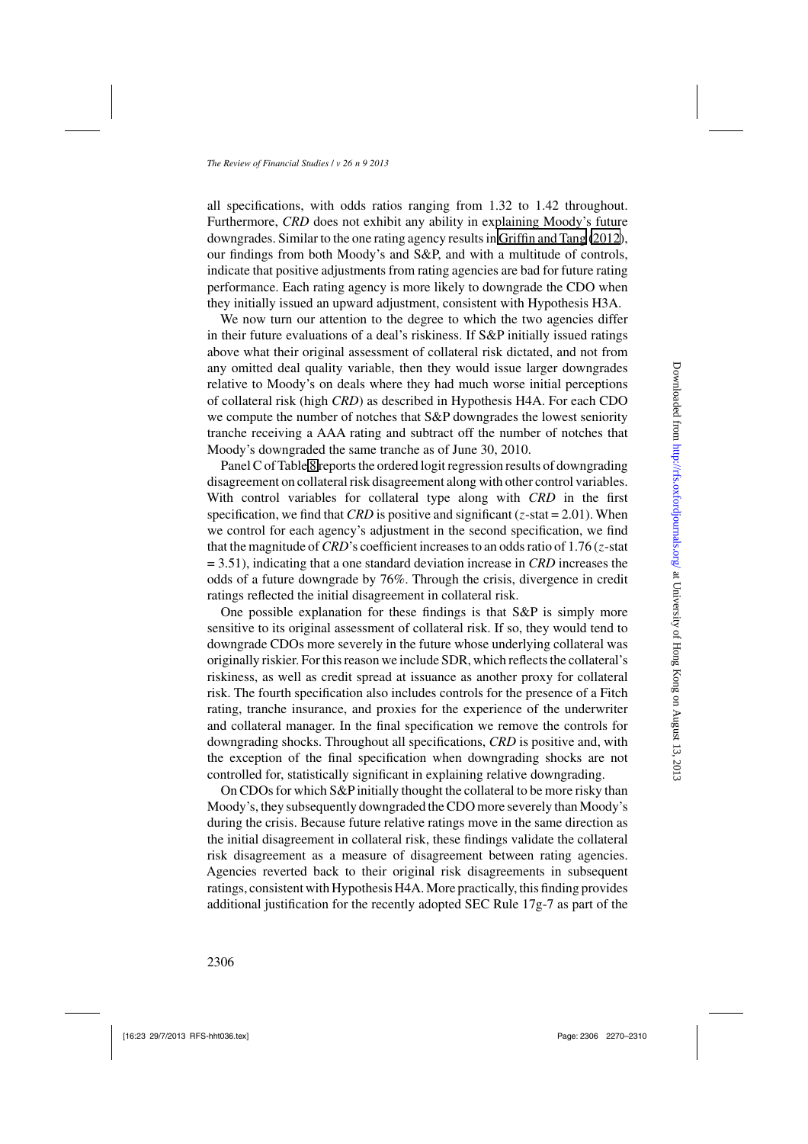all specifications, with odds ratios ranging from 1.32 to 1.42 throughout. Furthermore, *CRD* does not exhibit any ability in explaining Moody's future downgrades. Similar to the one rating agency results in [Griffin and Tang](#page-39-0) [\(2012](#page-39-0)), our findings from both Moody's and S&P, and with a multitude of controls, indicate that positive adjustments from rating agencies are bad for future rating performance. Each rating agency is more likely to downgrade the CDO when they initially issued an upward adjustment, consistent with Hypothesis H3A.

We now turn our attention to the degree to which the two agencies differ in their future evaluations of a deal's riskiness. If S&P initially issued ratings above what their original assessment of collateral risk dictated, and not from any omitted deal quality variable, then they would issue larger downgrades relative to Moody's on deals where they had much worse initial perceptions of collateral risk (high *CRD*) as described in Hypothesis H4A. For each CDO we compute the number of notches that S&P downgrades the lowest seniority tranche receiving a AAA rating and subtract off the number of notches that Moody's downgraded the same tranche as of June 30, 2010.

Panel C of Table [8](#page-34-0) reports the ordered logit regression results of downgrading disagreement on collateral risk disagreement along with other control variables. With control variables for collateral type along with *CRD* in the first specification, we find that *CRD* is positive and significant ( $z$ -stat = 2.01). When we control for each agency's adjustment in the second specification, we find that the magnitude of *CRD*'s coefficient increases to an odds ratio of 1.76 ( $z$ -stat = 3.51), indicating that a one standard deviation increase in *CRD* increases the odds of a future downgrade by 76%. Through the crisis, divergence in credit ratings reflected the initial disagreement in collateral risk.

One possible explanation for these findings is that S&P is simply more sensitive to its original assessment of collateral risk. If so, they would tend to downgrade CDOs more severely in the future whose underlying collateral was originally riskier. For this reason we include SDR, which reflects the collateral's riskiness, as well as credit spread at issuance as another proxy for collateral risk. The fourth specification also includes controls for the presence of a Fitch rating, tranche insurance, and proxies for the experience of the underwriter and collateral manager. In the final specification we remove the controls for downgrading shocks. Throughout all specifications, *CRD* is positive and, with the exception of the final specification when downgrading shocks are not controlled for, statistically significant in explaining relative downgrading.

On CDOs for which S&P initially thought the collateral to be more risky than Moody's, they subsequently downgraded the CDO more severely than Moody's during the crisis. Because future relative ratings move in the same direction as the initial disagreement in collateral risk, these findings validate the collateral risk disagreement as a measure of disagreement between rating agencies. Agencies reverted back to their original risk disagreements in subsequent ratings, consistent with Hypothesis H4A. More practically, this finding provides additional justification for the recently adopted SEC Rule 17g-7 as part of the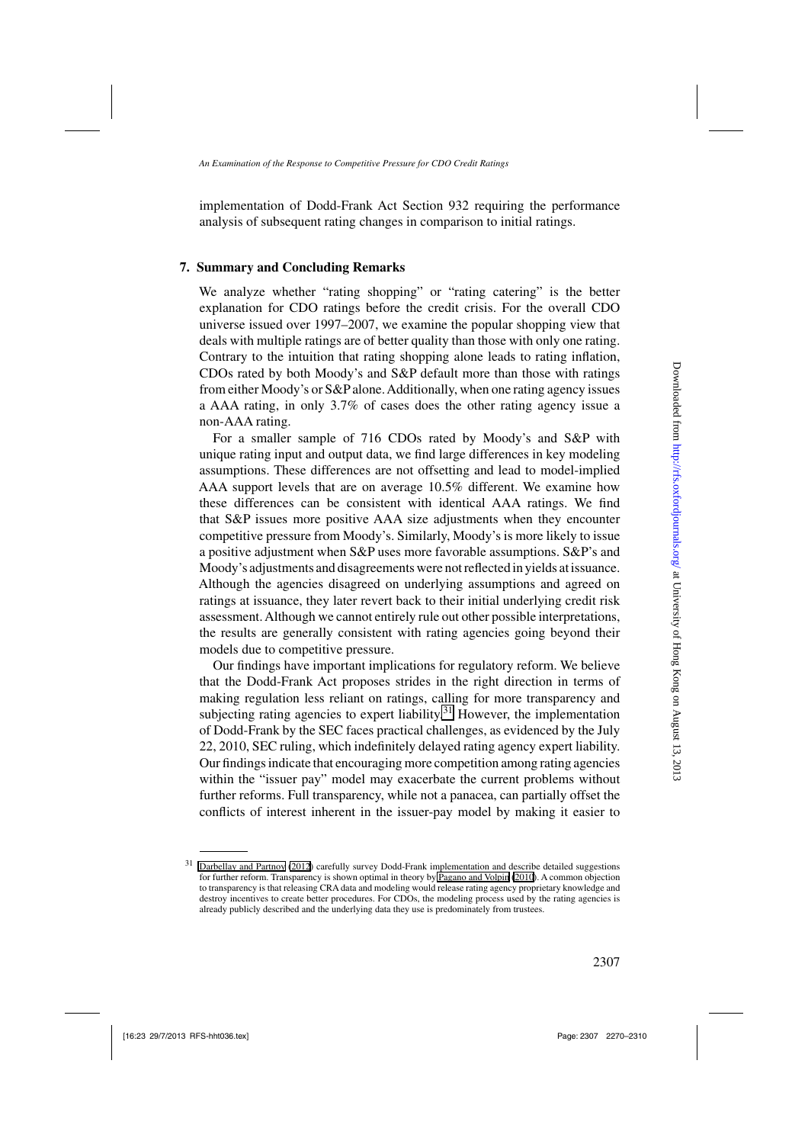<span id="page-37-0"></span>implementation of Dodd-Frank Act Section 932 requiring the performance analysis of subsequent rating changes in comparison to initial ratings.

## **7. Summary and Concluding Remarks**

We analyze whether "rating shopping" or "rating catering" is the better explanation for CDO ratings before the credit crisis. For the overall CDO universe issued over 1997–2007, we examine the popular shopping view that deals with multiple ratings are of better quality than those with only one rating. Contrary to the intuition that rating shopping alone leads to rating inflation, CDOs rated by both Moody's and S&P default more than those with ratings from either Moody's or S&P alone.Additionally, when one rating agency issues a AAA rating, in only 3.7% of cases does the other rating agency issue a non-AAA rating.

For a smaller sample of 716 CDOs rated by Moody's and S&P with unique rating input and output data, we find large differences in key modeling assumptions. These differences are not offsetting and lead to model-implied AAA support levels that are on average 10.5% different. We examine how these differences can be consistent with identical AAA ratings. We find that S&P issues more positive AAA size adjustments when they encounter competitive pressure from Moody's. Similarly, Moody's is more likely to issue a positive adjustment when S&P uses more favorable assumptions. S&P's and Moody's adjustments and disagreements were not reflected in yields at issuance. Although the agencies disagreed on underlying assumptions and agreed on ratings at issuance, they later revert back to their initial underlying credit risk assessment.Although we cannot entirely rule out other possible interpretations, the results are generally consistent with rating agencies going beyond their models due to competitive pressure.

Our findings have important implications for regulatory reform. We believe that the Dodd-Frank Act proposes strides in the right direction in terms of making regulation less reliant on ratings, calling for more transparency and subjecting rating agencies to expert liability.<sup>31</sup> However, the implementation of Dodd-Frank by the SEC faces practical challenges, as evidenced by the July 22, 2010, SEC ruling, which indefinitely delayed rating agency expert liability. Our findings indicate that encouraging more competition among rating agencies within the "issuer pay" model may exacerbate the current problems without further reforms. Full transparency, while not a panacea, can partially offset the conflicts of interest inherent in the issuer-pay model by making it easier to

<sup>&</sup>lt;sup>31</sup> [Darbellay and Partnoy \(2012](#page-38-0)) carefully survey Dodd-Frank implementation and describe detailed suggestions for further reform. Transparency is shown optimal in theory by [Pagano and Volpin](#page-39-0) [\(2010\)](#page-39-0). A common objection to transparency is that releasing CRA data and modeling would release rating agency proprietary knowledge and destroy incentives to create better procedures. For CDOs, the modeling process used by the rating agencies is already publicly described and the underlying data they use is predominately from trustees.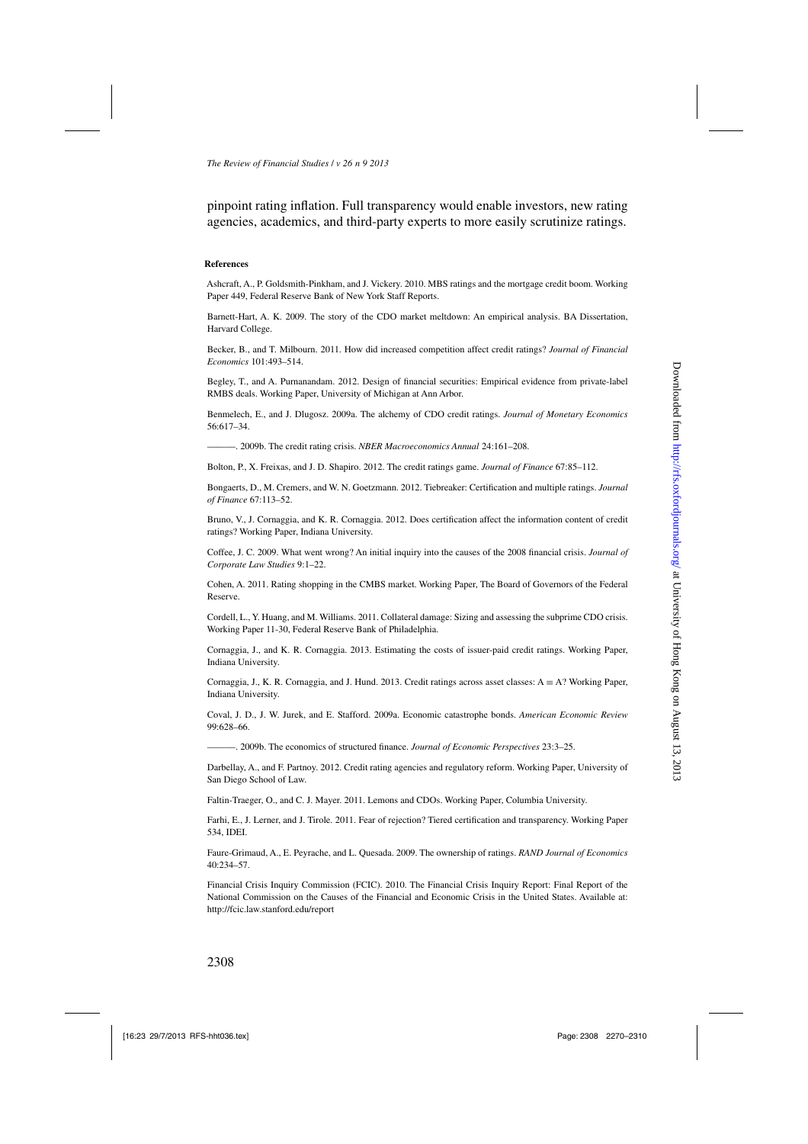<span id="page-38-0"></span>pinpoint rating inflation. Full transparency would enable investors, new rating agencies, academics, and third-party experts to more easily scrutinize ratings.

#### **References**

Ashcraft, A., P. Goldsmith-Pinkham, and J. Vickery. 2010. MBS ratings and the mortgage credit boom. Working Paper 449, Federal Reserve Bank of New York Staff Reports.

Barnett-Hart, A. K. 2009. The story of the CDO market meltdown: An empirical analysis. BA Dissertation, Harvard College.

Becker, B., and T. Milbourn. 2011. How did increased competition affect credit ratings? *Journal of Financial Economics* 101:493–514.

Begley, T., and A. Purnanandam. 2012. Design of financial securities: Empirical evidence from private-label RMBS deals. Working Paper, University of Michigan at Ann Arbor.

Benmelech, E., and J. Dlugosz. 2009a. The alchemy of CDO credit ratings. *Journal of Monetary Economics* 56:617–34.

———. 2009b. The credit rating crisis. *NBER Macroeconomics Annual* 24:161–208.

Bolton, P., X. Freixas, and J. D. Shapiro. 2012. The credit ratings game. *Journal of Finance* 67:85–112.

Bongaerts, D., M. Cremers, and W. N. Goetzmann. 2012. Tiebreaker: Certification and multiple ratings. *Journal of Finance* 67:113–52.

Bruno, V., J. Cornaggia, and K. R. Cornaggia. 2012. Does certification affect the information content of credit ratings? Working Paper, Indiana University.

Coffee, J. C. 2009. What went wrong? An initial inquiry into the causes of the 2008 financial crisis. *Journal of Corporate Law Studies* 9:1–22.

Cohen, A. 2011. Rating shopping in the CMBS market. Working Paper, The Board of Governors of the Federal Reserve.

Cordell, L., Y. Huang, and M. Williams. 2011. Collateral damage: Sizing and assessing the subprime CDO crisis. Working Paper 11-30, Federal Reserve Bank of Philadelphia.

Cornaggia, J., and K. R. Cornaggia. 2013. Estimating the costs of issuer-paid credit ratings. Working Paper, Indiana University.

Cornaggia, J., K. R. Cornaggia, and J. Hund. 2013. Credit ratings across asset classes: A ≡ A? Working Paper, Indiana University.

Coval, J. D., J. W. Jurek, and E. Stafford. 2009a. Economic catastrophe bonds. *American Economic Review* 99:628–66.

———. 2009b. The economics of structured finance. *Journal of Economic Perspectives* 23:3–25.

Darbellay, A., and F. Partnoy. 2012. Credit rating agencies and regulatory reform. Working Paper, University of San Diego School of Law.

Faltin-Traeger, O., and C. J. Mayer. 2011. Lemons and CDOs. Working Paper, Columbia University.

Farhi, E., J. Lerner, and J. Tirole. 2011. Fear of rejection? Tiered certification and transparency. Working Paper 534, IDEI.

Faure-Grimaud, A., E. Peyrache, and L. Quesada. 2009. The ownership of ratings. *RAND Journal of Economics* 40:234–57.

Financial Crisis Inquiry Commission (FCIC). 2010. The Financial Crisis Inquiry Report: Final Report of the National Commission on the Causes of the Financial and Economic Crisis in the United States. Available at: http://fcic.law.stanford.edu/report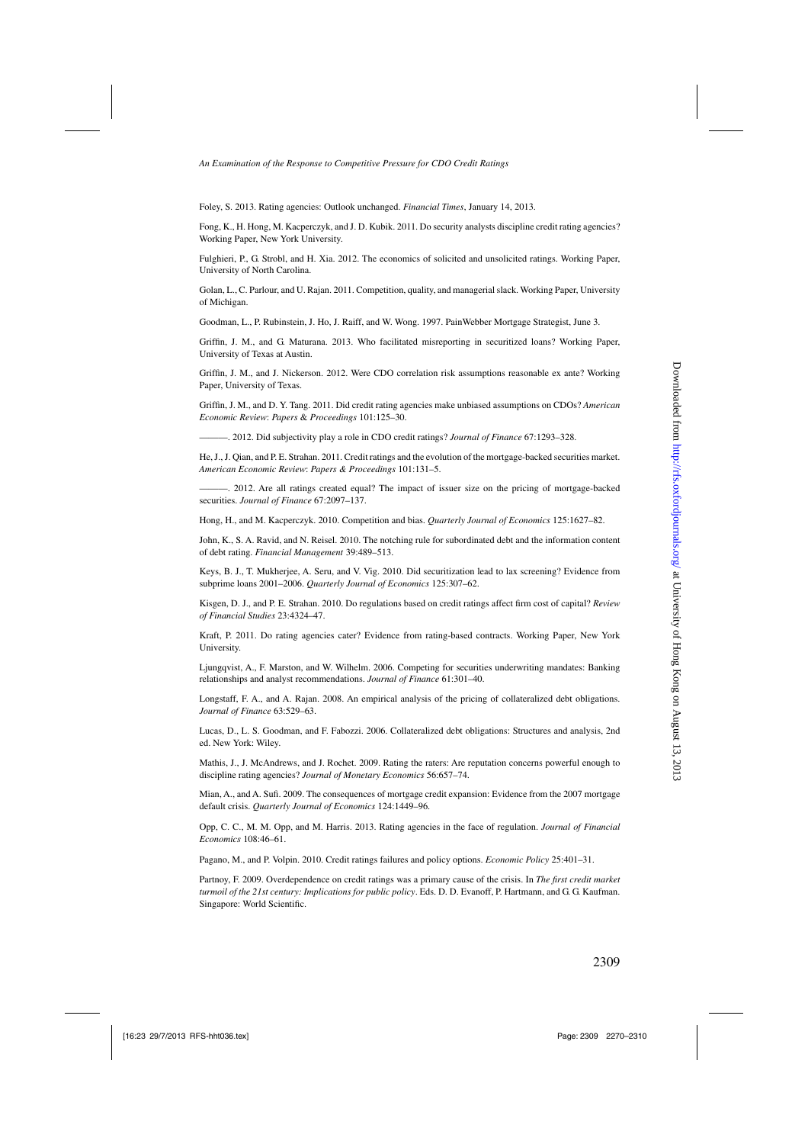<span id="page-39-0"></span>Foley, S. 2013. Rating agencies: Outlook unchanged. *Financial Times*, January 14, 2013.

Fong, K., H. Hong, M. Kacperczyk, and J. D. Kubik. 2011. Do security analysts discipline credit rating agencies? Working Paper, New York University.

Fulghieri, P., G. Strobl, and H. Xia. 2012. The economics of solicited and unsolicited ratings. Working Paper, University of North Carolina.

Golan, L., C. Parlour, and U. Rajan. 2011. Competition, quality, and managerial slack. Working Paper, University of Michigan.

Goodman, L., P. Rubinstein, J. Ho, J. Raiff, and W. Wong. 1997. PainWebber Mortgage Strategist, June 3.

Griffin, J. M., and G. Maturana. 2013. Who facilitated misreporting in securitized loans? Working Paper, University of Texas at Austin.

Griffin, J. M., and J. Nickerson. 2012. Were CDO correlation risk assumptions reasonable ex ante? Working Paper, University of Texas.

Griffin, J. M., and D. Y. Tang. 2011. Did credit rating agencies make unbiased assumptions on CDOs? *American Economic Review*: *Papers* & *Proceedings* 101:125–30.

———. 2012. Did subjectivity play a role in CDO credit ratings? *Journal of Finance* 67:1293–328.

He, J., J. Qian, and P. E. Strahan. 2011. Credit ratings and the evolution of the mortgage-backed securities market. *American Economic Review*: *Papers & Proceedings* 101:131–5.

———. 2012. Are all ratings created equal? The impact of issuer size on the pricing of mortgage-backed securities. *Journal of Finance* 67:2097–137.

Hong, H., and M. Kacperczyk. 2010. Competition and bias. *Quarterly Journal of Economics* 125:1627–82.

John, K., S. A. Ravid, and N. Reisel. 2010. The notching rule for subordinated debt and the information content of debt rating. *Financial Management* 39:489–513.

Keys, B. J., T. Mukherjee, A. Seru, and V. Vig. 2010. Did securitization lead to lax screening? Evidence from subprime loans 2001–2006. *Quarterly Journal of Economics* 125:307–62.

Kisgen, D. J., and P. E. Strahan. 2010. Do regulations based on credit ratings affect firm cost of capital? *Review of Financial Studies* 23:4324–47.

Kraft, P. 2011. Do rating agencies cater? Evidence from rating-based contracts. Working Paper, New York University.

Ljungqvist, A., F. Marston, and W. Wilhelm. 2006. Competing for securities underwriting mandates: Banking relationships and analyst recommendations. *Journal of Finance* 61:301–40.

Longstaff, F. A., and A. Rajan. 2008. An empirical analysis of the pricing of collateralized debt obligations. *Journal of Finance* 63:529–63.

Lucas, D., L. S. Goodman, and F. Fabozzi. 2006. Collateralized debt obligations: Structures and analysis, 2nd ed. New York: Wiley.

Mathis, J., J. McAndrews, and J. Rochet. 2009. Rating the raters: Are reputation concerns powerful enough to discipline rating agencies? *Journal of Monetary Economics* 56:657–74.

Mian, A., and A. Sufi. 2009. The consequences of mortgage credit expansion: Evidence from the 2007 mortgage default crisis. *Quarterly Journal of Economics* 124:1449–96.

Opp, C. C., M. M. Opp, and M. Harris. 2013. Rating agencies in the face of regulation. *Journal of Financial Economics* 108:46–61.

Pagano, M., and P. Volpin. 2010. Credit ratings failures and policy options. *Economic Policy* 25:401–31.

Partnoy, F. 2009. Overdependence on credit ratings was a primary cause of the crisis. In *The first credit market turmoil of the 21st century: Implications for public policy*. Eds. D. D. Evanoff, P. Hartmann, and G. G. Kaufman. Singapore: World Scientific.